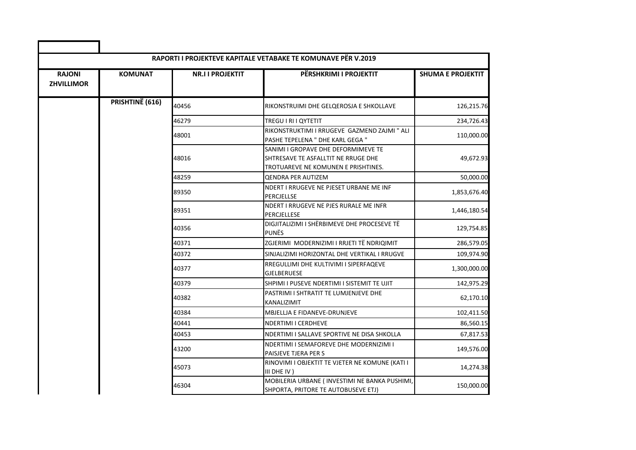| <b>RAJONI</b><br><b>ZHVILLIMOR</b> | <b>KOMUNAT</b>  | <b>NR.II PROJEKTIT</b> | PËRSHKRIMI I PROJEKTIT                                                                                            | <b>SHUMA E PROJEKTIT</b> |
|------------------------------------|-----------------|------------------------|-------------------------------------------------------------------------------------------------------------------|--------------------------|
|                                    | PRISHTINË (616) | 40456                  | RIKONSTRUIMI DHE GELQEROSJA E SHKOLLAVE                                                                           | 126,215.76               |
|                                    |                 | 46279                  | TREGU I RI I QYTETIT                                                                                              | 234,726.43               |
|                                    |                 | 48001                  | RIKONSTRUKTIMI I RRUGEVE GAZMEND ZAJMI " ALI<br>PASHE TEPELENA " DHE KARL GEGA "                                  | 110,000.00               |
|                                    |                 | 48016                  | SANIMI I GROPAVE DHE DEFORMIMEVE TE<br>SHTRESAVE TE ASFALLTIT NE RRUGE DHE<br>TROTUAREVE NE KOMUNEN E PRISHTINES. | 49,672.93                |
|                                    |                 | 48259                  | <b>QENDRA PER AUTIZEM</b>                                                                                         | 50,000.00                |
|                                    |                 | 89350                  | NDERT I RRUGEVE NE PJESET URBANE ME INF<br>PERCJELLSE                                                             | 1,853,676.40             |
|                                    |                 | 89351                  | NDERT I RRUGEVE NE PJES RURALE ME INFR<br>PERCJELLESE                                                             | 1,446,180.54             |
|                                    |                 | 40356                  | DIGJITALIZIMI I SHËRBIMEVE DHE PROCESEVE TË<br><b>PUNËS</b>                                                       | 129,754.85               |
|                                    |                 | 40371                  | ZGJERIMI MODERNIZIMI I RRJETI TË NDRIQIMIT                                                                        | 286,579.05               |
|                                    |                 | 40372                  | SINJALIZIMI HORIZONTAL DHE VERTIKAL I RRUGVE                                                                      | 109,974.90               |
|                                    |                 | 40377                  | RREGULLIMI DHE KULTIVIMI I SIPERFAQEVE<br><b>GJELBERUESE</b>                                                      | 1,300,000.00             |
|                                    |                 | 40379                  | SHPIMI I PUSEVE NDERTIMI I SISTEMIT TE UJIT                                                                       | 142,975.29               |
|                                    |                 | 40382                  | PASTRIMI I SHTRATIT TE LUMJENJEVE DHE<br>KANALIZIMIT                                                              | 62,170.10                |
|                                    |                 | 40384                  | MBJELLJA E FIDANEVE-DRUNJEVE                                                                                      | 102,411.50               |
|                                    |                 | 40441                  | NDERTIMI I CERDHEVE                                                                                               | 86,560.15                |
|                                    |                 | 40453                  | NDERTIMI I SALLAVE SPORTIVE NE DISA SHKOLLA                                                                       | 67,817.53                |
|                                    |                 | 43200                  | NDERTIMI I SEMAFOREVE DHE MODERNIZIMI I<br>PAISJEVE TJERA PER S                                                   | 149,576.00               |
|                                    |                 | 45073                  | RINOVIMI I OBJEKTIT TE VJETER NE KOMUNE (KATI I<br>III DHE IV)                                                    | 14,274.38                |
|                                    |                 | 46304                  | MOBILERIA URBANE ( INVESTIMI NE BANKA PUSHIMI,<br>SHPORTA, PRITORE TE AUTOBUSEVE ETJ)                             | 150,000.00               |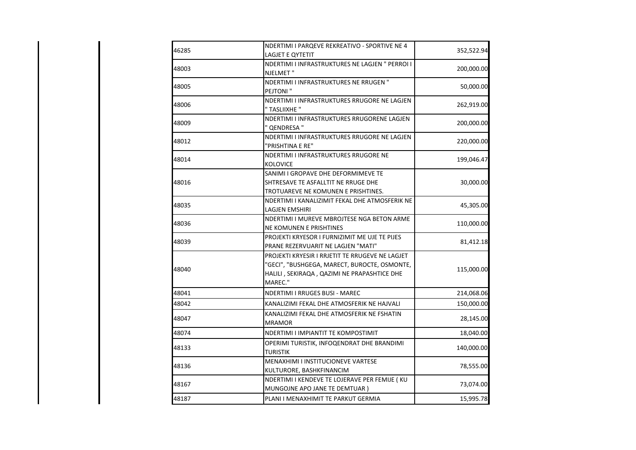| 46285 | NDERTIMI I PARQEVE REKREATIVO - SPORTIVE NE 4<br>LAGJET E QYTETIT                                                                                                                               | 352,522.94 |
|-------|-------------------------------------------------------------------------------------------------------------------------------------------------------------------------------------------------|------------|
| 48003 | NDERTIMI I INFRASTRUKTURES NE LAGJEN " PERROI I<br>NJELMET"                                                                                                                                     | 200,000.00 |
| 48005 | NDERTIMI I INFRASTRUKTURES NE RRUGEN "<br>PEJTONI"                                                                                                                                              | 50,000.00  |
| 48006 | NDERTIMI I INFRASTRUKTURES RRUGORE NE LAGJEN                                                                                                                                                    | 262,919.00 |
| 48009 | " TASLIIXHE "<br>NDERTIMI I INFRASTRUKTURES RRUGORENE LAGJEN                                                                                                                                    | 200,000.00 |
| 48012 | ' QENDRESA "<br>NDERTIMI I INFRASTRUKTURES RRUGORE NE LAGJEN                                                                                                                                    | 220,000.00 |
| 48014 | "PRISHTINA E RE"<br>NDERTIMI I INFRASTRUKTURES RRUGORE NE                                                                                                                                       | 199,046.47 |
| 48016 | <b>KOLOVICE</b><br>SANIMI I GROPAVE DHE DEFORMIMEVE TE<br>SHTRESAVE TE ASFALLTIT NE RRUGE DHE                                                                                                   | 30,000.00  |
| 48035 | TROTUAREVE NE KOMUNEN E PRISHTINES.<br>NDERTIMI I KANALIZIMIT FEKAL DHE ATMOSFERIK NE<br>LAGJEN EMSHIRI                                                                                         | 45,305.00  |
| 48036 | NDERTIMI I MUREVE MBROJTESE NGA BETON ARME                                                                                                                                                      | 110,000.00 |
| 48039 | <b>NE KOMUNEN E PRISHTINES</b><br>PROJEKTI KRYESOR I FURNIZIMIT ME UJE TE PIJES                                                                                                                 | 81,412.18  |
| 48040 | PRANE REZERVUARIT NE LAGJEN "MATI"<br>PROJEKTI KRYESIR I RRJETIT TE RRUGEVE NE LAGJET<br>"GECI", "BUSHGEGA, MARECT, BUROCTE, OSMONTE,<br>HALILI, SEKIRAQA, QAZIMI NE PRAPASHTICE DHE<br>MAREC." | 115,000.00 |
| 48041 | <b>NDERTIMI I RRUGES BUSI - MAREC</b>                                                                                                                                                           | 214,068.06 |
| 48042 | KANALIZIMI FEKAL DHE ATMOSFERIK NE HAJVALI                                                                                                                                                      | 150,000.00 |
| 48047 | KANALIZIMI FEKAL DHE ATMOSFERIK NE FSHATIN<br><b>MRAMOR</b>                                                                                                                                     | 28,145.00  |
| 48074 | NDERTIMI I IMPIANTIT TE KOMPOSTIMIT                                                                                                                                                             | 18,040.00  |
| 48133 | OPERIMI TURISTIK, INFOQENDRAT DHE BRANDIMI<br><b>TURISTIK</b>                                                                                                                                   | 140,000.00 |
| 48136 | MENAXHIMI I INSTITUCIONEVE VARTESE<br>KULTURORE, BASHKFINANCIM                                                                                                                                  | 78,555.00  |
| 48167 | NDERTIMI I KENDEVE TE LOJERAVE PER FEMIJE (KU<br>MUNGOJNE APO JANE TE DEMTUAR)                                                                                                                  | 73,074.00  |
| 48187 | PLANI I MENAXHIMIT TE PARKUT GERMIA                                                                                                                                                             | 15,995.78  |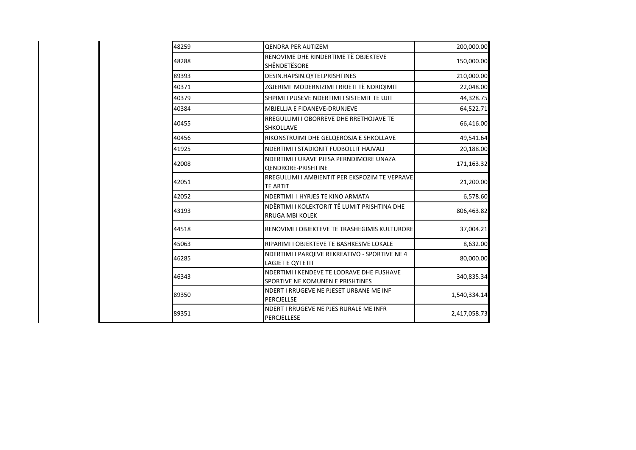| 48259 | <b>QENDRA PER AUTIZEM</b>                                                     | 200,000.00   |
|-------|-------------------------------------------------------------------------------|--------------|
| 48288 | RENOVIME DHE RINDERTIME TË OBJEKTEVE<br>SHËNDETËSORE                          | 150,000.00   |
| 89393 | DESIN.HAPSIN.QYTEI.PRISHTINES                                                 | 210,000.00   |
| 40371 | ZGJERIMI MODERNIZIMI I RRJETI TË NDRIQIMIT                                    | 22,048.00    |
| 40379 | SHPIMI I PUSEVE NDERTIMI I SISTEMIT TE UJIT                                   | 44,328.75    |
| 40384 | MBJELLJA E FIDANEVE-DRUNJEVE                                                  | 64,522.71    |
| 40455 | RREGULLIMI I OBORREVE DHE RRETHOJAVE TE<br><b>SHKOLLAVE</b>                   | 66,416.00    |
| 40456 | RIKONSTRUIMI DHE GELQEROSJA E SHKOLLAVE                                       | 49,541.64    |
| 41925 | NDERTIMI I STADIONIT FUDBOLLIT HAJVALI                                        | 20,188.00    |
| 42008 | NDERTIMI I URAVE PJESA PERNDIMORE UNAZA<br><b>QENDRORE-PRISHTINE</b>          | 171,163.32   |
| 42051 | RREGULLIMI I AMBIENTIT PER EKSPOZIM TE VEPRAVE<br><b>TE ARTIT</b>             | 21,200.00    |
| 42052 | NDERTIMI I HYRJES TE KINO ARMATA                                              | 6,578.60     |
| 43193 | NDËRTIMI I KOLEKTORIT TË LUMIT PRISHTINA DHE<br><b>RRUGA MBI KOLEK</b>        | 806,463.82   |
| 44518 | RENOVIMI I OBJEKTEVE TE TRASHEGIMIS KULTURORE                                 | 37,004.21    |
| 45063 | RIPARIMI I OBJEKTEVE TE BASHKESIVE LOKALE                                     | 8,632.00     |
| 46285 | NDERTIMI I PARQEVE REKREATIVO - SPORTIVE NE 4<br>LAGJET E QYTETIT             | 80,000.00    |
| 46343 | NDERTIMI I KENDEVE TE LODRAVE DHE FUSHAVE<br>SPORTIVE NE KOMUNEN E PRISHTINES | 340,835.34   |
| 89350 | NDERT I RRUGEVE NE PJESET URBANE ME INF<br>PERCJELLSE                         | 1,540,334.14 |
| 89351 | NDERT I RRUGEVE NE PJES RURALE ME INFR<br>PERCJELLESE                         | 2,417,058.73 |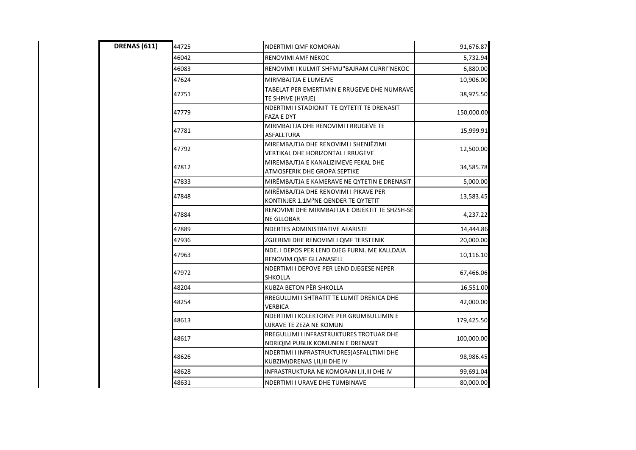| <b>DRENAS (611)</b> | 44725 | NDERTIMI QMF KOMORAN                                                                      | 91,676.87  |
|---------------------|-------|-------------------------------------------------------------------------------------------|------------|
|                     | 46042 | <b>RENOVIMI AMF NEKOC</b>                                                                 | 5,732.94   |
|                     | 46083 | RENOVIMI I KULMIT SHFMU"BAJRAM CURRI"NEKOC                                                | 6,880.00   |
|                     | 47624 | MIRMBAJTJA E LUMEJVE                                                                      | 10,906.00  |
|                     | 47751 | TABELAT PER EMERTIMIN E RRUGEVE DHE NUMRAVE<br>TE SHPIVE (HYRJE)                          | 38,975.50  |
|                     | 47779 | NDERTIMI I STADIONIT TE QYTETIT TE DRENASIT<br><b>FAZA E DYT</b>                          | 150,000.00 |
|                     | 47781 | MIRMBAJTJA DHE RENOVIMI I RRUGEVE TE<br>ASFALLTURA                                        | 15,999.91  |
|                     | 47792 | MIREMBAJTJA DHE RENOVIMI I SHENJËZIMI<br>VERTIKAL DHE HORIZONTAL I RRUGEVE                | 12,500.00  |
|                     | 47812 | MIREMBAJTJA E KANALIZIMEVE FEKAL DHE<br>ATMOSFERIK DHE GROPA SEPTIKE                      | 34,585.78  |
|                     | 47833 | MIRÊMBAJTJA E KAMERAVE NE QYTETIN E DRENASIT                                              | 5,000.00   |
|                     | 47848 | MIRËMBAJTJA DHE RENOVIMI I PIKAVE PER<br>KONTINJER 1.1M <sup>3</sup> NE QENDER TE QYTETIT | 13,583.45  |
|                     | 47884 | RENOVIMI DHE MIRMBAJTJA E OBJEKTIT TE SHZSH-SË<br><b>NE GLLOBAR</b>                       | 4,237.22   |
|                     | 47889 | NDERTES ADMINISTRATIVE AFARISTE                                                           | 14,444.86  |
|                     | 47936 | ZGJERIMI DHE RENOVIMI I QMF TERSTENIK                                                     | 20,000.00  |
|                     | 47963 | NDE. I DEPOS PER LEND DJEG FURNI. ME KALLDAJA<br>RENOVIM QMF GLLANASELL                   | 10,116.10  |
|                     | 47972 | NDERTIMI I DEPOVE PER LEND DJEGESE NEPER<br>SHKOLLA                                       | 67,466.06  |
|                     | 48204 | KUBZA BETON PËR SHKOLLA                                                                   | 16,551.00  |
|                     | 48254 | RREGULLIMI I SHTRATIT TE LUMIT DRENICA DHE<br>VERBICA                                     | 42,000.00  |
|                     | 48613 | NDERTIMI I KOLEKTORVE PER GRUMBULLIMIN E<br>UJRAVE TE ZEZA NE KOMUN                       | 179,425.50 |
|                     | 48617 | RREGULLIMI I INFRASTRUKTURES TROTUAR DHE<br>NDRIQIM PUBLIK KOMUNEN E DRENASIT             | 100,000.00 |
|                     | 48626 | NDERTIMI I INFRASTRUKTURES(ASFALLTIMI DHE<br>KUBZIM) DRENAS I, II, III DHE IV             | 98,986.45  |
|                     | 48628 | INFRASTRUKTURA NE KOMORAN I, II, III DHE IV                                               | 99,691.04  |
|                     | 48631 | NDERTIMI I URAVE DHE TUMBINAVE                                                            | 80,000.00  |
|                     |       |                                                                                           |            |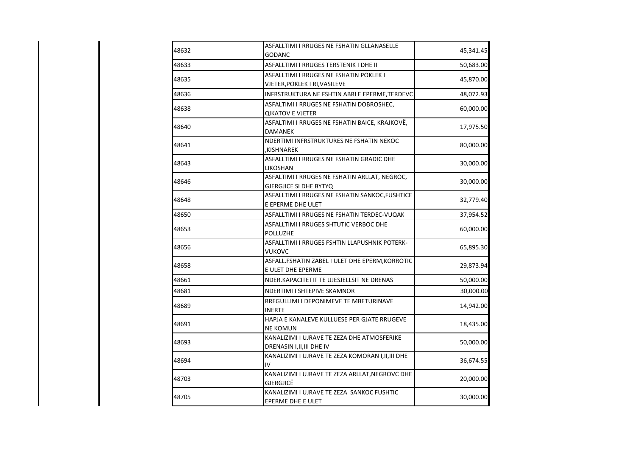| 48632 | ASFALLTIMI I RRUGES NE FSHATIN GLLANASELLE<br>GODANC                           | 45,341.45 |
|-------|--------------------------------------------------------------------------------|-----------|
| 48633 | ASFALLTIMI I RRUGES TERSTENIK I DHE II                                         | 50,683.00 |
| 48635 | ASFALLTIMI I RRUGES NE FSHATIN POKLEK I<br>VJETER, POKLEK I RI, VASILEVE       | 45,870.00 |
| 48636 | INFRSTRUKTURA NE FSHTIN ABRI E EPERME, TERDEVC                                 | 48,072.93 |
| 48638 | ASFALTIMI I RRUGES NE FSHATIN DOBROSHEC,<br><b>QIKATOV E VJETER</b>            | 60,000.00 |
| 48640 | ASFALTIMI I RRUGES NE FSHATIN BAICE, KRAJKOVË,<br><b>DAMANEK</b>               | 17,975.50 |
| 48641 | NDERTIMI INFRSTRUKTURES NE FSHATIN NEKOC<br>,KISHNAREK                         | 80,000.00 |
| 48643 | ASFALLTIMI I RRUGES NE FSHATIN GRADIC DHE<br>LIKOSHAN                          | 30,000.00 |
| 48646 | ASFALTIMI I RRUGES NE FSHATIN ARLLAT, NEGROC,<br><b>GJERGJICE SI DHE BYTYQ</b> | 30,000.00 |
| 48648 | ASFALLTIMI I RRUGES NE FSHATIN SANKOC, FUSHTICE<br>E EPERME DHE ULET           | 32,779.40 |
| 48650 | ASFALLTIMI I RRUGES NE FSHATIN TERDEC-VUQAK                                    | 37,954.52 |
| 48653 | ASFALLTIMI I RRUGES SHTUTIC VERBOC DHE<br><b>POLLUZHE</b>                      | 60,000.00 |
| 48656 | ASFALLTIMI I RRUGES FSHTIN LLAPUSHNIK POTERK-<br>VUKOVC                        | 65,895.30 |
| 48658 | ASFALL.FSHATIN ZABEL I ULET DHE EPERM, KORROTIC<br>E ULET DHE EPERME           | 29,873.94 |
| 48661 | NDER.KAPACITETIT TE UJESJELLSIT NE DRENAS                                      | 50,000.00 |
| 48681 | NDERTIMI I SHTEPIVE SKAMNOR                                                    | 30,000.00 |
| 48689 | RREGULLIMI I DEPONIMEVE TE MBETURINAVE<br>INERTE                               | 14,942.00 |
| 48691 | HAPJA E KANALEVE KULLUESE PER GJATE RRUGEVE<br>NE KOMUN                        | 18,435.00 |
| 48693 | KANALIZIMI I UJRAVE TE ZEZA DHE ATMOSFERIKE<br>DRENASIN I, II, III DHE IV      | 50,000.00 |
| 48694 | KANALIZIMI I UJRAVE TE ZEZA KOMORAN I, II, III DHE<br>IV                       | 36,674.55 |
| 48703 | KANALIZIMI I UJRAVE TE ZEZA ARLLAT, NEGROVC DHE<br>GJERGJICË                   | 20,000.00 |
| 48705 | KANALIZIMI I UJRAVE TE ZEZA SANKOC FUSHTIC<br>EPERME DHE E ULET                | 30,000.00 |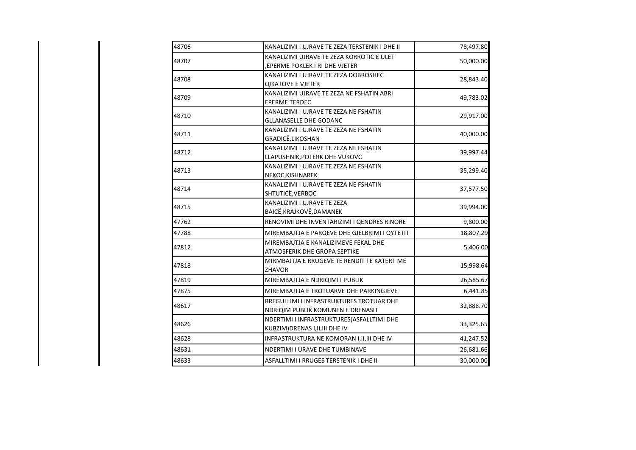| 48706 | KANALIZIMI I UJRAVE TE ZEZA TERSTENIK I DHE II                                | 78,497.80 |
|-------|-------------------------------------------------------------------------------|-----------|
| 48707 | KANALIZIMI UJRAVE TE ZEZA KORROTIC E ULET<br>EPERME POKLEK I RI DHE VJETER    | 50,000.00 |
| 48708 | KANALIZIMI I UJRAVE TE ZEZA DOBROSHEC<br><b>QIKATOVE E VJETER</b>             | 28,843.40 |
| 48709 | KANALIZIMI UJRAVE TE ZEZA NE FSHATIN ABRI<br><b>EPERME TERDEC</b>             | 49,783.02 |
| 48710 | KANALIZIMI I UJRAVE TE ZEZA NE FSHATIN<br><b>GLLANASELLE DHE GODANC</b>       | 29,917.00 |
| 48711 | KANALIZIMI I UJRAVE TE ZEZA NE FSHATIN<br>GRADICË, LIKOSHAN                   | 40,000.00 |
| 48712 | KANALIZIMI I UJRAVE TE ZEZA NE FSHATIN<br>LLAPUSHNIK, POTERK DHE VUKOVC       | 39,997.44 |
| 48713 | KANALIZIMI I UJRAVE TE ZEZA NE FSHATIN<br>NEKOC, KISHNAREK                    | 35,299.40 |
| 48714 | KANALIZIMI I UJRAVE TE ZEZA NE FSHATIN<br>SHTUTICË, VERBOC                    | 37,577.50 |
| 48715 | KANALIZIMI I UJRAVE TE ZEZA<br>BAICË, KRAJKOVË, DAMANEK                       | 39,994.00 |
| 47762 | RENOVIMI DHE INVENTARIZIMI I QENDRES RINORE                                   | 9,800.00  |
| 47788 | MIREMBAJTJA E PARQEVE DHE GJELBRIMI I QYTETIT                                 | 18,807.29 |
| 47812 | MIREMBAJTJA E KANALIZIMEVE FEKAL DHE<br>ATMOSFERIK DHE GROPA SEPTIKE          | 5,406.00  |
| 47818 | MIRMBAJTJA E RRUGEVE TE RENDIT TE KATERT ME<br>ZHAVOR                         | 15,998.64 |
| 47819 | MIRËMBAJTJA E NDRIQIMIT PUBLIK                                                | 26,585.67 |
| 47875 | MIREMBAJTJA E TROTUARVE DHE PARKINGJEVE                                       | 6,441.85  |
| 48617 | RREGULLIMI I INFRASTRUKTURES TROTUAR DHE<br>NDRIQIM PUBLIK KOMUNEN E DRENASIT | 32,888.70 |
| 48626 | NDERTIMI I INFRASTRUKTURES(ASFALLTIMI DHE<br>KUBZIM) DRENAS I, II, III DHE IV | 33,325.65 |
| 48628 | INFRASTRUKTURA NE KOMORAN I, II, III DHE IV                                   | 41,247.52 |
| 48631 | NDERTIMI I URAVE DHE TUMBINAVE                                                | 26,681.66 |
| 48633 | ASFALLTIMI I RRUGES TERSTENIK I DHE II                                        | 30,000.00 |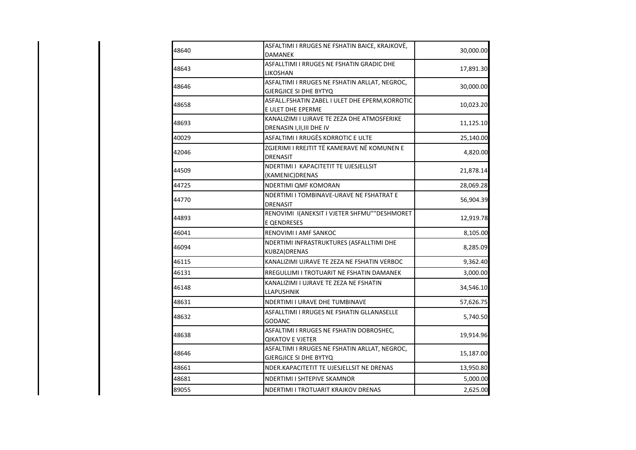| 48640 | ASFALTIMI I RRUGES NE FSHATIN BAICE, KRAJKOVË,  |           |  |
|-------|-------------------------------------------------|-----------|--|
|       | <b>DAMANEK</b>                                  | 30,000.00 |  |
| 48643 | ASFALLTIMI I RRUGES NE FSHATIN GRADIC DHE       | 17,891.30 |  |
|       | LIKOSHAN                                        |           |  |
| 48646 | ASFALTIMI I RRUGES NE FSHATIN ARLLAT, NEGROC,   | 30,000.00 |  |
|       | <b>GJERGJICE SI DHE BYTYQ</b>                   |           |  |
| 48658 | ASFALL.FSHATIN ZABEL I ULET DHE EPERM, KORROTIC | 10,023.20 |  |
|       | E ULET DHE EPERME                               |           |  |
| 48693 | KANALIZIMI I UJRAVE TE ZEZA DHE ATMOSFERIKE     | 11,125.10 |  |
|       | DRENASIN I, II, III DHE IV                      |           |  |
| 40029 | ASFALTIMI I RRUGËS KORROTIC E ULTE              | 25,140.00 |  |
|       | ZGJERIMI I RREJTIT TË KAMERAVE NË KOMUNEN E     |           |  |
| 42046 | DRENASIT                                        | 4,820.00  |  |
|       | NDERTIMI I KAPACITETIT TE UJESJELLSIT           |           |  |
| 44509 | (KAMENIC) DRENAS                                | 21,878.14 |  |
| 44725 | NDERTIMI QMF KOMORAN                            | 28,069.28 |  |
|       | NDERTIMI I TOMBINAVE-URAVE NE FSHATRAT E        |           |  |
| 44770 | <b>DRENASIT</b>                                 | 56,904.39 |  |
| 44893 | RENOVIMI I(ANEKSIT I VJETER SHFMU""DESHMORET    | 12,919.78 |  |
|       | <b>E QENDRESES</b>                              |           |  |
| 46041 | RENOVIMI I AMF SANKOC                           | 8,105.00  |  |
|       | NDERTIMI INFRASTRUKTURES (ASFALLTIMI DHE        |           |  |
| 46094 | KUBZA) DRENAS                                   | 8,285.09  |  |
| 46115 | KANALIZIMI UJRAVE TE ZEZA NE FSHATIN VERBOC     | 9,362.40  |  |
| 46131 | RREGULLIMI I TROTUARIT NE FSHATIN DAMANEK       | 3,000.00  |  |
|       | KANALIZIMI I UJRAVE TE ZEZA NE FSHATIN          |           |  |
| 46148 | LLAPUSHNIK                                      | 34,546.10 |  |
| 48631 | NDERTIMI I URAVE DHE TUMBINAVE                  | 57,626.75 |  |
|       | ASFALLTIMI I RRUGES NE FSHATIN GLLANASELLE      |           |  |
| 48632 | <b>GODANC</b>                                   | 5,740.50  |  |
|       | ASFALTIMI I RRUGES NE FSHATIN DOBROSHEC,        |           |  |
| 48638 | <b>QIKATOV E VJETER</b>                         | 19,914.96 |  |
|       | ASFALTIMI I RRUGES NE FSHATIN ARLLAT, NEGROC,   |           |  |
| 48646 | <b>GJERGJICE SI DHE BYTYQ</b>                   | 15,187.00 |  |
| 48661 | NDER.KAPACITETIT TE UJESJELLSIT NE DRENAS       | 13,950.80 |  |
| 48681 | NDERTIMI I SHTEPIVE SKAMNOR                     | 5,000.00  |  |
| 89055 | NDERTIMI I TROTUARIT KRAJKOV DRENAS             | 2,625.00  |  |
|       |                                                 |           |  |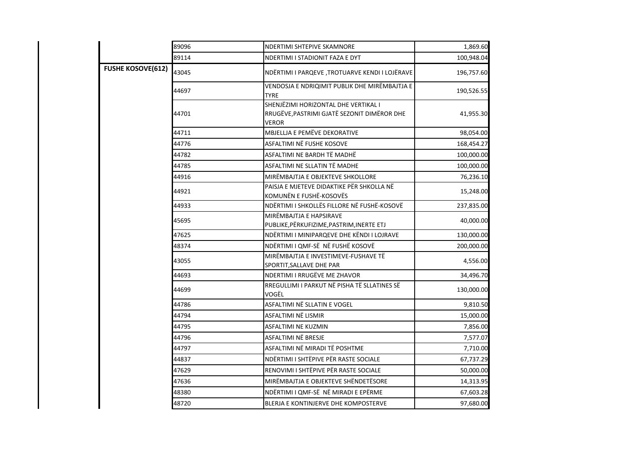|                          | 89096 | NDERTIMI SHTEPIVE SKAMNORE                                                                   | 1,869.60   |
|--------------------------|-------|----------------------------------------------------------------------------------------------|------------|
|                          | 89114 | NDERTIMI I STADIONIT FAZA E DYT                                                              | 100,948.04 |
| <b>FUSHE KOSOVE(612)</b> | 43045 | NDËRTIMI I PARQEVE ,TROTUARVE KENDI I LOJËRAVE                                               | 196,757.60 |
|                          | 44697 | VENDOSJA E NDRIQIMIT PUBLIK DHE MIRËMBAJTJA E<br><b>TYRE</b>                                 | 190,526.55 |
|                          | 44701 | SHENJËZIMI HORIZONTAL DHE VERTIKAL I<br>RRUGËVE, PASTRIMI GJATË SEZONIT DIMËROR DHE<br>VEROR | 41,955.30  |
|                          | 44711 | MBJELLJA E PEMËVE DEKORATIVE                                                                 | 98,054.00  |
|                          | 44776 | ASFALTIMI NË FUSHE KOSOVE                                                                    | 168,454.27 |
|                          | 44782 | ASFALTIMI NE BARDH TË MADHË                                                                  | 100,000.00 |
|                          | 44785 | ASFALTIMI NE SLLATIN TË MADHE                                                                | 100,000.00 |
|                          | 44916 | MIRËMBAJTJA E OBJEKTEVE SHKOLLORE                                                            | 76,236.10  |
|                          | 44921 | PAISJA E MJETEVE DIDAKTIKE PËR SHKOLLA NË<br>KOMUNËN E FUSHË-KOSOVËS                         | 15,248.00  |
|                          | 44933 | NDËRTIMI I SHKOLLËS FILLORE NË FUSHË-KOSOVË                                                  | 237,835.00 |
|                          | 45695 | MIRËMBAJTJA E HAPSIRAVE<br>PUBLIKE, PËRKUFIZIME, PASTRIM, INERTE ETJ                         | 40,000.00  |
|                          | 47625 | NDËRTIMI I MINIPARQEVE DHE KËNDI I LOJRAVE                                                   | 130,000.00 |
|                          | 48374 | NDËRTIMI I QMF-SË NË FUSHË KOSOVË                                                            | 200,000.00 |
|                          | 43055 | MIRËMBAJTJA E INVESTIMEVE-FUSHAVE TË<br>SPORTIT, SALLAVE DHE PAR                             | 4,556.00   |
|                          | 44693 | NDERTIMI I RRUGËVE ME ZHAVOR                                                                 | 34,496.70  |
|                          | 44699 | RREGULLIMI I PARKUT NË PISHA TË SLLATINES SË<br>VOGËL                                        | 130,000.00 |
|                          | 44786 | ASFALTIMI NË SLLATIN E VOGEL                                                                 | 9,810.50   |
|                          | 44794 | ASFALTIMI NË LISMIR                                                                          | 15,000.00  |
|                          | 44795 | ASFALTIMI NE KUZMIN                                                                          | 7,856.00   |
|                          | 44796 | ASFALTIMI NË BRESJE                                                                          | 7,577.07   |
|                          | 44797 | ASFALTIMI NË MIRADI TË POSHTME                                                               | 7,710.00   |
|                          | 44837 | NDËRTIMI I SHTËPIVE PËR RASTE SOCIALE                                                        | 67,737.29  |
|                          | 47629 | RENOVIMI I SHTËPIVE PËR RASTE SOCIALE                                                        | 50,000.00  |
|                          | 47636 | MIRËMBAJTJA E OBJEKTEVE SHËNDETËSORE.                                                        | 14,313.95  |
|                          | 48380 | NDËRTIMI I QMF-SË NË MIRADI E EPËRME                                                         | 67,603.28  |
|                          | 48720 | BLERJA E KONTINJERVE DHE KOMPOSTERVE                                                         | 97,680.00  |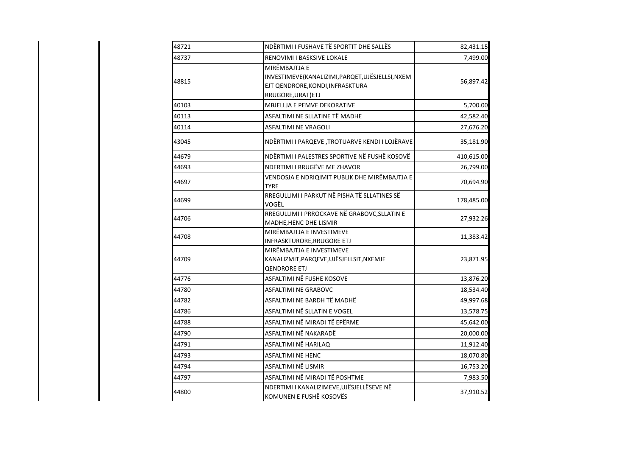| 48721 | NDËRTIMI I FUSHAVE TË SPORTIT DHE SALLËS                                                                                    | 82,431.15  |
|-------|-----------------------------------------------------------------------------------------------------------------------------|------------|
| 48737 | RENOVIMI I BASKSIVE LOKALE                                                                                                  | 7,499.00   |
| 48815 | MIRËMBAJTJA E<br>INVESTIMEVE(KANALIZIMI, PARQET, UJËSJELLSI, NXEM<br>EJT QENDRORE, KONDI, INFRASKTURA<br>RRUGORE, URAT) ETJ | 56,897.42  |
| 40103 | MBJELLJA E PEMVE DEKORATIVE                                                                                                 | 5,700.00   |
| 40113 | ASFALTIMI NE SLLATINE TË MADHE                                                                                              | 42,582.40  |
| 40114 | <b>ASFALTIMI NE VRAGOLI</b>                                                                                                 | 27,676.20  |
| 43045 | NDËRTIMI I PARQEVE, TROTUARVE KENDI I LOJËRAVE                                                                              | 35,181.90  |
| 44679 | NDËRTIMI I PALESTRES SPORTIVE NË FUSHË KOSOVË                                                                               | 410,615.00 |
| 44693 | NDERTIMI I RRUGËVE ME ZHAVOR                                                                                                | 26,799.00  |
| 44697 | VENDOSJA E NDRIQIMIT PUBLIK DHE MIRËMBAJTJA E<br><b>TYRE</b>                                                                | 70,694.90  |
| 44699 | RREGULLIMI I PARKUT NË PISHA TË SLLATINES SË<br>VOGËL                                                                       | 178,485.00 |
| 44706 | RREGULLIMI I PRROCKAVE NË GRABOVC, SLLATIN E<br>MADHE, HENC DHE LISMIR                                                      | 27,932.26  |
| 44708 | MIRËMBAJTJA E INVESTIMEVE<br><b>INFRASKTURORE, RRUGORE ETJ</b>                                                              | 11,383.42  |
| 44709 | MIRËMBAJTJA E INVESTIMEVE<br>KANALIZMIT, PARQEVE, UJËSJELLSIT, NXEMJE<br><b>QENDRORE ETJ</b>                                | 23,871.95  |
| 44776 | ASFALTIMI NË FUSHE KOSOVE                                                                                                   | 13,876.20  |
| 44780 | <b>ASFALTIMI NE GRABOVC</b>                                                                                                 | 18,534.40  |
| 44782 | ASFALTIMI NE BARDH TË MADHË                                                                                                 | 49,997.68  |
| 44786 | ASFALTIMI NË SLLATIN E VOGEL                                                                                                | 13,578.75  |
| 44788 | ASFALTIMI NË MIRADI TË EPËRME                                                                                               | 45,642.00  |
| 44790 | ASFALTIMI NË NAKARADË                                                                                                       | 20,000.00  |
| 44791 | ASFALTIMI NË HARILAQ                                                                                                        | 11,912.40  |
| 44793 | ASFALTIMI NE HENC                                                                                                           | 18,070.80  |
| 44794 | ASFALTIMI NË LISMIR                                                                                                         | 16,753.20  |
| 44797 | ASFALTIMI NË MIRADI TË POSHTME                                                                                              | 7,983.50   |
| 44800 | NDERTIMI I KANALIZIMEVE, UJËSJELLËSEVE NË<br>KOMUNEN E FUSHË KOSOVËS                                                        | 37,910.52  |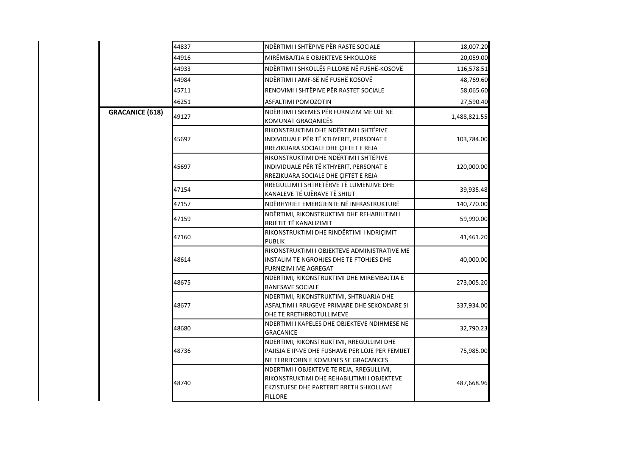|                        | 44837 | NDËRTIMI I SHTËPIVE PËR RASTE SOCIALE                                          | 18,007.20    |
|------------------------|-------|--------------------------------------------------------------------------------|--------------|
|                        | 44916 | MIRËMBAJTJA E OBJEKTEVE SHKOLLORE                                              | 20,059.00    |
|                        | 44933 | NDËRTIMI I SHKOLLËS FILLORE NË FUSHË-KOSOVË                                    | 116,578.51   |
|                        | 44984 | NDËRTIMI I AMF-SË NË FUSHË KOSOVË                                              | 48,769.60    |
|                        | 45711 | RENOVIMI I SHTËPIVE PËR RASTET SOCIALE                                         | 58,065.60    |
|                        | 46251 | ASFALTIMI POMOZOTIN                                                            | 27,590.40    |
| <b>GRACANICE (618)</b> |       | NDËRTIMI I SKEMËS PËR FURNIZIM ME UJË NË                                       |              |
|                        | 49127 | KOMUNAT GRAQANICËS                                                             | 1,488,821.55 |
|                        |       | RIKONSTRUKTIMI DHE NDËRTIMI I SHTËPIVE                                         |              |
|                        | 45697 | INDIVIDUALE PËR TË KTHYERIT, PERSONAT E                                        | 103,784.00   |
|                        |       | RREZIKUARA SOCIALE DHE ÇIFTET E REJA<br>RIKONSTRUKTIMI DHE NDËRTIMI I SHTËPIVE |              |
|                        | 45697 | INDIVIDUALE PËR TË KTHYERIT, PERSONAT E                                        | 120,000.00   |
|                        |       | RREZIKUARA SOCIALE DHE ÇIFTET E REJA                                           |              |
|                        |       | RREGULLIMI I SHTRETËRVE TË LUMENJIVE DHE                                       |              |
|                        | 47154 | KANALEVE TË UJËRAVE TË SHIUT                                                   | 39,935.48    |
|                        | 47157 | NDËRHYRJET EMERGJENTE NË INFRASTRUKTURË                                        | 140,770.00   |
|                        | 47159 | NDËRTIMI, RIKONSTRUKTIMI DHE REHABILITIMI I                                    |              |
|                        |       | RRJETIT TË KANALIZIMIT                                                         | 59,990.00    |
|                        |       | RIKONSTRUKTIMI DHE RINDËRTIMI I NDRIÇIMIT                                      |              |
|                        | 47160 | <b>PUBLIK</b>                                                                  | 41,461.20    |
|                        |       | RIKONSTRUKTIMI I OBJEKTEVE ADMINISTRATIVE ME                                   |              |
|                        | 48614 | INSTALIM TE NGROHJES DHE TE FTOHJES DHE                                        | 40,000.00    |
|                        |       | FURNIZIMI ME AGREGAT                                                           |              |
|                        | 48675 | NDERTIMI, RIKONSTRUKTIMI DHE MIREMBAJTJA E                                     | 273,005.20   |
|                        |       | <b>BANESAVE SOCIALE</b>                                                        |              |
|                        |       | NDERTIMI, RIKONSTRUKTIMI, SHTRUARJA DHE                                        |              |
|                        | 48677 | ASFALTIMI I RRUGEVE PRIMARE DHE SEKONDARE SI                                   | 337,934.00   |
|                        |       | DHE TE RRETHRROTULLIMEVE                                                       |              |
|                        | 48680 | NDERTIMI I KAPELES DHE OBJEKTEVE NDIHMESE NE<br><b>GRACANICE</b>               | 32,790.23    |
|                        |       | NDERTIMI, RIKONSTRUKTIMI, RREGULLIMI DHE                                       |              |
|                        | 48736 | PAJISJA E IP-VE DHE FUSHAVE PER LOJE PER FEMIJET                               | 75,985.00    |
|                        |       | NE TERRITORIN E KOMUNES SE GRACANICES                                          |              |
|                        |       | NDERTIMI I OBJEKTEVE TE REJA, RREGULLIMI,                                      |              |
|                        |       | RIKONSTRUKTIMI DHE REHABILITIMI I OBJEKTEVE                                    |              |
|                        | 48740 | EKZISTUESE DHE PARTERIT RRETH SHKOLLAVE                                        | 487,668.96   |
|                        |       | <b>FILLORE</b>                                                                 |              |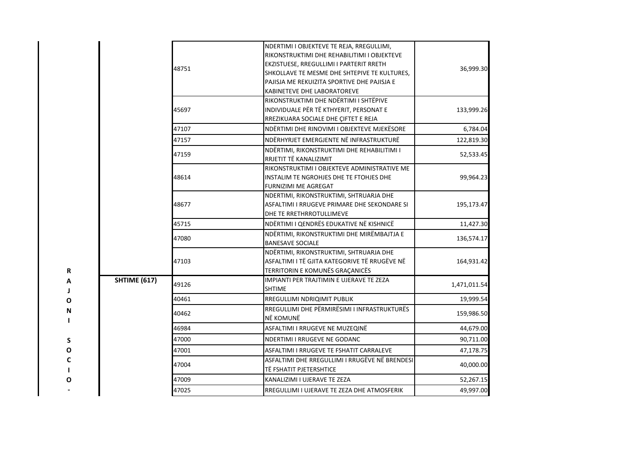|                             |                     | 48751 | NDERTIMI I OBJEKTEVE TE REJA, RREGULLIMI,<br>RIKONSTRUKTIMI DHE REHABILITIMI I OBJEKTEVE<br>EKZISTUESE, RREGULLIMI I PARTERIT RRETH<br>SHKOLLAVE TE MESME DHE SHTEPIVE TE KULTURES,<br>PAJISJA ME REKUIZITA SPORTIVE DHE PAJISJA E<br>KABINETEVE DHE LABORATOREVE | 36,999.30    |
|-----------------------------|---------------------|-------|-------------------------------------------------------------------------------------------------------------------------------------------------------------------------------------------------------------------------------------------------------------------|--------------|
|                             |                     | 45697 | RIKONSTRUKTIMI DHE NDËRTIMI I SHTËPIVE<br>INDIVIDUALE PËR TË KTHYERIT, PERSONAT E<br>RREZIKUARA SOCIALE DHE ÇIFTET E REJA                                                                                                                                         | 133,999.26   |
|                             |                     | 47107 | NDËRTIMI DHE RINOVIMI I OBJEKTEVE MJEKËSORE                                                                                                                                                                                                                       | 6,784.04     |
|                             |                     | 47157 | NDËRHYRJET EMERGJENTE NË INFRASTRUKTURË                                                                                                                                                                                                                           | 122,819.30   |
|                             |                     | 47159 | NDËRTIMI, RIKONSTRUKTIMI DHE REHABILITIMI I<br>RRJETIT TË KANALIZIMIT                                                                                                                                                                                             | 52,533.45    |
|                             |                     | 48614 | RIKONSTRUKTIMI I OBJEKTEVE ADMINISTRATIVE ME<br>INSTALIM TE NGROHJES DHE TE FTOHJES DHE<br>FURNIZIMI ME AGREGAT                                                                                                                                                   | 99,964.23    |
|                             |                     | 48677 | NDERTIMI, RIKONSTRUKTIMI, SHTRUARJA DHE<br>ASFALTIMI I RRUGEVE PRIMARE DHE SEKONDARE SI<br>DHE TE RRETHRROTULLIMEVE                                                                                                                                               | 195,173.47   |
|                             |                     | 45715 | NDËRTIMI I QENDRËS EDUKATIVE NË KISHNICË                                                                                                                                                                                                                          | 11,427.30    |
|                             |                     | 47080 | NDËRTIMI, RIKONSTRUKTIMI DHE MIRËMBAJTJA E<br><b>BANESAVE SOCIALE</b>                                                                                                                                                                                             | 136,574.17   |
| R                           |                     | 47103 | NDËRTIMI, RIKONSTRUKTIMI, SHTRUARJA DHE<br>ASFALTIMI I TË GJITA KATEGORIVE TË RRUGËVE NË<br>TERRITORIN E KOMUNËS GRAÇANICËS                                                                                                                                       | 164,931.42   |
| Α<br>J                      | <b>SHTIME (617)</b> | 49126 | IMPIANTI PER TRAJTIMIN E UJERAVE TE ZEZA<br><b>SHTIME</b>                                                                                                                                                                                                         | 1,471,011.54 |
| Ο                           |                     | 40461 | RREGULLIMI NDRIQIMIT PUBLIK                                                                                                                                                                                                                                       | 19,999.54    |
| N<br>$\mathbf{I}$           |                     | 40462 | RREGULLIMI DHE PËRMIRËSIMI I INFRASTRUKTURËS<br>NË KOMUNË                                                                                                                                                                                                         | 159,986.50   |
|                             |                     | 46984 | ASFALTIMI I RRUGEVE NE MUZEQINË                                                                                                                                                                                                                                   | 44,679.00    |
| S                           |                     | 47000 | <b>NDERTIMI I RRUGEVE NE GODANC</b>                                                                                                                                                                                                                               | 90,711.00    |
| O                           |                     | 47001 | ASFALTIMI I RRUGEVE TE FSHATIT CARRALEVE                                                                                                                                                                                                                          | 47,178.75    |
| $\mathbf c$<br>$\mathbf{I}$ |                     | 47004 | ASFALTIMI DHE RREGULLIMI I RRUGËVE NË BRENDESI<br>TË FSHATIT PJETERSHTICE                                                                                                                                                                                         | 40,000.00    |
| O                           |                     | 47009 | KANALIZIMI I UJERAVE TE ZEZA                                                                                                                                                                                                                                      | 52,267.15    |
|                             |                     | 47025 | RREGULLIMI I UJERAVE TE ZEZA DHE ATMOSFERIK                                                                                                                                                                                                                       | 49,997.00    |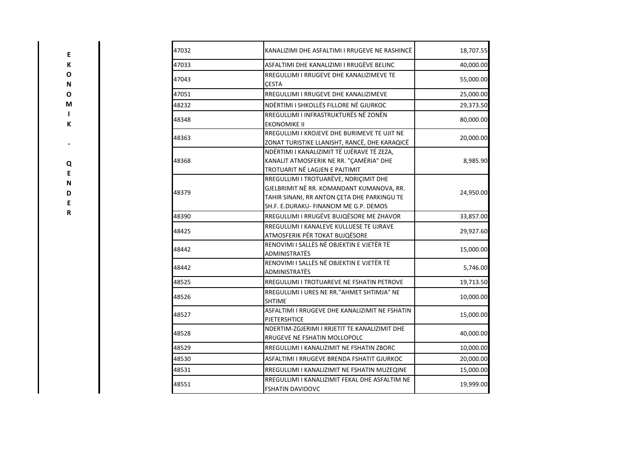| 47032<br>KANALIZIMI DHE ASFALTIMI I RRUGEVE NE RASHINCË |                                                                                                                                                                              | 18,707.55 |
|---------------------------------------------------------|------------------------------------------------------------------------------------------------------------------------------------------------------------------------------|-----------|
| 47033                                                   | ASFALTIMI DHE KANALIZIMI I RRUGËVE BELINC                                                                                                                                    | 40,000.00 |
| 47043                                                   | RREGULLIMI I RRUGEVE DHE KANALIZIMEVE TE<br><b>CESTA</b>                                                                                                                     | 55,000.00 |
| 47051                                                   | RREGULLIMI I RRUGEVE DHE KANALIZIMEVE                                                                                                                                        | 25,000.00 |
| 48232                                                   | NDËRTIMI I SHKOLLËS FILLORE NË GJURKOC                                                                                                                                       | 29,373.50 |
| 48348                                                   | RREGULLIMI I INFRASTRUKTURËS NË ZONËN<br><b>EKONOMIKE II</b>                                                                                                                 | 80,000.00 |
| 48363                                                   | RREGULLIMI I KROJEVE DHE BURIMEVE TE UJIT NE<br>ZONAT TURISTIKE LLANISHT, RANCË, DHE KARAQICË                                                                                | 20,000.00 |
| 48368                                                   | NDËRTIMI I KANALIZIMIT TË UJËRAVE TË ZEZA,<br>KANALIT ATMOSFERIK NE RR. "ÇAMËRIA" DHE<br>TROTUARIT NË LAGJEN E PAJTIMIT                                                      | 8,985.90  |
| 48379                                                   | RREGULLIMI I TROTUARËVE, NDRIÇIMIT DHE<br>GJELBRIMIT NË RR. KOMANDANT KUMANOVA, RR.<br>TAHIR SINANI, RR ANTON ÇETA DHE PARKINGU TE<br>SH.F. E.DURAKU- FINANCIM ME G.P. DEMOS | 24,950.00 |
| 48390                                                   | RREGULLIMI I RRUGËVE BUJQËSORE ME ZHAVOR                                                                                                                                     | 33,857.00 |
| 48425                                                   | RREGULLIMI I KANALEVE KULLUESE TE UJRAVE<br>ATMOSFERIK PËR TOKAT BUJQËSORE                                                                                                   | 29,927.60 |
| 48442                                                   | RENOVIMI I SALLËS NË OBJEKTIN E VJETËR TË<br>ADMINISTRATËS                                                                                                                   | 15,000.00 |
| 48442                                                   | RENOVIMI I SALLËS NË OBJEKTIN E VJETËR TË<br>ADMINISTRATËS                                                                                                                   | 5,746.00  |
| 48525                                                   | RREGULLIMI I TROTUAREVE NE FSHATIN PETROVE                                                                                                                                   | 19,713.50 |
| 48526                                                   | RREGULLIMI I URES NE RR. "AHMET SHTIMJA" NE<br><b>SHTIME</b>                                                                                                                 | 10,000.00 |
| 48527                                                   | ASFALTIMI I RRUGEVE DHE KANALIZIMIT NE FSHATIN<br><b>PJETERSHTICE</b>                                                                                                        | 15,000.00 |
| 48528                                                   | NDERTIM-ZGJERIMI I RRJETIT TE KANALIZIMIT DHE<br>RRUGEVE NE FSHATIN MOLLOPOLC                                                                                                | 40,000.00 |
| 48529                                                   | RREGULLIMI I KANALIZIMIT NE FSHATIN ZBORC                                                                                                                                    | 10,000.00 |
| 48530                                                   | ASFALTIMI I RRUGEVE BRENDA FSHATIT GJURKOC                                                                                                                                   | 20,000.00 |
| 48531                                                   | RREGULLIMI I KANALIZIMIT NE FSHATIN MUZEQINE                                                                                                                                 | 15,000.00 |
| 48551                                                   | RREGULLIMI I KANALIZIMIT FEKAL DHE ASFALTIM NE<br><b>FSHATIN DAVIDOVC</b>                                                                                                    | 19,999.00 |

**E K O N O M I K**

**-**

**Q E N D E R**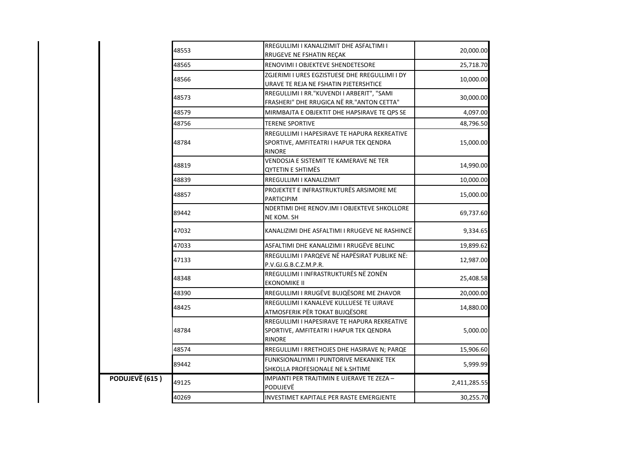|                | 48553 | RREGULLIMI I KANALIZIMIT DHE ASFALTIMI I<br>RRUGEVE NE FSHATIN REÇAK                                     | 20,000.00    |
|----------------|-------|----------------------------------------------------------------------------------------------------------|--------------|
|                | 48565 | RENOVIMI I OBJEKTEVE SHENDETESORE                                                                        | 25,718.70    |
|                | 48566 | ZGJERIMI I URES EGZISTUESE DHE RREGULLIMI I DY<br>URAVE TE REJA NE FSHATIN PJETERSHTICE                  | 10,000.00    |
|                | 48573 | RREGULLIMI I RR."KUVENDI I ARBERIT", "SAMI<br>FRASHERI" DHE RRUGICA NË RR. "ANTON CETTA"                 | 30,000.00    |
|                | 48579 | MIRMBAJTA E OBJEKTIT DHE HAPSIRAVE TE QPS SE                                                             | 4,097.00     |
|                | 48756 | <b>TERENE SPORTIVE</b>                                                                                   | 48,796.50    |
|                | 48784 | RREGULLIMI I HAPESIRAVE TE HAPURA REKREATIVE<br>SPORTIVE, AMFITEATRI I HAPUR TEK QENDRA<br><b>RINORE</b> | 15,000.00    |
|                | 18819 | VENDOSJA E SISTEMIT TE KAMERAVE NE TER<br><b>QYTETIN E SHTIMËS</b>                                       | 14,990.00    |
|                | 48839 | RREGULLIMI I KANALIZIMIT                                                                                 | 10,000.00    |
|                | 48857 | PROJEKTET E INFRASTRUKTURËS ARSIMORE ME<br><b>PARTICIPIM</b>                                             | 15,000.00    |
|                | 89442 | NDERTIMI DHE RENOV.IMI I OBJEKTEVE SHKOLLORE<br>NE KOM. SH                                               | 69,737.60    |
|                | 47032 | KANALIZIMI DHE ASFALTIMI I RRUGEVE NE RASHINCË                                                           | 9,334.65     |
|                | 47033 | ASFALTIMI DHE KANALIZIMI I RRUGËVE BELINC                                                                | 19,899.62    |
|                | 47133 | RREGULLIMI I PARQEVE NË HAPËSIRAT PUBLIKE NË:<br>P.V.GJ.G.B.C.Z.M.P.R.                                   | 12,987.00    |
|                | 48348 | RREGULLIMI I INFRASTRUKTURËS NË ZONËN<br>EKONOMIKE II                                                    | 25,408.58    |
|                | 48390 | RREGULLIMI I RRUGËVE BUJQËSORE ME ZHAVOR                                                                 | 20,000.00    |
|                | 48425 | RREGULLIMI I KANALEVE KULLUESE TE UJRAVE<br>ATMOSFERIK PËR TOKAT BUJQËSORE                               | 14,880.00    |
|                | 48784 | RREGULLIMI I HAPESIRAVE TE HAPURA REKREATIVE<br>SPORTIVE, AMFITEATRI I HAPUR TEK QENDRA<br><b>RINORE</b> | 5,000.00     |
|                | 48574 | RREGULLIMI I RRETHOJES DHE HASIRAVE N; PARQE                                                             | 15,906.60    |
|                | 89442 | FUNKSIONALIYIMI I PUNTORIVE MEKANIKE TEK<br>SHKOLLA PROFESIONALE NE k.SHTIME                             | 5,999.99     |
| PODUJEVË (615) | 49125 | IMPIANTI PER TRAJTIMIN E UJERAVE TE ZEZA -<br>PODUJEVË                                                   | 2,411,285.55 |
|                | 40269 | INVESTIMET KAPITALE PER RASTE EMERGJENTE                                                                 | 30,255.70    |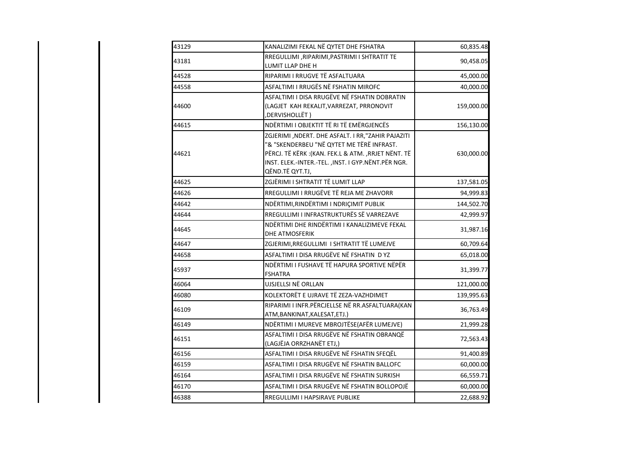| 43129 | KANALIZIMI FEKAL NË QYTET DHE FSHATRA                                                                                                                                                                                          | 60,835.48  |
|-------|--------------------------------------------------------------------------------------------------------------------------------------------------------------------------------------------------------------------------------|------------|
| 43181 | RREGULLIMI , RIPARIMI, PASTRIMI I SHTRATIT TE<br>LUMIT LLAP DHE H                                                                                                                                                              | 90,458.05  |
| 44528 | RIPARIMI I RRUGVE TË ASFALTUARA                                                                                                                                                                                                | 45,000.00  |
| 44558 | ASFALTIMI I RRUGËS NË FSHATIN MIROFC                                                                                                                                                                                           | 40,000.00  |
| 44600 | ASFALTIMI I DISA RRUGËVE NË FSHATIN DOBRATIN<br>(LAGJET KAH REKALIT, VARREZAT, PRRONOVIT<br>, DERVISHOLLËT)                                                                                                                    | 159,000.00 |
| 44615 | NDËRTIMI I OBJEKTIT TË RI TË EMËRGJENCËS                                                                                                                                                                                       | 156,130.00 |
| 44621 | ZGJERIMI ,NDERT. DHE ASFALT. I RR,"ZAHIR PAJAZITI<br>"& "SKENDERBEU "NË QYTET ME TËRË INFRAST.<br>PËRCJ. TË KËRK: (KAN. FEK.L & ATM. , RRJET NËNT. TË<br>INST. ELEK.-INTER.-TEL. ,INST. I GYP.NËNT.PËR NGR.<br>QËND.TË QYT.TJ, | 630,000.00 |
| 44625 | ZGJËRIMI I SHTRATIT TË LUMIT LLAP                                                                                                                                                                                              | 137,581.05 |
| 44626 | RREGULLIMI I RRUGËVE TË REJA ME ZHAVORR                                                                                                                                                                                        | 94,999.83  |
| 44642 | NDËRTIMI, RINDËRTIMI I NDRIÇIMIT PUBLIK                                                                                                                                                                                        | 144,502.70 |
| 44644 | RREGULLIMI I INFRASTRUKTURËS SË VARREZAVE                                                                                                                                                                                      | 42,999.97  |
| 44645 | NDËRTIMI DHE RINDËRTIMI I KANALIZIMEVE FEKAL<br>DHE ATMOSFERIK                                                                                                                                                                 | 31,987.16  |
| 44647 | ZGJERIMI, RREGULLIMI I SHTRATIT TË LUMEJVE                                                                                                                                                                                     | 60,709.64  |
| 44658 | ASFALTIMI I DISA RRUGËVE NË FSHATIN D YZ                                                                                                                                                                                       | 65,018.00  |
| 45937 | NDËRTIMI I FUSHAVE TË HAPURA SPORTIVE NËPËR<br><b>FSHATRA</b>                                                                                                                                                                  | 31,399.77  |
| 46064 | UJSJELLSI NË ORLLAN                                                                                                                                                                                                            | 121,000.00 |
| 46080 | KOLEKTORËT E UJRAVE TË ZEZA-VAZHDIMET                                                                                                                                                                                          | 139,995.63 |
| 46109 | RIPARIMI I INFR.PËRCJELLSE NË RR.ASFALTUARA(KAN<br>ATM, BANKINAT, KALESAT, ETJ.)                                                                                                                                               | 36,763.49  |
| 46149 | NDËRTIMI I MUREVE MBROJTËSE(AFËR LUMEJVE)                                                                                                                                                                                      | 21,999.28  |
| 46151 | ASFALTIMI I DISA RRUGËVE NË FSHATIN OBRANQË<br>(LAGJËJA ORRZHANËT ETJ,)                                                                                                                                                        | 72,563.43  |
| 46156 | ASFALTIMI I DISA RRUGËVE NË FSHATIN SFEQËL                                                                                                                                                                                     | 91,400.89  |
| 46159 | ASFALTIMI I DISA RRUGËVE NË FSHATIN BALLOFC                                                                                                                                                                                    | 60,000.00  |
| 46164 | ASFALTIMI I DISA RRUGËVE NË FSHATIN SURKISH                                                                                                                                                                                    | 66,559.71  |
| 46170 | ASFALTIMI I DISA RRUGËVE NË FSHATIN BOLLOPOJË                                                                                                                                                                                  | 60,000.00  |
| 46388 | RREGULLIMI I HAPSIRAVE PUBLIKE                                                                                                                                                                                                 | 22,688.92  |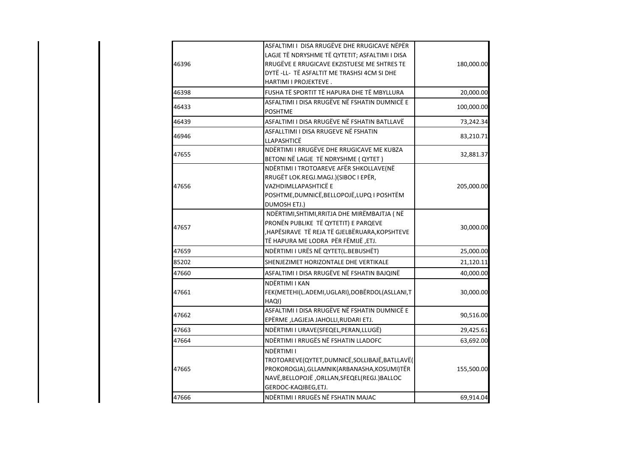| 46396 | ASFALTIMI I DISA RRUGËVE DHE RRUGICAVE NËPËR<br>LAGJE TË NDRYSHME TË QYTETIT; ASFALTIMI I DISA<br>RRUGËVE E RRUGICAVE EKZISTUESE ME SHTRES TE<br>DYTË -LL- TË ASFALTIT ME TRASHSI 4CM SI DHE<br>HARTIMI I PROJEKTEVE. | 180,000.00 |
|-------|-----------------------------------------------------------------------------------------------------------------------------------------------------------------------------------------------------------------------|------------|
| 46398 | FUSHA TË SPORTIT TË HAPURA DHE TË MBYLLURA                                                                                                                                                                            | 20,000.00  |
| 46433 | ASFALTIMI I DISA RRUGËVE NË FSHATIN DUMNICË E<br><b>POSHTME</b>                                                                                                                                                       | 100,000.00 |
| 46439 | ASFALTIMI I DISA RRUGËVE NË FSHATIN BATLLAVË                                                                                                                                                                          | 73,242.34  |
| 46946 | ASFALLTIMI I DISA RRUGEVE NË FSHATIN<br>LLAPASHTICË                                                                                                                                                                   | 83,210.71  |
| 47655 | NDËRTIMI I RRUGËVE DHE RRUGICAVE ME KUBZA<br>BETONI NË LAGJE TË NDRYSHME (QYTET)                                                                                                                                      | 32,881.37  |
| 47656 | NDËRTIMI I TROTOAREVE AFËR SHKOLLAVE(NË<br>RRUGËT LOK.REGJ.MAGJ.)(SIBOC I EPËR,<br>VAZHDIMLLAPASHTICË E<br>POSHTME, DUMNICË, BELLOPOJË, LUPQ I POSHTËM<br>DUMOSH ETJ.)                                                | 205,000.00 |
| 47657 | NDËRTIMI, SHTIMI, RRITJA DHE MIRËMBAJTJA (NË<br>PRONËN PUBLIKE TË QYTETIT) E PARQEVE<br>HAPËSIRAVE TË REJA TË GJELBËRUARA, KOPSHTEVE<br>TË HAPURA ME LODRA PËR FËMIJË, ETJ.                                           | 30,000.00  |
| 47659 | NDËRTIMI I URËS NË QYTET(L.BEBUSHËT)                                                                                                                                                                                  | 25,000.00  |
| 85202 | SHENJEZIMET HORIZONTALE DHE VERTIKALE                                                                                                                                                                                 | 21,120.11  |
| 47660 | ASFALTIMI I DISA RRUGËVE NË FSHATIN BAJQINË                                                                                                                                                                           | 40,000.00  |
| 47661 | NDËRTIMI I KAN<br>FEK(METEHI(L.ADEMI,UGLARI),DOBËRDOL(ASLLANI,T<br>HAQI)                                                                                                                                              | 30,000.00  |
| 47662 | ASFALTIMI I DISA RRUGËVE NË FSHATIN DUMNICË E<br>EPËRME , LAGJEJA JAHOLLI, RUDARI ETJ.                                                                                                                                | 90,516.00  |
| 47663 | NDËRTIMI I URAVE(SFEQEL, PERAN, LLUGË)                                                                                                                                                                                | 29,425.61  |
| 47664 | NDËRTIMI I RRUGËS NË FSHATIN LLADOFC                                                                                                                                                                                  | 63,692.00  |
| 47665 | NDËRTIMI I<br>TROTOAREVE(QYTET,DUMNICË,SOLLIBAJË,BATLLAVË(<br>PROKOROGJA), GLLAMNIK (ARBANASHA, KOSUMI) TËR<br>NAVË, BELLOPOJË, ORLLAN, SFEQEL (REGJ.) BALLOC<br>GERDOC-KAQIBEG, ETJ.                                 | 155,500.00 |
| 47666 | NDËRTIMI I RRUGËS NË FSHATIN MAJAC                                                                                                                                                                                    | 69,914.04  |

 $\overline{\phantom{a}}$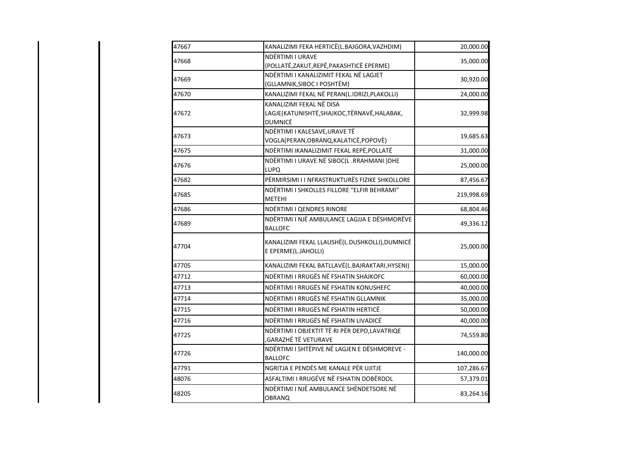| 47667 | KANALIZIMI FEKA HERTICË(L.BAJGORA, VAZHDIM)                                                | 20,000.00  |
|-------|--------------------------------------------------------------------------------------------|------------|
| 47668 | NDËRTIMI I URAVE<br>(POLLATË, ZAKUT, REPË, PAKASHTICË EPERME)                              | 35,000.00  |
| 47669 | NDËRTIMI I KANALIZIMIT FEKAL NË LAGJET<br>(GLLAMNIK, SIBOC I POSHTËM)                      | 30,920.00  |
| 47670 | KANALIZIMI FEKAL NË PERAN(L.IDRIZI, PLAKOLLI)                                              | 24,000.00  |
| 47672 | KANALIZIMI FEKAL NË DISA<br>LAGJE(KATUNISHTË, SHAJKOC, TËRNAVË, HALABAK,<br><b>DUMNICË</b> | 32,999.98  |
| 47673 | NDËRTIMI I KALESAVE, URAVE TË<br>VOGLA(PERAN, OBRANQ, KALATICË, POPOVË)                    | 19,685.63  |
| 47675 | NDËRTIMI IKANALIZIMIT FEKAL REPË, POLLATË                                                  | 31,000.00  |
| 47676 | NDËRTIMI I URAVE NË SIBOC(L.RRAHMANI) DHE<br><b>LUPO</b>                                   | 25,000.00  |
| 47682 | PËRMIRSIMI I I NFRASTRUKTURËS FIZIKE SHKOLLORE                                             | 87,456.67  |
| 47685 | NDËRTIMI I SHKOLLES FILLORE "ELFIR BEHRAMI"<br><b>METEHI</b>                               | 219,998.69 |
| 47686 | NDËRTIMI I QENDRES RINORE                                                                  | 68,804.46  |
| 47689 | NDËRTIMI I NJË AMBULANCE LAGJJA E DËSHMORËVE<br><b>BALLOFC</b>                             | 49,336.12  |
| 47704 | KANALIZIMI FEKAL LLAUSHË(L.DUSHKOLLI), DUMNICË<br>E EPERME(L.JAHOLLI)                      | 25,000.00  |
| 47705 | KANALIZIMI FEKAL BATLLAVË(L.BAJRAKTARI, HYSENI)                                            | 15,000.00  |
| 47712 | NDËRTIMI I RRUGËS NË FSHATIN SHAJKOFC                                                      | 60,000.00  |
| 47713 | NDËRTIMI I RRUGËS NË FSHATIN KONUSHEFC                                                     | 40,000.00  |
| 47714 | NDËRTIMI I RRUGËS NË FSHATIN GLLAMNIK                                                      | 35,000.00  |
| 47715 | NDËRTIMI I RRUGËS NË FSHATIN HERTICË                                                       | 50,000.00  |
| 47716 | NDËRTIMI I RRUGËS NË FSHATIN LIVADICË                                                      | 40,000.00  |
| 47725 | NDËRTIMI I OBJEKTIT TË RI PËR DEPO,LAVATRIQE<br>, GARAZHË TË VETURAVE                      | 74,559.80  |
| 47726 | NDËRTIMI I SHTËPIVE NË LAGJEN E DËSHMOREVE -<br><b>BALLOFC</b>                             | 140,000.00 |
| 47791 | NGRITJA E PENDËS ME KANALE PËR UJITJE                                                      | 107,286.67 |
| 48076 | ASFALTIMI I RRUGËVE NË FSHATIN DOBËRDOL                                                    | 57,379.01  |
| 48205 | NDËRTIMI I NJË AMBULANCE SHËNDETSORE NË<br><b>OBRANQ</b>                                   | 83,264.16  |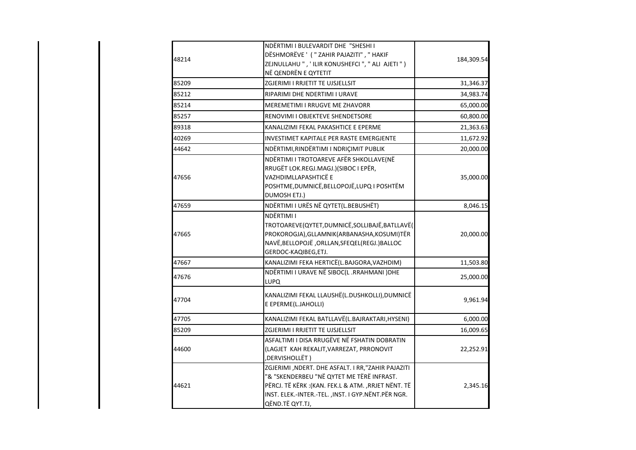|       | NDËRTIMI I BULEVARDIT DHE "SHESHI I                 |            |
|-------|-----------------------------------------------------|------------|
| 48214 | DËSHMORËVE ' ( " ZAHIR PAJAZITI", " HAKIF           | 184,309.54 |
|       | ZEJNULLAHU ", ' ILIR KONUSHEFCI ", " ALI AJETI ")   |            |
|       | NË QENDRËN E QYTETIT                                |            |
| 85209 | ZGJERIMI I RRJETIT TE UJSJELLSIT                    | 31,346.37  |
| 85212 | RIPARIMI DHE NDERTIMI I URAVE                       | 34,983.74  |
| 85214 | <b>MEREMETIMI I RRUGVE ME ZHAVORR</b>               | 65,000.00  |
| 85257 | RENOVIMI I OBJEKTEVE SHENDETSORE                    | 60,800.00  |
| 89318 | KANALIZIMI FEKAL PAKASHTICE E EPERME                | 21,363.63  |
| 40269 | <b>INVESTIMET KAPITALE PER RASTE EMERGJENTE</b>     | 11,672.92  |
| 44642 | NDËRTIMI, RINDËRTIMI I NDRIÇIMIT PUBLIK             | 20,000.00  |
|       | NDËRTIMI I TROTOAREVE AFËR SHKOLLAVE(NË             |            |
|       | RRUGËT LOK.REGJ.MAGJ.)(SIBOC I EPËR,                |            |
| 47656 | VAZHDIMLLAPASHTICË E                                | 35,000.00  |
|       | POSHTME, DUMNICË, BELLOPOJË, LUPQ I POSHTËM         |            |
|       | DUMOSH ETJ.)                                        |            |
| 47659 | NDËRTIMI I URËS NË QYTET(L.BEBUSHËT)                | 8,046.15   |
|       | NDËRTIMI I                                          |            |
|       | TROTOAREVE(QYTET,DUMNICË,SOLLIBAJË,BATLLAVË(        |            |
| 47665 | PROKOROGJA), GLLAMNIK (ARBANASHA, KOSUMI) TËR       | 20,000.00  |
|       | NAVË, BELLOPOJË, ORLLAN, SFEQEL (REGJ.) BALLOC      |            |
|       | GERDOC-KAQIBEG, ETJ.                                |            |
| 47667 | KANALIZIMI FEKA HERTICË(L.BAJGORA, VAZHDIM)         | 11,503.80  |
| 47676 | NDËRTIMI I URAVE NË SIBOC(L.RRAHMANI) DHE           | 25,000.00  |
|       | <b>LUPO</b>                                         |            |
|       | KANALIZIMI FEKAL LLAUSHË(L.DUSHKOLLI),DUMNICË       |            |
| 47704 | E EPERME(L.JAHOLLI)                                 | 9,961.94   |
| 47705 | KANALIZIMI FEKAL BATLLAVË(L.BAJRAKTARI, HYSENI)     | 6,000.00   |
| 85209 | ZGJERIMI I RRJETIT TE UJSJELLSIT                    | 16,009.65  |
|       | ASFALTIMI I DISA RRUGËVE NË FSHATIN DOBRATIN        |            |
| 44600 | (LAGJET KAH REKALIT, VARREZAT, PRRONOVIT            | 22,252.91  |
|       | , DERVISHOLLËT)                                     |            |
|       | ZGJERIMI , NDERT. DHE ASFALT. I RR, "ZAHIR PAJAZITI |            |
|       | "& "SKENDERBEU "NË QYTET ME TËRË INFRAST.           |            |
| 44621 | PËRCJ. TË KËRK: (KAN. FEK.L & ATM. , RRJET NËNT. TË | 2,345.16   |
|       | INST. ELEK.-INTER.-TEL., INST. I GYP.NËNT.PËR NGR.  |            |
|       | QËND.TË QYT.TJ,                                     |            |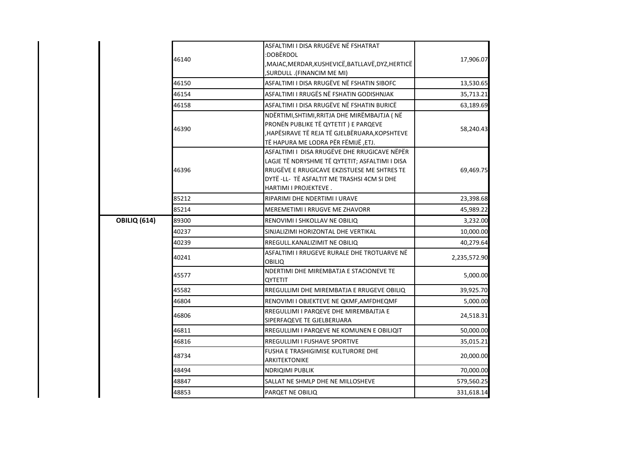|                     | 46140 | ASFALTIMI I DISA RRUGËVE NË FSHATRAT<br>:DOBËRDOL<br>,MAJAC,MERDAR,KUSHEVICË,BATLLAVË,DYZ,HERTICË<br>(FINANCIM ME MI, SURDULL)                                                                                        | 17,906.07    |
|---------------------|-------|-----------------------------------------------------------------------------------------------------------------------------------------------------------------------------------------------------------------------|--------------|
|                     | 46150 | ASFALTIMI I DISA RRUGËVE NË FSHATIN SIBOFC                                                                                                                                                                            | 13,530.65    |
|                     | 46154 | ASFALTIMI I RRUGËS NË FSHATIN GODISHNJAK .                                                                                                                                                                            | 35,713.21    |
|                     | 46158 | ASFALTIMI I DISA RRUGËVE NË FSHATIN BURICË                                                                                                                                                                            | 63,189.69    |
|                     | 46390 | NDËRTIMI, SHTIMI, RRITJA DHE MIRËMBAJTJA (NË<br>PRONËN PUBLIKE TË QYTETIT ) E PARQEVE<br>HAPËSIRAVE TË REJA TË GJELBËRUARA,KOPSHTEVE<br>TË HAPURA ME LODRA PËR FËMIJË, ETJ.                                           | 58,240.43    |
|                     | 46396 | ASFALTIMI I DISA RRUGËVE DHE RRUGICAVE NËPËR<br>LAGJE TË NDRYSHME TË QYTETIT; ASFALTIMI I DISA<br>RRUGËVE E RRUGICAVE EKZISTUESE ME SHTRES TE<br>DYTË -LL- TË ASFALTIT ME TRASHSI 4CM SI DHE<br>HARTIMI I PROJEKTEVE. | 69,469.75    |
|                     | 85212 | RIPARIMI DHE NDERTIMI I URAVE                                                                                                                                                                                         | 23,398.68    |
|                     | 85214 | <b>MEREMETIMI I RRUGVE ME ZHAVORR</b>                                                                                                                                                                                 | 45,989.22    |
| <b>OBILIQ (614)</b> | 89300 | RENOVIMI I SHKOLLAV NE OBILIQ                                                                                                                                                                                         | 3,232.00     |
|                     | 40237 | SINJALIZIMI HORIZONTAL DHE VERTIKAL                                                                                                                                                                                   | 10,000.00    |
|                     | 40239 | RREGULL.KANALIZIMIT NE OBILIQ                                                                                                                                                                                         | 40,279.64    |
|                     | 40241 | ASFALTIMI I RRUGEVE RURALE DHE TROTUARVE NË<br>OBILIQ                                                                                                                                                                 | 2,235,572.90 |
|                     | 45577 | NDERTIMI DHE MIREMBATJA E STACIONEVE TE<br>QYTETIT                                                                                                                                                                    | 5,000.00     |
|                     | 45582 | RREGULLIMI DHE MIREMBATJA E RRUGEVE OBILIQ                                                                                                                                                                            | 39,925.70    |
|                     | 46804 | RENOVIMI I OBJEKTEVE NE QKMF, AMFDHEQMF                                                                                                                                                                               | 5,000.00     |
|                     | 46806 | RREGULLIMI I PARQEVE DHE MIREMBAJTJA E<br>SIPERFAQEVE TE GJELBERUARA                                                                                                                                                  | 24,518.31    |
|                     | 46811 | RREGULLIMI I PARQEVE NE KOMUNEN E OBILIQIT                                                                                                                                                                            | 50,000.00    |
|                     | 46816 | RREGULLIMI I FUSHAVE SPORTIVE                                                                                                                                                                                         | 35,015.21    |
|                     | 48734 | FUSHA E TRASHIGIMISE KULTURORE DHE<br><b>ARKITEKTONIKE</b>                                                                                                                                                            | 20,000.00    |
|                     | 48494 | <b>NDRIQIMI PUBLIK</b>                                                                                                                                                                                                | 70,000.00    |
|                     | 48847 | SALLAT NE SHMLP DHE NE MILLOSHEVE                                                                                                                                                                                     | 579,560.25   |
|                     | 48853 | PARQET NE OBILIQ                                                                                                                                                                                                      | 331,618.14   |
|                     |       |                                                                                                                                                                                                                       |              |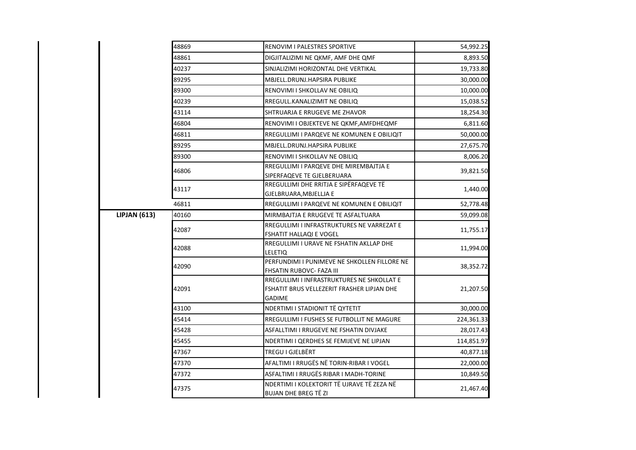|                     | 48869 | RENOVIM I PALESTRES SPORTIVE                                                                              | 54,992.25  |
|---------------------|-------|-----------------------------------------------------------------------------------------------------------|------------|
|                     | 48861 | DIGJITALIZIMI NE QKMF, AMF DHE QMF                                                                        | 8,893.50   |
|                     | 40237 | SINJALIZIMI HORIZONTAL DHE VERTIKAL                                                                       | 19,733.80  |
|                     | 89295 | MBJELL.DRUNJ.HAPSIRA PUBLIKE                                                                              | 30,000.00  |
|                     | 89300 | RENOVIMI I SHKOLLAV NE OBILIQ                                                                             | 10,000.00  |
|                     | 40239 | RREGULL.KANALIZIMIT NE OBILIQ                                                                             | 15,038.52  |
|                     | 43114 | SHTRUARJA E RRUGEVE ME ZHAVOR                                                                             | 18,254.30  |
|                     | 46804 | RENOVIMI I OBJEKTEVE NE QKMF, AMFDHEQMF                                                                   | 6,811.60   |
|                     | 46811 | RREGULLIMI I PARQEVE NE KOMUNEN E OBILIQIT                                                                | 50,000.00  |
|                     | 89295 | MBJELL.DRUNJ.HAPSIRA PUBLIKE                                                                              | 27,675.70  |
|                     | 89300 | RENOVIMI I SHKOLLAV NE OBILIQ                                                                             | 8,006.20   |
|                     | 46806 | RREGULLIMI I PARQEVE DHE MIREMBAJTJA E<br>SIPERFAQEVE TE GJELBERUARA                                      | 39,821.50  |
|                     | 43117 | RREGULLIMI DHE RRITJA E SIPËRFAQEVE TË<br>GJELBRUARA, MBJELLJA E                                          | 1,440.00   |
|                     | 46811 | RREGULLIMI I PARQEVE NE KOMUNEN E OBILIQIT                                                                | 52,778.48  |
| <b>LIPJAN (613)</b> | 40160 | MIRMBAJTJA E RRUGEVE TE ASFALTUARA                                                                        | 59,099.08  |
|                     | 42087 | RREGULLIMI I INFRASTRUKTURES NE VARREZAT E<br>FSHATIT HALLAQI E VOGEL                                     | 11,755.17  |
|                     | 42088 | RREGULLIMI I URAVE NE FSHATIN AKLLAP DHE<br>LELETIQ                                                       | 11,994.00  |
|                     | 42090 | PERFUNDIMI I PUNIMEVE NE SHKOLLEN FILLORE NE<br>FHSATIN RUBOVC- FAZA III                                  | 38,352.72  |
|                     | 42091 | RREGULLIMI I INFRASTRUKTURES NE SHKOLLAT E<br>FSHATIT BRUS VELLEZERIT FRASHER LIPJAN DHE<br><b>GADIME</b> | 21,207.50  |
|                     | 43100 | NDERTIMI I STADIONIT TË QYTETIT                                                                           | 30,000.00  |
|                     | 45414 | RREGULLIMI I FUSHES SE FUTBOLLIT NE MAGURE                                                                | 224,361.33 |
|                     | 45428 | ASFALLTIMI I RRUGEVE NE FSHATIN DIVJAKE                                                                   | 28,017.43  |
|                     | 45455 | NDERTIMI I QERDHES SE FEMIJEVE NE LIPJAN                                                                  | 114,851.97 |
|                     | 47367 | TREGU I GJELBËRT                                                                                          | 40,877.18  |
|                     | 47370 | AFALTIMI I RRUGËS NË TORIN-RIBAR I VOGEL                                                                  | 22,000.00  |
|                     | 47372 | ASFALTIMI I RRUGËS RIBAR I MADH-TORINE                                                                    | 10,849.50  |
|                     | 47375 | NDERTIMI I KOLEKTORIT TË UJRAVE TË ZEZA NË<br><b>BUJAN DHE BREG TË ZI</b>                                 | 21,467.40  |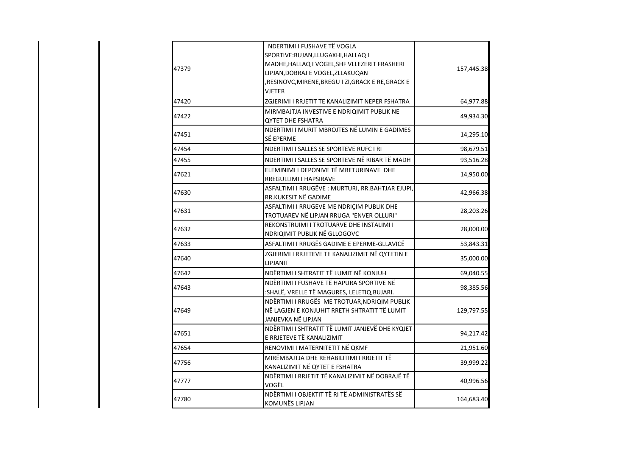| 47379 | NDERTIMI I FUSHAVE TË VOGLA<br>SPORTIVE: BUJAN, LLUGAXHI, HALLAQ I    |            |
|-------|-----------------------------------------------------------------------|------------|
|       | MADHE, HALLAQ I VOGEL, SHF VLLEZERIT FRASHERI                         |            |
|       | LIPJAN, DOBRAJ E VOGEL, ZLLAKUQAN                                     | 157,445.38 |
|       | ,RESINOVC,MIRENE,BREGU I ZI,GRACK E RE,GRACK E                        |            |
|       | VJETER                                                                |            |
| 47420 | ZGJERIMI I RRJETIT TE KANALIZIMIT NEPER FSHATRA                       | 64,977.88  |
|       | MIRMBAJTJA INVESTIVE E NDRIQIMIT PUBLIK NE                            |            |
| 47422 | <b>QYTET DHE FSHATRA</b>                                              | 49,934.30  |
| 47451 | NDERTIMI I MURIT MBROJTES NË LUMIN E GADIMES                          | 14,295.10  |
|       | SË EPERME                                                             |            |
| 47454 | NDERTIMI I SALLES SE SPORTEVE RUFC I RI                               | 98,679.51  |
| 47455 | NDERTIMI I SALLES SE SPORTEVE NË RIBAR TË MADH                        | 93,516.28  |
| 47621 | ELEMINIMI I DEPONIVE TË MBETURINAVE DHE                               | 14,950.00  |
|       | RREGULLIMI I HAPSIRAVE                                                |            |
| 47630 | ASFALTIMI I RRUGËVE: MURTURI, RR.BAHTJAR EJUPI,                       | 42,966.38  |
|       | RR.KUKESIT NË GADIME                                                  |            |
| 47631 | ASFALTIMI I RRUGEVE ME NDRIÇIM PUBLIK DHE                             | 28,203.26  |
|       | TROTUAREV NË LIPJAN RRUGA "ENVER OLLURI"                              |            |
| 47632 | REKONSTRUIMI I TROTUARVE DHE INSTALIMI I                              | 28,000.00  |
|       | NDRIQIMIT PUBLIK NË GLLOGOVC                                          |            |
| 47633 | ASFALTIMI I RRUGËS GADIME E EPERME-GLLAVICË                           | 53,843.31  |
| 47640 | ZGJERIMI I RRJETEVE TE KANALIZIMIT NË QYTETIN E                       | 35,000.00  |
|       | LIPJANIT                                                              |            |
| 47642 | NDËRTIMI I SHTRATIT TË LUMIT NË KONJUH                                | 69,040.55  |
| 47643 | NDËRTIMI I FUSHAVE TË HAPURA SPORTIVE NË                              | 98,385.56  |
|       | :SHALË, VRELLE TË MAGURES, LELETIQ, BUJARI.                           |            |
|       | NDËRTIMI I RRUGËS ME TROTUAR, NDRIQIM PUBLIK                          |            |
| 47649 | NË LAGJEN E KONJUHIT RRETH SHTRATIT TË LUMIT                          | 129,797.55 |
|       | JANJEVKA NË LIPJAN<br>NDËRTIMI I SHTRATIT TË LUMIT JANJEVË DHE KYQJET |            |
| 47651 | E RRJETEVE TË KANALIZIMIT                                             | 94,217.42  |
| 47654 | RENOVIMI I MATERNITETIT NË QKMF                                       | 21,951.60  |
|       | MIRËMBAJTJA DHE REHABILITIMI I RRJETIT TË                             |            |
| 47756 | KANALIZIMIT NË QYTET E FSHATRA                                        | 39,999.22  |
|       | NDËRTIMI I RRJETIT TË KANALIZIMIT NË DOBRAJË TË                       |            |
| 47777 | VOGËL                                                                 | 40,996.56  |
|       | NDËRTIMI I OBJEKTIT TË RI TË ADMINISTRATËS SË                         |            |
| 47780 | <b>KOMUNËS LIPJAN</b>                                                 | 164,683.40 |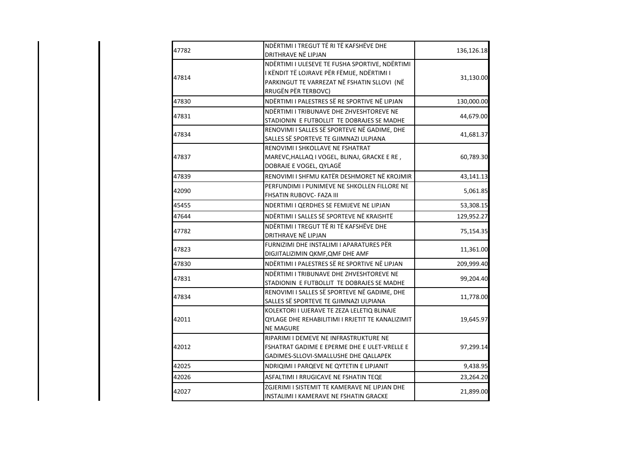| 47782 | NDËRTIMI I TREGUT TË RI TË KAFSHËVE DHE<br>DRITHRAVE NË LIPJAN                                                                                                     | 136,126.18 |
|-------|--------------------------------------------------------------------------------------------------------------------------------------------------------------------|------------|
| 47814 | NDËRTIMI I ULESEVE TE FUSHA SPORTIVE, NDËRTIMI<br>I KËNDIT TË LOJRAVE PËR FËMIJE, NDËRTIMI I<br>PARKINGUT TE VARREZAT NË FSHATIN SLLOVI (NË<br>RRUGËN PËR TERBOVC) | 31,130.00  |
| 47830 | NDËRTIMI I PALESTRES SË RE SPORTIVE NË LIPJAN                                                                                                                      | 130,000.00 |
| 47831 | NDËRTIMI I TRIBUNAVE DHE ZHVESHTOREVE NE<br>STADIONIN E FUTBOLLIT TE DOBRAJES SE MADHE                                                                             | 44,679.00  |
| 47834 | RENOVIMI I SALLES SË SPORTEVE NË GADIME, DHE<br>SALLES SË SPORTEVE TE GJIMNAZI ULPIANA                                                                             | 41,681.37  |
| 47837 | RENOVIMI I SHKOLLAVE NE FSHATRAT<br>MAREVC, HALLAQ I VOGEL, BLINAJ, GRACKE E RE,<br>DOBRAJE E VOGEL, QYLAGË                                                        | 60,789.30  |
| 47839 | RENOVIMI I SHFMU KATËR DESHMORET NË KROJMIR                                                                                                                        | 43,141.13  |
| 42090 | PERFUNDIMI I PUNIMEVE NE SHKOLLEN FILLORE NE<br>FHSATIN RUBOVC- FAZA III                                                                                           | 5,061.85   |
| 45455 | NDERTIMI I QERDHES SE FEMIJEVE NE LIPJAN                                                                                                                           | 53,308.15  |
| 47644 | NDËRTIMI I SALLES SË SPORTEVE NË KRAISHTË                                                                                                                          | 129,952.27 |
| 47782 | NDËRTIMI I TREGUT TË RI TË KAFSHËVE DHE<br>DRITHRAVE NË LIPJAN                                                                                                     | 75,154.35  |
| 47823 | FURNIZIMI DHE INSTALIMI I APARATURES PËR<br>DIGJITALIZIMIN QKMF, QMF DHE AMF                                                                                       | 11,361.00  |
| 47830 | NDËRTIMI I PALESTRES SË RE SPORTIVE NË LIPJAN                                                                                                                      | 209,999.40 |
| 47831 | NDËRTIMI I TRIBUNAVE DHE ZHVESHTOREVE NE<br>STADIONIN E FUTBOLLIT TE DOBRAJES SE MADHE                                                                             | 99,204.40  |
| 47834 | RENOVIMI I SALLES SË SPORTEVE NË GADIME, DHE<br>SALLES SË SPORTEVE TE GJIMNAZI ULPIANA                                                                             | 11,778.00  |
| 42011 | KOLEKTORI I UJERAVE TE ZEZA LELETIQ BLINAJE<br>QYLAGE DHE REHABILITIMI I RRJETIT TE KANALIZIMIT<br><b>NE MAGURE</b>                                                | 19,645.97  |
| 42012 | RIPARIMI I DEMEVE NE INFRASTRUKTURE NE<br>FSHATRAT GADIME E EPERME DHE E ULET-VRELLE E<br>GADIMES-SLLOVI-SMALLUSHE DHE QALLAPEK                                    | 97,299.14  |
| 42025 | NDRIQIMI I PARQEVE NE QYTETIN E LIPJANIT                                                                                                                           | 9,438.95   |
| 42026 | ASFALTIMI I RRUGICAVE NE FSHATIN TEQE                                                                                                                              | 23,264.20  |
| 42027 | ZGJERIMI I SISTEMIT TE KAMERAVE NE LIPJAN DHE<br>INSTALIMI I KAMERAVE NE FSHATIN GRACKE                                                                            | 21,899.00  |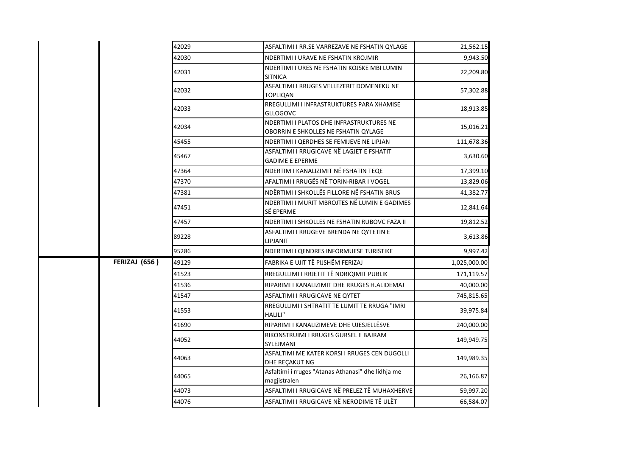|  |                      | 42029 | ASFALTIMI I RR.SE VARREZAVE NE FSHATIN QYLAGE                                    | 21,562.15    |
|--|----------------------|-------|----------------------------------------------------------------------------------|--------------|
|  |                      | 42030 | NDERTIMI I URAVE NE FSHATIN KROJMIR                                              | 9,943.50     |
|  |                      | 42031 | NDERTIMI I URES NE FSHATIN KOJSKE MBI LUMIN<br><b>SITNICA</b>                    | 22,209.80    |
|  |                      | 42032 | ASFALTIMI I RRUGES VELLEZERIT DOMENEKU NE<br>TOPLIQAN                            | 57,302.88    |
|  |                      | 42033 | RREGULLIMI I INFRASTRUKTURES PARA XHAMISE<br><b>GLLOGOVC</b>                     | 18,913.85    |
|  |                      | 42034 | NDERTIMI I PLATOS DHE INFRASTRUKTURES NE<br>OBORRIN E SHKOLLES NE FSHATIN QYLAGE | 15,016.21    |
|  |                      | 45455 | NDERTIMI I QERDHES SE FEMIJEVE NE LIPJAN                                         | 111,678.36   |
|  |                      | 45467 | ASFALTIMI I RRUGICAVE NË LAGJET E FSHATIT<br><b>GADIME E EPERME</b>              | 3,630.60     |
|  |                      | 47364 | NDERTIM I KANALIZIMIT NË FSHATIN TEQE                                            | 17,399.10    |
|  |                      | 47370 | AFALTIMI I RRUGËS NË TORIN-RIBAR I VOGEL                                         | 13,829.06    |
|  |                      | 47381 | NDËRTIMI I SHKOLLËS FILLORE NË FSHATIN BRUS                                      | 41,382.77    |
|  |                      | 47451 | NDERTIMI I MURIT MBROJTES NË LUMIN E GADIMES<br>SË EPERME                        | 12,841.64    |
|  |                      | 47457 | NDERTIMI I SHKOLLES NE FSHATIN RUBOVC FAZA II                                    | 19,812.52    |
|  |                      | 89228 | ASFALTIMI I RRUGEVE BRENDA NE QYTETIN E<br>LIPJANIT                              | 3,613.86     |
|  |                      | 95286 | NDERTIMI I QENDRES INFORMUESE TURISTIKE                                          | 9,997.42     |
|  | <b>FERIZAJ (656)</b> | 49129 | FABRIKA E UJIT TË PIJSHËM FERIZAJ                                                | 1,025,000.00 |
|  |                      | 41523 | RREGULLIMI I RRJETIT TË NDRIQIMIT PUBLIK                                         | 171,119.57   |
|  |                      | 41536 | RIPARIMI I KANALIZIMIT DHE RRUGES H.ALIDEMAJ                                     | 40,000.00    |
|  |                      | 41547 | ASFALTIMI I RRUGICAVE NE QYTET                                                   | 745,815.65   |
|  |                      | 41553 | RREGULLIMI I SHTRATIT TE LUMIT TE RRUGA "IMRI<br>HALILI"                         | 39,975.84    |
|  |                      | 41690 | RIPARIMI I KANALIZIMEVE DHE UJESJELLËSVE                                         | 240,000.00   |
|  |                      | 44052 | RIKONSTRUIMI I RRUGES GURSEL E BAJRAM<br>SYLEJMANI                               | 149,949.75   |
|  |                      | 44063 | ASFALTIMI ME KATER KORSI I RRUGES CEN DUGOLLI<br>DHE REÇAKUT NG                  | 149,989.35   |
|  |                      | 44065 | Asfaltimi i rruges "Atanas Athanasi" dhe lidhja me<br>magjistralen               | 26,166.87    |
|  |                      | 44073 | ASFALTIMI I RRUGICAVE NË PRELEZ TË MUHAXHERVE                                    | 59,997.20    |
|  |                      | 44076 | ASFALTIMI I RRUGICAVE NË NERODIME TË ULËT                                        | 66,584.07    |
|  |                      |       |                                                                                  |              |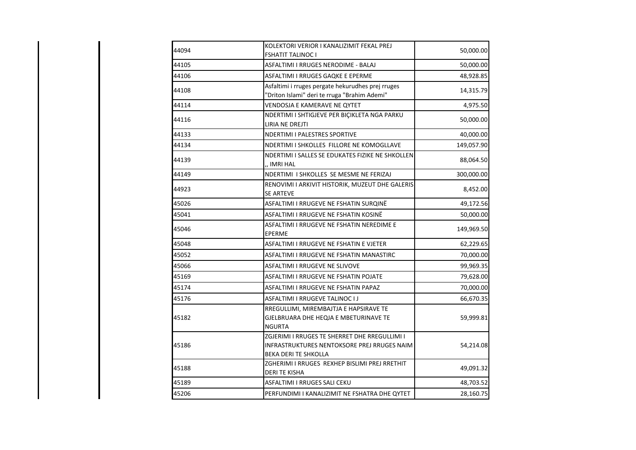| 44094 | KOLEKTORI VERIOR I KANALIZIMIT FEKAL PREJ<br><b>FSHATIT TALINOC I</b>                                                | 50,000.00  |
|-------|----------------------------------------------------------------------------------------------------------------------|------------|
| 44105 | ASFALTIMI I RRUGES NERODIME - BALAJ                                                                                  | 50,000.00  |
| 44106 | ASFALTIMI I RRUGES GAQKE E EPERME                                                                                    | 48,928.85  |
| 44108 | Asfaltimi i rruges pergate hekurudhes prej rruges<br>"Driton Islami" deri te rruga "Brahim Ademi"                    | 14,315.79  |
| 44114 | VENDOSJA E KAMERAVE NE QYTET                                                                                         | 4,975.50   |
| 44116 | NDERTIMI I SHTIGJEVE PER BIÇIKLETA NGA PARKU<br>LIRIA NE DREJTI                                                      | 50,000.00  |
| 44133 | <b>NDERTIMI I PALESTRES SPORTIVE</b>                                                                                 | 40,000.00  |
| 44134 | NDERTIMI I SHKOLLES FILLORE NE KOMOGLLAVE                                                                            | 149,057.90 |
| 44139 | NDERTIMI I SALLES SE EDUKATES FIZIKE NE SHKOLLEN<br>,, IMRI HAL                                                      | 88,064.50  |
| 44149 | NDERTIMI I SHKOLLES SE MESME NE FERIZAJ                                                                              | 300,000.00 |
| 44923 | RENOVIMI I ARKIVIT HISTORIK, MUZEUT DHE GALERIS<br>SE ARTEVE                                                         | 8,452.00   |
| 45026 | ASFALTIMI I RRUGEVE NE FSHATIN SURQINË                                                                               | 49,172.56  |
| 45041 | ASFALTIMI I RRUGEVE NE FSHATIN KOSINË                                                                                | 50,000.00  |
| 45046 | ASFALTIMI I RRUGEVE NE FSHATIN NEREDIME E<br>EPERME                                                                  | 149,969.50 |
| 45048 | ASFALTIMI I RRUGEVE NE FSHATIN E VJETER                                                                              | 62,229.65  |
| 45052 | ASFALTIMI I RRUGEVE NE FSHATIN MANASTIRC                                                                             | 70,000.00  |
| 45066 | <b>ASFALTIMI I RRUGEVE NE SLIVOVE</b>                                                                                | 99,969.35  |
| 45169 | ASFALTIMI I RRUGEVE NE FSHATIN POJATE                                                                                | 79,628.00  |
| 45174 | ASFALTIMI I RRUGEVE NE FSHATIN PAPAZ                                                                                 | 70,000.00  |
| 45176 | ASFALTIMI I RRUGEVE TALINOC I J                                                                                      | 66,670.35  |
| 45182 | RREGULLIMI, MIREMBAJTJA E HAPSIRAVE TE<br>GJELBRUARA DHE HEQJA E MBETURINAVE TE<br><b>NGURTA</b>                     | 59,999.81  |
| 45186 | ZGJERIMI I RRUGES TE SHERRET DHE RREGULLIMI I<br>INFRASTRUKTURES NENTOKSORE PREJ RRUGES NAIM<br>BEKA DERI TE SHKOLLA | 54,214.08  |
| 45188 | ZGHERIMI I RRUGES REXHEP BISLIMI PREJ RRETHIT<br><b>DERI TE KISHA</b>                                                | 49,091.32  |
| 45189 | ASFALTIMI I RRUGES SALI CEKU                                                                                         | 48,703.52  |
| 45206 | PERFUNDIMI I KANALIZIMIT NE FSHATRA DHE QYTET                                                                        | 28,160.75  |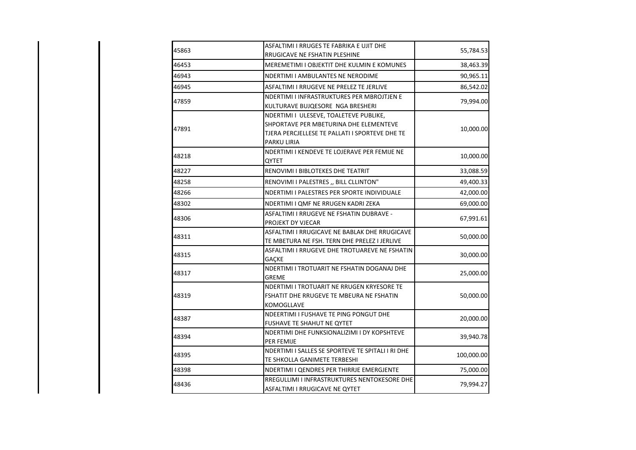| 45863 | ASFALTIMI I RRUGES TE FABRIKA E UJIT DHE<br>RRUGICAVE NE FSHATIN PLESHINE                                                                         | 55,784.53  |
|-------|---------------------------------------------------------------------------------------------------------------------------------------------------|------------|
| 46453 | MEREMETIMI I OBJEKTIT DHE KULMIN E KOMUNES                                                                                                        | 38,463.39  |
| 46943 | NDERTIMI I AMBULANTES NE NERODIME                                                                                                                 | 90,965.11  |
| 46945 | ASFALTIMI I RRUGEVE NE PRELEZ TE JERLIVE                                                                                                          | 86,542.02  |
| 47859 | NDERTIMI I INFRASTRUKTURES PER MBROJTJEN E<br>KULTURAVE BUJQESORE NGA BRESHERI                                                                    | 79,994.00  |
| 47891 | NDERTIMI I ULESEVE, TOALETEVE PUBLIKE,<br>SHPORTAVE PER MBETURINA DHE ELEMENTEVE<br>TJERA PERCJELLESE TE PALLATI I SPORTEVE DHE TE<br>PARKU LIRIA | 10,000.00  |
| 48218 | NDERTIMI I KENDEVE TE LOJERAVE PER FEMIJE NE<br>QYTET                                                                                             | 10,000.00  |
| 48227 | RENOVIMI I BIBLOTEKES DHE TEATRIT                                                                                                                 | 33,088.59  |
| 48258 | RENOVIMI I PALESTRES ,, BILL CLLINTON"                                                                                                            | 49,400.33  |
| 48266 | NDERTIMI I PALESTRES PER SPORTE INDIVIDUALE                                                                                                       | 42,000.00  |
| 48302 | NDERTIMI I QMF NE RRUGEN KADRI ZEKA                                                                                                               | 69,000.00  |
| 48306 | ASFALTIMI I RRUGEVE NE FSHATIN DUBRAVE -<br>PROJEKT DY VJECAR                                                                                     | 67,991.61  |
| 48311 | ASFALTIMI I RRUGICAVE NE BABLAK DHE RRUGICAVE<br>TE MBETURA NE FSH. TERN DHE PRELEZ I JERLIVE                                                     | 50,000.00  |
| 48315 | ASFALTIMI I RRUGEVE DHE TROTUAREVE NE FSHATIN<br><b>GACKE</b>                                                                                     | 30,000.00  |
| 48317 | NDERTIMI I TROTUARIT NE FSHATIN DOGANAJ DHE<br><b>GREME</b>                                                                                       | 25,000.00  |
| 48319 | NDERTIMI I TROTUARIT NE RRUGEN KRYESORE TE<br>FSHATIT DHE RRUGEVE TE MBEURA NE FSHATIN<br>KOMOGLLAVE                                              | 50,000.00  |
| 48387 | NDEERTIMI I FUSHAVE TE PING PONGUT DHE<br>FUSHAVE TE SHAHUT NE QYTET                                                                              | 20,000.00  |
| 48394 | NDERTIMI DHE FUNKSIONALIZIMI I DY KOPSHTEVE<br>PER FEMIJE                                                                                         | 39,940.78  |
| 48395 | NDERTIMI I SALLES SE SPORTEVE TE SPITALI I RI DHE<br>TE SHKOLLA GANIMETE TERBESHI                                                                 | 100,000.00 |
| 48398 | NDERTIMI I QENDRES PER THIRRJE EMERGJENTE                                                                                                         | 75,000.00  |
| 48436 | RREGULLIMI I INFRASTRUKTURES NENTOKESORE DHE<br>ASFALTIMI I RRUGICAVE NE QYTET                                                                    | 79,994.27  |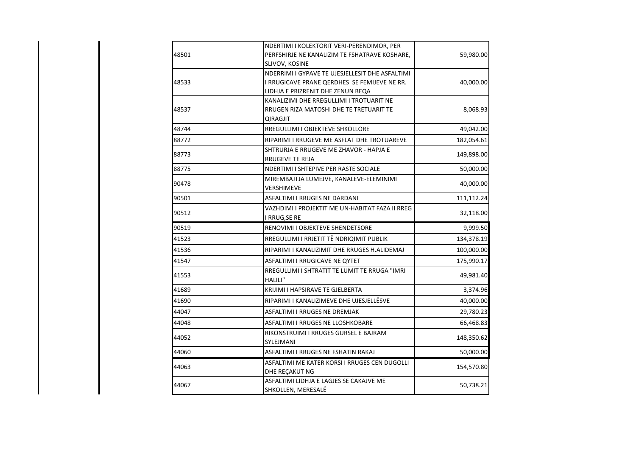|       | NDERTIMI I KOLEKTORIT VERI-PERENDIMOR, PER      |            |
|-------|-------------------------------------------------|------------|
| 48501 | PERFSHIRJE NE KANALIZIM TE FSHATRAVE KOSHARE,   | 59,980.00  |
|       | SLIVOV, KOSINE                                  |            |
|       | NDERRIMI I GYPAVE TE UJESJELLESIT DHE ASFALTIMI |            |
| 48533 | I RRUGICAVE PRANE QERDHES SE FEMIJEVE NE RR.    | 40,000.00  |
|       | LIDHJA E PRIZRENIT DHE ZENUN BEQA               |            |
|       | KANALIZIMI DHE RREGULLIMI I TROTUARIT NE        |            |
| 48537 | RRUGEN RIZA MATOSHI DHE TE TRETUARIT TE         | 8,068.93   |
|       | QIRAGJIT                                        |            |
| 48744 | RREGULLIMI I OBJEKTEVE SHKOLLORE                | 49,042.00  |
| 88772 | RIPARIMI I RRUGEVE ME ASFLAT DHE TROTUAREVE     | 182,054.61 |
|       | SHTRURJA E RRUGEVE ME ZHAVOR - HAPJA E          |            |
| 88773 | RRUGEVE TE REJA                                 | 149,898.00 |
| 88775 | NDERTIMI I SHTEPIVE PER RASTE SOCIALE           | 50,000.00  |
|       | MIREMBAJTJA LUMEJVE, KANALEVE-ELEMINIMI         |            |
| 90478 | VERSHIMEVE                                      | 40,000.00  |
| 90501 | ASFALTIMI I RRUGES NE DARDANI                   | 111,112.24 |
|       | VAZHDIMI I PROJEKTIT ME UN-HABITAT FAZA II RREG |            |
| 90512 | I RRUG, SE RE                                   | 32,118.00  |
| 90519 | RENOVIMI I OBJEKTEVE SHENDETSORE                | 9,999.50   |
| 41523 | RREGULLIMI I RRJETIT TË NDRIQIMIT PUBLIK        | 134,378.19 |
| 41536 | RIPARIMI I KANALIZIMIT DHE RRUGES H.ALIDEMAJ    | 100,000.00 |
| 41547 | ASFALTIMI I RRUGICAVE NE QYTET                  | 175,990.17 |
| 41553 | RREGULLIMI I SHTRATIT TE LUMIT TE RRUGA "IMRI   | 49,981.40  |
|       | HALILI"                                         |            |
| 41689 | KRIJIMI I HAPSIRAVE TE GJELBERTA                | 3,374.96   |
| 41690 | RIPARIMI I KANALIZIMEVE DHE UJESJELLËSVE        | 40,000.00  |
| 44047 | <b>ASFALTIMI I RRUGES NE DREMJAK</b>            | 29,780.23  |
| 44048 | ASFALTIMI I RRUGES NE LLOSHKOBARE               | 66,468.83  |
| 44052 | RIKONSTRUIMI I RRUGES GURSEL E BAJRAM           | 148,350.62 |
|       | SYLEJMANI                                       |            |
| 44060 | ASFALTIMI I RRUGES NE FSHATIN RAKAJ             | 50,000.00  |
| 44063 | ASFALTIMI ME KATER KORSI I RRUGES CEN DUGOLLI   | 154,570.80 |
|       | DHE REÇAKUT NG                                  |            |
| 44067 | ASFALTIMI LIDHJA E LAGJES SE CAKAJVE ME         | 50,738.21  |
|       | SHKOLLEN, MERESALË                              |            |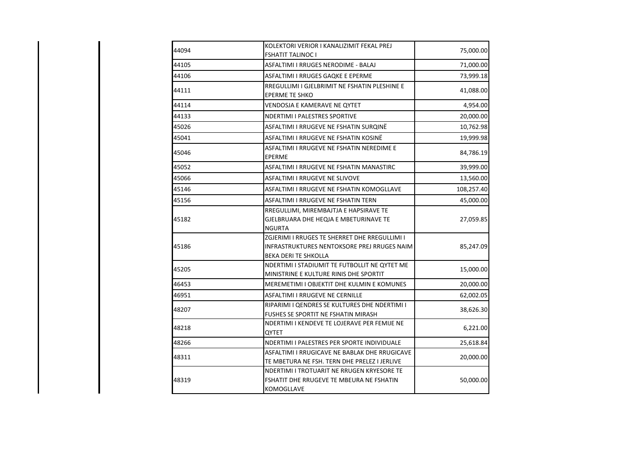| 44094 | KOLEKTORI VERIOR I KANALIZIMIT FEKAL PREJ<br><b>FSHATIT TALINOC I</b>                                                | 75,000.00  |
|-------|----------------------------------------------------------------------------------------------------------------------|------------|
| 44105 | ASFALTIMI I RRUGES NERODIME - BALAJ                                                                                  | 71,000.00  |
| 44106 | ASFALTIMI I RRUGES GAQKE E EPERME                                                                                    | 73,999.18  |
| 44111 | RREGULLIMI I GJELBRIMIT NE FSHATIN PLESHINE E<br><b>EPERME TE SHKO</b>                                               | 41,088.00  |
| 44114 | VENDOSJA E KAMERAVE NE QYTET                                                                                         | 4,954.00   |
| 44133 | NDERTIMI I PALESTRES SPORTIVE                                                                                        | 20,000.00  |
| 45026 | ASFALTIMI I RRUGEVE NE FSHATIN SURQINË                                                                               | 10,762.98  |
| 45041 | ASFALTIMI I RRUGEVE NE FSHATIN KOSINË                                                                                | 19,999.98  |
| 45046 | ASFALTIMI I RRUGEVE NE FSHATIN NEREDIME E<br><b>EPERME</b>                                                           | 84,786.19  |
| 45052 | ASFALTIMI I RRUGEVE NE FSHATIN MANASTIRC                                                                             | 39,999.00  |
| 45066 | <b>ASFALTIMI I RRUGEVE NE SLIVOVE</b>                                                                                | 13,560.00  |
| 45146 | ASFALTIMI I RRUGEVE NE FSHATIN KOMOGLLAVE                                                                            | 108,257.40 |
| 45156 | ASFALTIMI I RRUGEVE NE FSHATIN TERN                                                                                  | 45,000.00  |
| 45182 | RREGULLIMI, MIREMBAJTJA E HAPSIRAVE TE<br>GJELBRUARA DHE HEQJA E MBETURINAVE TE<br><b>NGURTA</b>                     | 27,059.85  |
| 45186 | ZGJERIMI I RRUGES TE SHERRET DHE RREGULLIMI I<br>INFRASTRUKTURES NENTOKSORE PREJ RRUGES NAIM<br>BEKA DERI TE SHKOLLA | 85,247.09  |
| 45205 | NDERTIMI I STADIUMIT TE FUTBOLLIT NE QYTET ME<br>MINISTRINE E KULTURE RINIS DHE SPORTIT                              | 15,000.00  |
| 46453 | MEREMETIMI I OBJEKTIT DHE KULMIN E KOMUNES                                                                           | 20,000.00  |
| 46951 | <b>ASFALTIMI I RRUGEVE NE CERNILLE</b>                                                                               | 62,002.05  |
| 48207 | RIPARIMI I QENDRES SE KULTURES DHE NDERTIMI I<br>FUSHES SE SPORTIT NE FSHATIN MIRASH                                 | 38,626.30  |
| 48218 | NDERTIMI I KENDEVE TE LOJERAVE PER FEMIJE NE<br>QYTET                                                                | 6,221.00   |
| 48266 | NDERTIMI I PALESTRES PER SPORTE INDIVIDUALE                                                                          | 25,618.84  |
| 48311 | ASFALTIMI I RRUGICAVE NE BABLAK DHE RRUGICAVE<br>TE MBETURA NE FSH. TERN DHE PRELEZ I JERLIVE                        | 20,000.00  |
| 48319 | NDERTIMI I TROTUARIT NE RRUGEN KRYESORE TE<br>FSHATIT DHE RRUGEVE TE MBEURA NE FSHATIN<br>KOMOGLLAVE                 | 50,000.00  |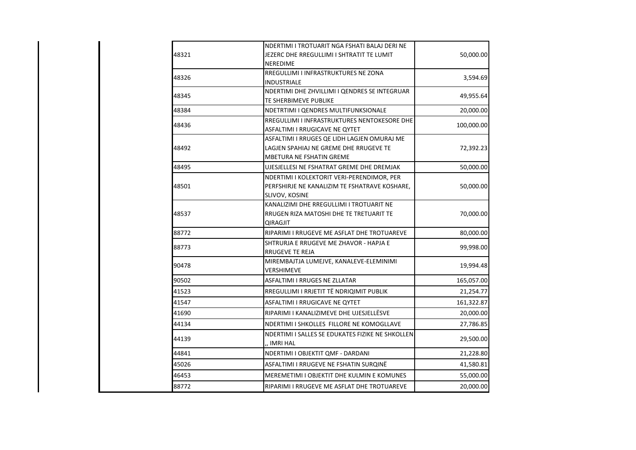|       | NDERTIMI I TROTUARIT NGA FSHATI BALAJ DERI NE                             |            |
|-------|---------------------------------------------------------------------------|------------|
| 48321 | JEZERC DHE RREGULLIMI I SHTRATIT TE LUMIT                                 | 50,000.00  |
|       | NEREDIME                                                                  |            |
| 48326 | RREGULLIMI I INFRASTRUKTURES NE ZONA                                      | 3,594.69   |
|       | INDUSTRIALE                                                               |            |
| 48345 | NDERTIMI DHE ZHVILLIMI I QENDRES SE INTEGRUAR                             | 49,955.64  |
|       | TE SHERBIMEVE PUBLIKE                                                     |            |
| 48384 | NDETRTIMI I QENDRES MULTIFUNKSIONALE                                      | 20,000.00  |
| 48436 | RREGULLIMI I INFRASTRUKTURES NENTOKESORE DHE                              | 100,000.00 |
|       | ASFALTIMI I RRUGICAVE NE QYTET                                            |            |
|       | ASFALTIMI I RRUGES QE LIDH LAGJEN OMURAJ ME                               |            |
| 48492 | LAGJEN SPAHIAJ NE GREME DHE RRUGEVE TE<br><b>MBETURA NE FSHATIN GREME</b> | 72,392.23  |
| 48495 | UJESJELLESI NE FSHATRAT GREME DHE DREMJAK                                 | 50,000.00  |
|       | NDERTIMI I KOLEKTORIT VERI-PERENDIMOR, PER                                |            |
| 48501 | PERFSHIRJE NE KANALIZIM TE FSHATRAVE KOSHARE,                             | 50,000.00  |
|       | SLIVOV, KOSINE                                                            |            |
|       | KANALIZIMI DHE RREGULLIMI I TROTUARIT NE                                  |            |
| 48537 | RRUGEN RIZA MATOSHI DHE TE TRETUARIT TE                                   | 70,000.00  |
|       | <b>QIRAGJIT</b>                                                           |            |
| 88772 | RIPARIMI I RRUGEVE ME ASFLAT DHE TROTUAREVE                               | 80,000.00  |
| 88773 | ISHTRURJA E RRUGEVE ME ZHAVOR - HAPJA E                                   | 99,998.00  |
|       | RRUGEVE TE REJA                                                           |            |
| 90478 | MIREMBAJTJA LUMEJVE, KANALEVE-ELEMINIMI                                   | 19,994.48  |
|       | VERSHIMEVE                                                                |            |
| 90502 | ASFALTIMI I RRUGES NE ZLLATAR                                             | 165,057.00 |
| 41523 | RREGULLIMI I RRJETIT TË NDRIQIMIT PUBLIK                                  | 21,254.77  |
| 41547 | ASFALTIMI I RRUGICAVE NE QYTET                                            | 161,322.87 |
| 41690 | RIPARIMI I KANALIZIMEVE DHE UJESJELLËSVE                                  | 20,000.00  |
| 44134 | NDERTIMI I SHKOLLES FILLORE NE KOMOGLLAVE                                 | 27,786.85  |
| 44139 | NDERTIMI I SALLES SE EDUKATES FIZIKE NE SHKOLLEN                          | 29,500.00  |
|       | ,, IMRI HAL                                                               |            |
| 44841 | NDERTIMI I OBJEKTIT QMF - DARDANI                                         | 21,228.80  |
| 45026 | ASFALTIMI I RRUGEVE NE FSHATIN SURQINË                                    | 41,580.81  |
| 46453 | MEREMETIMI I OBJEKTIT DHE KULMIN E KOMUNES                                | 55,000.00  |
| 88772 | RIPARIMI I RRUGEVE ME ASFLAT DHE TROTUAREVE                               | 20,000.00  |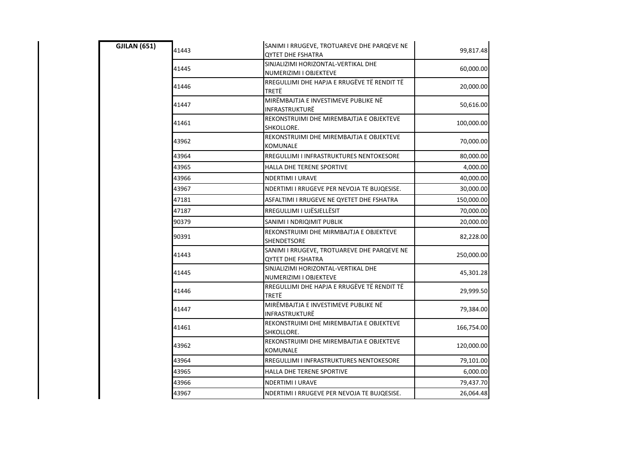| <b>GJILAN (651)</b> | 41443 | SANIMI I RRUGEVE, TROTUAREVE DHE PARQEVE NE<br>QYTET DHE FSHATRA | 99,817.48  |
|---------------------|-------|------------------------------------------------------------------|------------|
|                     | 41445 | SINJALIZIMI HORIZONTAL-VERTIKAL DHE<br>NUMERIZIMI I OBJEKTEVE    | 60,000.00  |
|                     | 41446 | RREGULLIMI DHE HAPJA E RRUGËVE TË RENDIT TË<br>TRETË             | 20,000.00  |
|                     | 41447 | MIRËMBAJTJA E INVESTIMEVE PUBLIKE NË<br>INFRASTRUKTURË           | 50,616.00  |
|                     | 41461 | REKONSTRUIMI DHE MIREMBAJTJA E OBJEKTEVE<br>SHKOLLORE.           | 100,000.00 |
|                     | 43962 | REKONSTRUIMI DHE MIREMBAJTJA E OBJEKTEVE<br>KOMUNALE             | 70,000.00  |
|                     | 43964 | RREGULLIMI I INFRASTRUKTURES NENTOKESORE                         | 80,000.00  |
|                     | 43965 | HALLA DHE TERENE SPORTIVE                                        | 4,000.00   |
|                     | 43966 | NDERTIMI I URAVE                                                 | 40,000.00  |
|                     | 43967 | NDERTIMI I RRUGEVE PER NEVOJA TE BUJQESISE.                      | 30,000.00  |
|                     | 47181 | ASFALTIMI I RRUGEVE NE QYETET DHE FSHATRA                        | 150,000.00 |
|                     | 47187 | RREGULLIMI I UJËSJELLËSIT                                        | 70,000.00  |
|                     | 90379 | SANIMI I NDRIQIMIT PUBLIK                                        | 20,000.00  |
|                     | 90391 | REKONSTRUIMI DHE MIRMBAJTJA E OBJEKTEVE<br>SHENDETSORE           | 82,228.00  |
|                     | 41443 | SANIMI I RRUGEVE, TROTUAREVE DHE PARQEVE NE<br>QYTET DHE FSHATRA | 250,000.00 |
|                     | 41445 | SINJALIZIMI HORIZONTAL-VERTIKAL DHE<br>NUMERIZIMI I OBJEKTEVE    | 45,301.28  |
|                     | 41446 | RREGULLIMI DHE HAPJA E RRUGËVE TË RENDIT TË<br>TRETË             | 29,999.50  |
|                     | 41447 | MIRËMBAJTJA E INVESTIMEVE PUBLIKE NË<br>INFRASTRUKTURË           | 79,384.00  |
|                     | 41461 | REKONSTRUIMI DHE MIREMBAJTJA E OBJEKTEVE<br>SHKOLLORE.           | 166,754.00 |
|                     | 43962 | REKONSTRUIMI DHE MIREMBAJTJA E OBJEKTEVE<br>KOMUNALE             | 120,000.00 |
|                     | 43964 | RREGULLIMI I INFRASTRUKTURES NENTOKESORE                         | 79,101.00  |
|                     | 43965 | HALLA DHE TERENE SPORTIVE                                        | 6,000.00   |
|                     | 43966 | NDERTIMI I URAVE                                                 | 79,437.70  |
|                     | 43967 | NDERTIMI I RRUGEVE PER NEVOJA TE BUJQESISE.                      | 26,064.48  |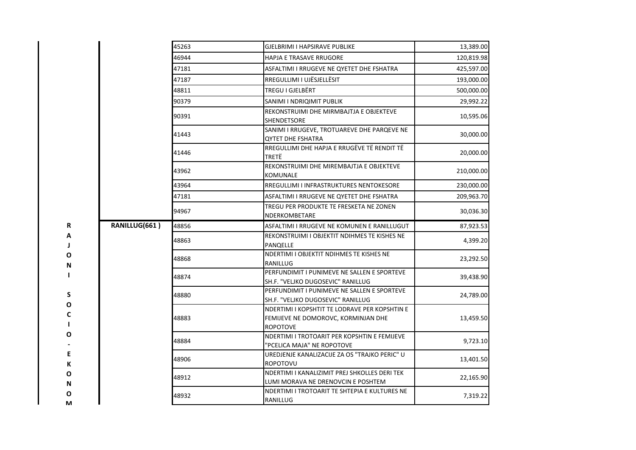|               | 45263 | GJELBRIMI I HAPSIRAVE PUBLIKE                                                                           | 13,389.00  |
|---------------|-------|---------------------------------------------------------------------------------------------------------|------------|
|               | 46944 | <b>HAPJA E TRASAVE RRUGORE</b>                                                                          | 120,819.98 |
|               | 47181 | ASFALTIMI I RRUGEVE NE QYETET DHE FSHATRA                                                               | 425,597.00 |
|               | 47187 | RREGULLIMI I UJËSJELLËSIT                                                                               | 193,000.00 |
|               | 48811 | TREGU I GJELBËRT                                                                                        | 500,000.00 |
|               | 90379 | SANIMI I NDRIQIMIT PUBLIK                                                                               | 29,992.22  |
|               | 90391 | REKONSTRUIMI DHE MIRMBAJTJA E OBJEKTEVE<br><b>SHENDETSORE</b>                                           | 10,595.06  |
|               | 41443 | SANIMI I RRUGEVE, TROTUAREVE DHE PARQEVE NE<br><b>QYTET DHE FSHATRA</b>                                 | 30,000.00  |
|               | 41446 | RREGULLIMI DHE HAPJA E RRUGËVE TË RENDIT TË<br>TRETË                                                    | 20,000.00  |
|               | 43962 | REKONSTRUIMI DHE MIREMBAJTJA E OBJEKTEVE<br>KOMUNALE                                                    | 210,000.00 |
|               | 43964 | RREGULLIMI I INFRASTRUKTURES NENTOKESORE                                                                | 230,000.00 |
|               | 47181 | ASFALTIMI I RRUGEVE NE OYETET DHE FSHATRA                                                               | 209,963.70 |
|               | 94967 | TREGU PER PRODUKTE TE FRESKETA NE ZONEN<br>NDERKOMBETARE                                                | 30,036.30  |
| RANILLUG(661) | 48856 | ASFALTIMI I RRUGEVE NE KOMUNEN E RANILLUGUT                                                             | 87,923.53  |
|               | 48863 | REKONSTRUIMI I OBJEKTIT NDIHMES TE KISHES NE<br>PANQELLE                                                | 4,399.20   |
|               | 48868 | NDERTIMI I OBJEKTIT NDIHMES TE KISHES NE<br>RANILLUG                                                    | 23,292.50  |
|               | 48874 | PERFUNDIMIT I PUNIMEVE NE SALLEN E SPORTEVE<br>SH.F. "VELJKO DUGOSEVIC" RANILLUG                        | 39,438.90  |
|               | 48880 | PERFUNDIMIT I PUNIMEVE NE SALLEN E SPORTEVE<br>SH.F. "VELJKO DUGOSEVIC" RANILLUG                        | 24,789.00  |
|               | 48883 | NDERTIMI I KOPSHTIT TE LODRAVE PER KOPSHTIN E<br>FEMIJEVE NE DOMOROVC, KORMINJAN DHE<br><b>ROPOTOVE</b> | 13,459.50  |
|               | 48884 | NDERTIMI I TROTOARIT PER KOPSHTIN E FEMIJEVE<br>'PCELICA MAJA" NE ROPOTOVE                              | 9,723.10   |
|               | 48906 | UREDJENJE KANALIZACIJE ZA OS "TRAJKO PERIC" U<br>ROPOTOVU                                               | 13,401.50  |
|               | 48912 | NDERTIMI I KANALIZIMIT PREJ SHKOLLES DERI TEK<br>LUMI MORAVA NE DRENOVCIN E POSHTEM                     | 22,165.90  |
|               | 48932 | NDERTIMI I TROTOARIT TE SHTEPIA E KULTURES NE                                                           | 7,319.22   |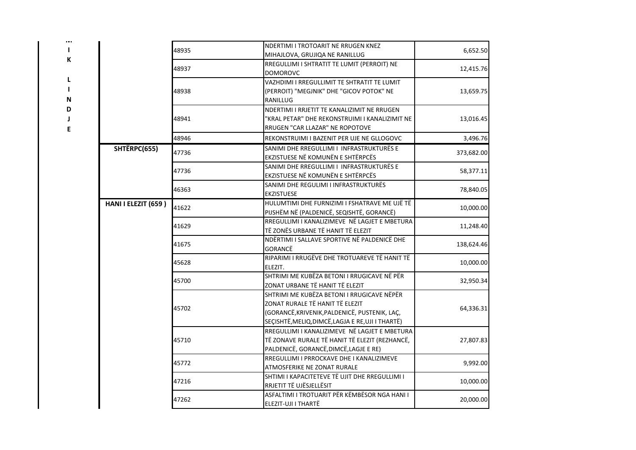| ı |
|---|
| K |
|   |
| L |
| ı |

**M**

| N |
|---|
| D |
| J |

|                     | 48935 | NDERTIMI I TROTOARIT NE RRUGEN KNEZ<br>MIHAJLOVA, GRUJIQA NE RANILLUG                                                                                                               | 6,652.50   |
|---------------------|-------|-------------------------------------------------------------------------------------------------------------------------------------------------------------------------------------|------------|
|                     | 48937 | RREGULLIMI I SHTRATIT TE LUMIT (PERROIT) NE<br><b>DOMOROVC</b>                                                                                                                      | 12,415.76  |
|                     | 48938 | VAZHDIMI I RREGULLIMIT TE SHTRATIT TE LUMIT<br>(PERROIT) "MEGJNIK" DHE "GICOV POTOK" NE<br>RANILLUG                                                                                 | 13,659.75  |
|                     | 48941 | NDERTIMI I RRJETIT TE KANALIZIMIT NE RRUGEN<br>"KRAL PETAR" DHE REKONSTRUIMI I KANALIZIMIT NE<br>RRUGEN "CAR LLAZAR" NE ROPOTOVE                                                    | 13,016.45  |
|                     | 48946 | REKONSTRUIMI I BAZENIT PER UJE NE GLLOGOVC                                                                                                                                          | 3,496.76   |
| SHTËRPC(655)        | 47736 | SANIMI DHE RREGULLIMI I INFRASTRUKTURËS E<br>EKZISTUESE NË KOMUNËN E SHTËRPCËS                                                                                                      | 373,682.00 |
|                     | 47736 | SANIMI DHE RREGULLIMI I INFRASTRUKTURËS E<br>EKZISTUESE NË KOMUNËN E SHTËRPCËS                                                                                                      | 58,377.11  |
|                     | 46363 | SANIMI DHE REGULIMI I INFRASTRUKTURËS<br><b>EKZISTUESE</b>                                                                                                                          | 78,840.05  |
| HANI I ELEZIT (659) | 41622 | HULUMTIMI DHE FURNIZIMI I FSHATRAVE ME UJË TË<br>PIJSHËM NË (PALDENICË, SEQISHTË, GORANCË)                                                                                          | 10,000.00  |
|                     | 41629 | RREGULLIMI I KANALIZIMEVE NË LAGJET E MBETURA<br>TË ZONËS URBANE TË HANIT TË ELEZIT                                                                                                 | 11,248.40  |
|                     | 41675 | NDËRTIMI I SALLAVE SPORTIVE NË PALDENICË DHE<br>GORANCË                                                                                                                             | 138,624.46 |
|                     | 45628 | RIPARIMI I RRUGËVE DHE TROTUAREVE TË HANIT TË<br>ELEZIT.                                                                                                                            | 10,000.00  |
|                     | 45700 | SHTRIMI ME KUBËZA BETONI I RRUGICAVE NË PËR<br>ZONAT URBANE TË HANIT TË ELEZIT                                                                                                      | 32,950.34  |
|                     | 45702 | SHTRIMI ME KUBËZA BETONI I RRUGICAVE NËPËR<br>ZONAT RURALE TË HANIT TË ELEZIT<br>(GORANCË, KRIVENIK, PALDENICË, PUSTENIK, LAÇ,<br>SEÇISHTË, MELIQ, DIMCË, LAGJA E RE, UJI I THARTË) | 64,336.31  |
|                     | 45710 | RREGULLIMI I KANALIZIMEVE NË LAGJET E MBETURA<br>TË ZONAVE RURALE TË HANIT TË ELEZIT (REZHANCË,<br>PALDENICË, GORANCË, DIMCË, LAGJE E RE)                                           | 27,807.83  |
|                     | 45772 | RREGULLIMI I PRROCKAVE DHE I KANALIZIMEVE<br>ATMOSFERIKE NE ZONAT RURALE                                                                                                            | 9,992.00   |
|                     | 47216 | SHTIMI I KAPACITETEVE TË UJIT DHE RREGULLIMI I<br>RRJETIT TË UJËSJELLËSIT                                                                                                           | 10,000.00  |
|                     | 47262 | ASFALTIMI I TROTUARIT PËR KËMBËSOR NGA HANI I<br>ELEZIT-UJI I THARTË                                                                                                                | 20,000.00  |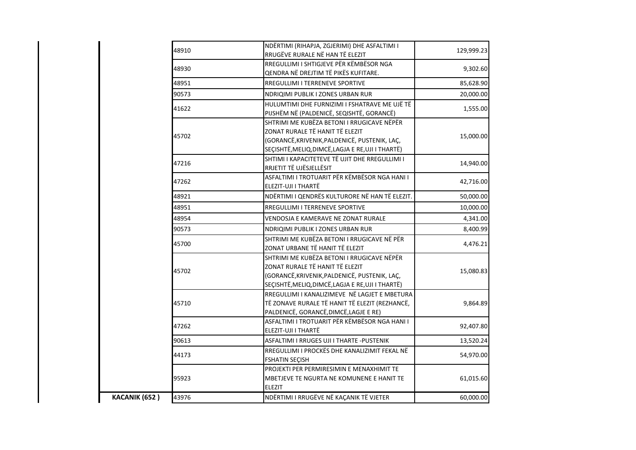|               | 48910 | NDËRTIMI (RIHAPJA, ZGJERIMI) DHE ASFALTIMI I<br>RRUGËVE RURALE NË HAN TË ELEZIT                                                                                                     | 129,999.23 |
|---------------|-------|-------------------------------------------------------------------------------------------------------------------------------------------------------------------------------------|------------|
|               | 48930 | RREGULLIMI I SHTIGJEVE PËR KËMBËSOR NGA<br>QENDRA NË DREJTIM TË PIKËS KUFITARE.                                                                                                     | 9,302.60   |
|               | 48951 | RREGULLIMI I TERRENEVE SPORTIVE                                                                                                                                                     | 85,628.90  |
|               | 90573 | NDRIQIMI PUBLIK I ZONES URBAN RUR                                                                                                                                                   | 20,000.00  |
|               | 41622 | HULUMTIMI DHE FURNIZIMI I FSHATRAVE ME UJË TË<br>PIJSHËM NË (PALDENICË, SEQISHTË, GORANCË)                                                                                          | 1,555.00   |
|               | 45702 | SHTRIMI ME KUBËZA BETONI I RRUGICAVE NËPËR<br>ZONAT RURALE TË HANIT TË ELEZIT<br>(GORANCË, KRIVENIK, PALDENICË, PUSTENIK, LAÇ,<br>SEÇISHTË, MELIQ, DIMCË, LAGJA E RE, UJI I THARTË) | 15,000.00  |
|               | 47216 | SHTIMI I KAPACITETEVE TË UJIT DHE RREGULLIMI I<br>RRJETIT TË UJËSJELLËSIT                                                                                                           | 14,940.00  |
|               | 47262 | ASFALTIMI I TROTUARIT PËR KËMBËSOR NGA HANI I<br>ELEZIT-UJI I THARTË                                                                                                                | 42,716.00  |
|               | 48921 | NDËRTIMI I QENDRËS KULTURORE NË HAN TË ELEZIT.                                                                                                                                      | 50,000.00  |
|               | 48951 | <b>RREGULLIMI I TERRENEVE SPORTIVE</b>                                                                                                                                              | 10,000.00  |
|               | 48954 | <b>VENDOSJA E KAMERAVE NE ZONAT RURALE</b>                                                                                                                                          | 4,341.00   |
|               | 90573 | NDRIQIMI PUBLIK I ZONES URBAN RUR                                                                                                                                                   | 8,400.99   |
|               | 45700 | SHTRIMI ME KUBËZA BETONI I RRUGICAVE NË PËR<br>ZONAT URBANE TË HANIT TË ELEZIT                                                                                                      | 4,476.21   |
|               | 45702 | SHTRIMI ME KUBËZA BETONI I RRUGICAVE NËPËR<br>ZONAT RURALE TË HANIT TË ELEZIT<br>(GORANCË, KRIVENIK, PALDENICË, PUSTENIK, LAÇ,<br>SEÇISHTË, MELIQ, DIMCË, LAGJA E RE, UJI I THARTË) | 15,080.83  |
|               | 45710 | RREGULLIMI I KANALIZIMEVE NË LAGJET E MBETURA<br>TË ZONAVE RURALE TË HANIT TË ELEZIT (REZHANCË,<br>PALDENICË, GORANCË, DIMCË, LAGJE E RE)                                           | 9,864.89   |
|               | 47262 | ASFALTIMI I TROTUARIT PËR KËMBËSOR NGA HANI I<br>ELEZIT-UJI I THARTË                                                                                                                | 92,407.80  |
|               | 90613 | ASFALTIMI I RRUGES UJI I THARTE -PUSTENIK                                                                                                                                           | 13,520.24  |
|               | 44173 | RREGULLIMI I PROCKËS DHE KANALIZIMIT FEKAL NË<br><b>FSHATIN SEÇISH</b>                                                                                                              | 54,970.00  |
|               | 95923 | PROJEKTI PER PERMIRESIMIN E MENAXHIMIT TE<br>MBETJEVE TE NGURTA NE KOMUNENE E HANIT TE<br><b>ELEZIT</b>                                                                             | 61,015.60  |
| KACANIK (652) | 43976 | NDËRTIMI I RRUGËVE NË KAÇANIK TË VJETER                                                                                                                                             | 60,000.00  |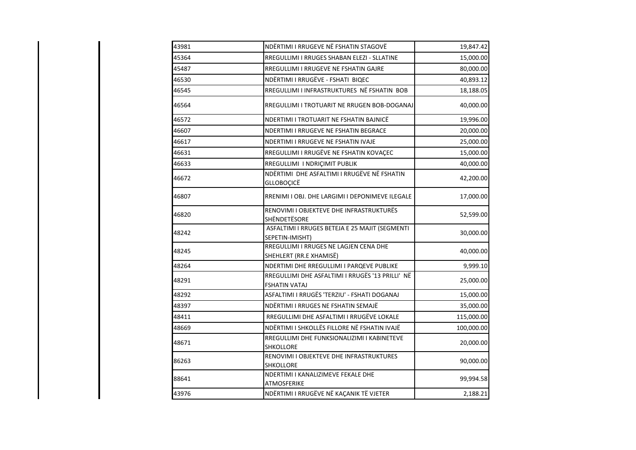| 43981 | NDËRTIMI I RRUGEVE NË FSHATIN STAGOVË                                    | 19,847.42  |
|-------|--------------------------------------------------------------------------|------------|
| 45364 | RREGULLIMI I RRUGES SHABAN ELEZI - SLLATINE                              | 15,000.00  |
| 45487 | RREGULLIMI I RRUGEVE NE FSHATIN GAJRE                                    | 80,000.00  |
| 46530 | NDËRTIMI I RRUGËVE - FSHATI BIQEC                                        | 40,893.12  |
| 46545 | RREGULLIMI I INFRASTRUKTURES NË FSHATIN BOB                              | 18,188.05  |
| 46564 | RREGULLIMI I TROTUARIT NE RRUGEN BOB-DOGANAJ                             | 40,000.00  |
| 46572 | NDERTIMI I TROTUARIT NE FSHATIN BAJNICË                                  | 19,996.00  |
| 46607 | NDERTIMI I RRUGEVE NE FSHATIN BEGRACE                                    | 20,000.00  |
| 46617 | NDERTIMI I RRUGEVE NE FSHATIN IVAJE                                      | 25,000.00  |
| 46631 | RREGULLIMI I RRUGËVE NE FSHATIN KOVAÇEC                                  | 15,000.00  |
| 46633 | RREGULLIMI I NDRIÇIMIT PUBLIK                                            | 40,000.00  |
| 46672 | NDËRTIMI DHE ASFALTIMI I RRUGËVE NË FSHATIN<br>GLLOBOÇICË                | 42,200.00  |
| 46807 | RRENIMI I OBJ. DHE LARGIMI I DEPONIMEVE ILEGALE                          | 17,000.00  |
| 46820 | RENOVIMI I OBJEKTEVE DHE INFRASTRUKTURËS<br>SHËNDETËSORE                 | 52,599.00  |
| 48242 | ASFALTIMI I RRUGES BETEJA E 25 MAJIT (SEGMENTI<br>SEPETIN-IMISHT)        | 30,000.00  |
| 48245 | RREGULLIMI I RRUGES NE LAGJEN CENA DHE<br>SHEHLERT (RR.E XHAMISË)        | 40,000.00  |
| 48264 | NDERTIMI DHE RREGULLIMI I PARQEVE PUBLIKE                                | 9,999.10   |
| 48291 | RREGULLIMI DHE ASFALTIMI I RRUGËS '13 PRILLI' NË<br><b>FSHATIN VATAJ</b> | 25,000.00  |
| 48292 | ASFALTIMI I RRUGËS 'TERZIU' - FSHATI DOGANAJ                             | 15,000.00  |
| 48397 | NDËRTIMI I RRUGES NE FSHATIN SEMAJË                                      | 35,000.00  |
| 48411 | RREGULLIMI DHE ASFALTIMI I RRUGËVE LOKALE                                | 115,000.00 |
| 48669 | NDËRTIMI I SHKOLLËS FILLORE NË FSHATIN IVAJË                             | 100,000.00 |
| 48671 | RREGULLIMI DHE FUNKSIONALIZIMI I KABINETEVE<br>SHKOLLORE                 | 20,000.00  |
| 86263 | RENOVIMI I OBJEKTEVE DHE INFRASTRUKTURES<br><b>SHKOLLORE</b>             | 90,000.00  |
| 88641 | NDERTIMI I KANALIZIMEVE FEKALE DHE<br>ATMOSFERIKE                        | 99,994.58  |
| 43976 | NDËRTIMI I RRUGËVE NË KAÇANIK TË VJETER                                  | 2,188.21   |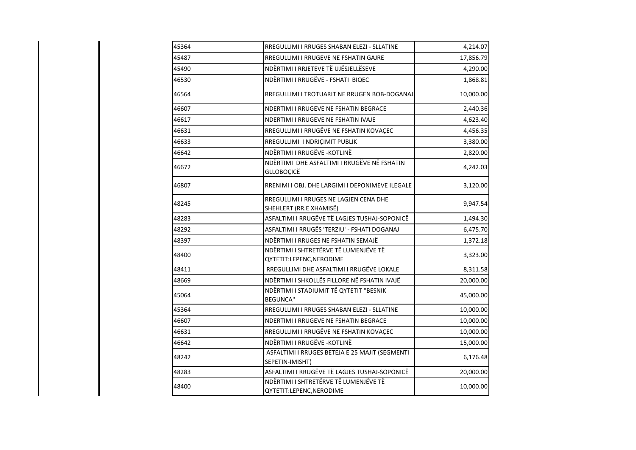| RREGULLIMI I RRUGES SHABAN ELEZI - SLLATINE                       | 4,214.07  |
|-------------------------------------------------------------------|-----------|
| RREGULLIMI I RRUGEVE NE FSHATIN GAJRE                             | 17,856.79 |
| NDËRTIMI I RRJETEVE TË UJËSJELLËSEVE                              | 4,290.00  |
| NDËRTIMI I RRUGËVE - FSHATI BIQEC                                 | 1,868.81  |
| RREGULLIMI I TROTUARIT NE RRUGEN BOB-DOGANAJ                      | 10,000.00 |
| NDERTIMI I RRUGEVE NE FSHATIN BEGRACE                             | 2,440.36  |
| NDERTIMI I RRUGEVE NE FSHATIN IVAJE                               | 4,623.40  |
| RREGULLIMI I RRUGËVE NE FSHATIN KOVAÇEC                           | 4,456.35  |
| RREGULLIMI I NDRIÇIMIT PUBLIK                                     | 3,380.00  |
| NDËRTIMI I RRUGËVE - KOTLINË                                      | 2,820.00  |
| NDËRTIMI DHE ASFALTIMI I RRUGËVE NË FSHATIN<br><b>GLLOBOÇICË</b>  | 4,242.03  |
| RRENIMI I OBJ. DHE LARGIMI I DEPONIMEVE ILEGALE                   | 3,120.00  |
| RREGULLIMI I RRUGES NE LAGJEN CENA DHE<br>SHEHLERT (RR.E XHAMISË) | 9,947.54  |
| ASFALTIMI I RRUGËVE TË LAGJES TUSHAJ-SOPONICË                     | 1,494.30  |
| ASFALTIMI I RRUGËS 'TERZIU' - FSHATI DOGANAJ                      | 6,475.70  |
| NDËRTIMI I RRUGES NE FSHATIN SEMAJË                               | 1,372.18  |
| NDËRTIMI I SHTRETËRVE TË LUMENJËVE TË<br>QYTETIT:LEPENC, NERODIME | 3,323.00  |
| RREGULLIMI DHE ASFALTIMI I RRUGËVE LOKALE                         | 8,311.58  |
| NDËRTIMI I SHKOLLËS FILLORE NË FSHATIN IVAJË                      | 20,000.00 |
| NDËRTIMI I STADIUMIT TË QYTETIT "BESNIK<br><b>BEGUNCA"</b>        | 45,000.00 |
| RREGULLIMI I RRUGES SHABAN ELEZI - SLLATINE                       | 10,000.00 |
| NDERTIMI I RRUGEVE NE FSHATIN BEGRACE                             | 10,000.00 |
| RREGULLIMI I RRUGËVE NE FSHATIN KOVAÇEC                           | 10,000.00 |
| NDËRTIMI I RRUGËVE - KOTLINË                                      | 15,000.00 |
| ASFALTIMI I RRUGES BETEJA E 25 MAJIT (SEGMENTI<br>SEPETIN-IMISHT) | 6,176.48  |
| ASFALTIMI I RRUGËVE TË LAGJES TUSHAJ-SOPONICË                     | 20,000.00 |
| NDËRTIMI I SHTRETËRVE TË LUMENJËVE TË<br>QYTETIT:LEPENC, NERODIME | 10,000.00 |
|                                                                   |           |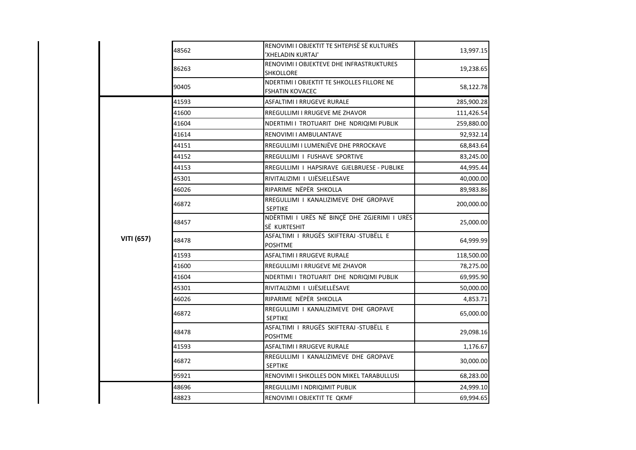|                   | 48562 | RENOVIMI I OBJEKTIT TE SHTEPISË SË KULTURËS<br>'XHELADIN KURTAJ'     | 13,997.15  |
|-------------------|-------|----------------------------------------------------------------------|------------|
|                   | 86263 | RENOVIMI I OBJEKTEVE DHE INFRASTRUKTURES<br><b>SHKOLLORE</b>         | 19,238.65  |
|                   | 90405 | NDERTIMI I OBJEKTIT TE SHKOLLES FILLORE NE<br><b>FSHATIN KOVACEC</b> | 58,122.78  |
|                   | 41593 | <b>ASFALTIMI I RRUGEVE RURALE</b>                                    | 285,900.28 |
|                   | 41600 | RREGULLIMI I RRUGEVE ME ZHAVOR                                       | 111,426.54 |
|                   | 41604 | NDERTIMI I TROTUARIT DHE NDRIQIMI PUBLIK                             | 259,880.00 |
|                   | 41614 | RENOVIMI I AMBULANTAVE                                               | 92,932.14  |
|                   | 44151 | RREGULLIMI I LUMENJËVE DHE PRROCKAVE                                 | 68,843.64  |
|                   | 44152 | RREGULLIMI I FUSHAVE SPORTIVE                                        | 83,245.00  |
|                   | 44153 | RREGULLIMI I HAPSIRAVE GJELBRUESE - PUBLIKE                          | 44,995.44  |
|                   | 45301 | RIVITALIZIMI I UJËSJELLËSAVE                                         | 40,000.00  |
|                   | 46026 | RIPARIME NËPËR SHKOLLA                                               | 89,983.86  |
|                   | 46872 | RREGULLIMI I KANALIZIMEVE DHE GROPAVE<br>SEPTIKE                     | 200,000.00 |
|                   | 48457 | NDËRTIMI I URËS NË BINÇË DHE ZGJERIMI I URËS<br>SË KURTESHIT         | 25,000.00  |
| <b>VITI (657)</b> | 48478 | ASFALTIMI I RRUGËS SKIFTERAJ-STUBËLL E<br><b>POSHTME</b>             | 64,999.99  |
|                   | 41593 | <b>ASFALTIMI I RRUGEVE RURALE</b>                                    | 118,500.00 |
|                   | 41600 | RREGULLIMI I RRUGEVE ME ZHAVOR                                       | 78,275.00  |
|                   | 41604 | NDERTIMI I TROTUARIT DHE NDRIQIMI PUBLIK                             | 69,995.90  |
|                   | 45301 | RIVITALIZIMI I UJËSJELLËSAVE                                         | 50,000.00  |
|                   | 46026 | RIPARIME NËPËR SHKOLLA                                               | 4,853.71   |
|                   | 46872 | RREGULLIMI I KANALIZIMEVE DHE GROPAVE<br><b>SEPTIKE</b>              | 65,000.00  |
|                   | 48478 | ASFALTIMI I RRUGËS SKIFTERAJ-STUBËLL E<br><b>POSHTME</b>             | 29,098.16  |
|                   | 41593 | ASFALTIMI I RRUGEVE RURALE                                           | 1,176.67   |
|                   | 46872 | RREGULLIMI I KANALIZIMEVE DHE GROPAVE<br><b>SEPTIKE</b>              | 30,000.00  |
|                   | 95921 | RENOVIMI I SHKOLLES DON MIKEL TARABULLUSI                            | 68,283.00  |
|                   | 48696 | RREGULLIMI I NDRIQIMIT PUBLIK                                        | 24,999.10  |
|                   | 48823 | RENOVIMI I OBJEKTIT TE QKMF                                          | 69,994.65  |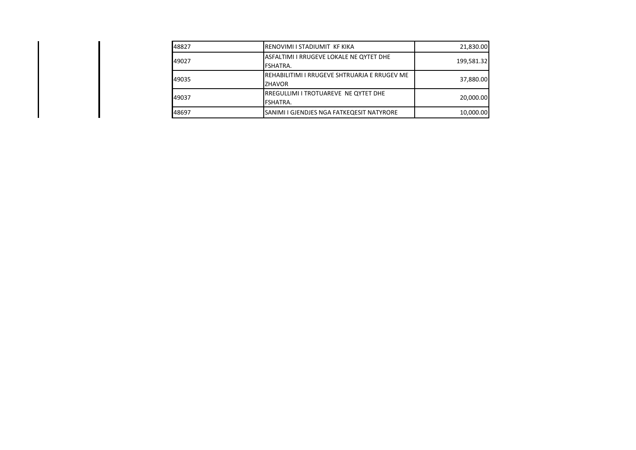| 48827 | RENOVIMI I STADIUMIT KF KIKA                                  | 21,830.00  |
|-------|---------------------------------------------------------------|------------|
| 49027 | ASFALTIMI I RRUGEVE LOKALE NE QYTET DHE<br>FSHATRA.           | 199,581.32 |
| 49035 | REHABILITIMI I RRUGEVE SHTRUARJA E RRUGEV ME<br><b>ZHAVOR</b> | 37,880.00  |
| 49037 | RREGULLIMI I TROTUAREVE NE QYTET DHE<br>FSHATRA.              | 20,000.00  |
| 48697 | SANIMI I GJENDJES NGA FATKEQESIT NATYRORE                     | 10,000.00  |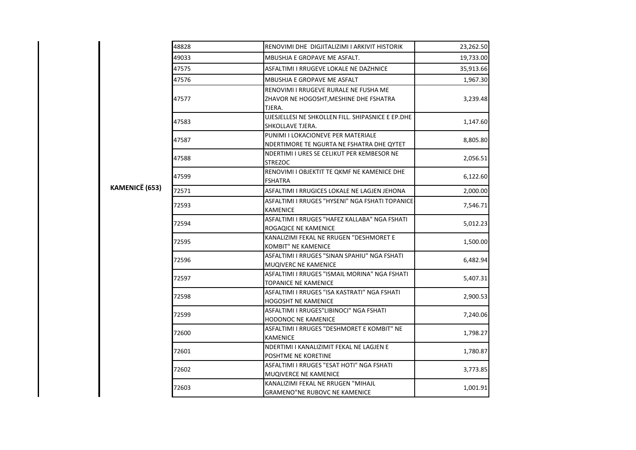| KAMENICË (653) | 48828 | RENOVIMI DHE DIGJITALIZIMI I ARKIVIT HISTORIK                                             | 23,262.50 |
|----------------|-------|-------------------------------------------------------------------------------------------|-----------|
|                | 49033 | MBUSHJA E GROPAVE ME ASFALT.                                                              | 19,733.00 |
|                | 47575 | ASFALTIMI I RRUGEVE LOKALE NE DAZHNICE                                                    | 35,913.66 |
|                | 47576 | <b>MBUSHJA E GROPAVE ME ASFALT</b>                                                        | 1,967.30  |
|                | 47577 | RENOVIMI I RRUGEVE RURALE NE FUSHA ME<br>ZHAVOR NE HOGOSHT, MESHINE DHE FSHATRA<br>TJERA. | 3,239.48  |
|                | 47583 | UJESJELLESI NE SHKOLLEN FILL. SHIPASNICE E EP.DHE<br><b>SHKOLLAVE TJERA.</b>              | 1,147.60  |
|                | 47587 | PUNIMI I LOKACIONEVE PER MATERIALE<br>NDERTIMORE TE NGURTA NE FSHATRA DHE QYTET           | 8,805.80  |
|                | 47588 | NDERTIMI I URES SE CELIKUT PER KEMBESOR NE<br><b>STREZOC</b>                              | 2,056.51  |
|                | 47599 | RENOVIMI I OBJEKTIT TE QKMF NE KAMENICE DHE<br><b>FSHATRA</b>                             | 6,122.60  |
|                | 72571 | ASFALTIMI I RRUGICES LOKALE NE LAGJEN JEHONA                                              | 2,000.00  |
|                | 72593 | ASFALTIMI I RRUGES "HYSENI" NGA FSHATI TOPANICE<br><b>KAMENICE</b>                        | 7,546.71  |
|                | 72594 | ASFALTIMI I RRUGES "HAFEZ KALLABA" NGA FSHATI<br>ROGAQICE NE KAMENICE                     | 5,012.23  |
|                | 72595 | KANALIZIMI FEKAL NE RRUGEN "DESHMORET E<br>KOMBIT" NE KAMENICE                            | 1,500.00  |
|                | 72596 | ASFALTIMI I RRUGES "SINAN SPAHIU" NGA FSHATI<br>MUQIVERC NE KAMENICE                      | 6,482.94  |
|                | 72597 | ASFALTIMI I RRUGES "ISMAIL MORINA" NGA FSHATI<br><b>TOPANICE NE KAMENICE</b>              | 5,407.31  |
|                | 72598 | ASFALTIMI I RRUGES "ISA KASTRATI" NGA FSHATI<br><b>HOGOSHT NE KAMENICE</b>                | 2,900.53  |
|                | 72599 | ASFALTIMI I RRUGES"LIBINOCI" NGA FSHATI<br><b>HODONOC NE KAMENICE</b>                     | 7,240.06  |
|                | 72600 | ASFALTIMI I RRUGES "DESHMORET E KOMBIT" NE<br><b>KAMENICE</b>                             | 1,798.27  |
|                | 72601 | NDERTIMI I KANALIZIMIT FEKAL NE LAGJEN E<br><b>POSHTME NE KORETINE</b>                    | 1,780.87  |
|                | 72602 | ASFALTIMI I RRUGES "ESAT HOTI" NGA FSHATI<br><b>MUQIVERCE NE KAMENICE</b>                 | 3,773.85  |
|                | 72603 | KANALIZIMI FEKAL NE RRUGEN "MIHAJL<br><b>GRAMENO"NE RUBOVC NE KAMENICE</b>                | 1,001.91  |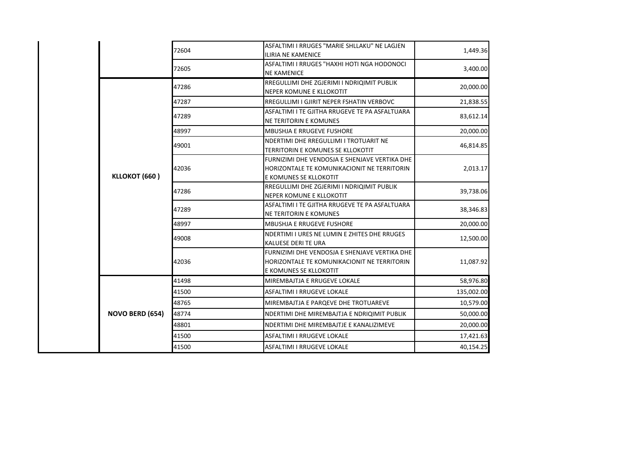|                        | 72604 | ASFALTIMI I RRUGES "MARIE SHLLAKU" NE LAGJEN<br><b>ILIRIA NE KAMENICE</b>                                              | 1,449.36   |
|------------------------|-------|------------------------------------------------------------------------------------------------------------------------|------------|
|                        | 72605 | ASFALTIMI I RRUGES "HAXHI HOTI NGA HODONOCI<br><b>NE KAMENICE</b>                                                      | 3,400.00   |
|                        | 47286 | RREGULLIMI DHE ZGJERIMI I NDRIQIMIT PUBLIK<br>NEPER KOMUNE E KLLOKOTIT                                                 | 20,000.00  |
|                        | 47287 | RREGULLIMI I GJIRIT NEPER FSHATIN VERBOVC                                                                              | 21,838.55  |
|                        | 47289 | ASFALTIMI I TE GJITHA RRUGEVE TE PA ASFALTUARA<br><b>NE TERITORIN E KOMUNES</b>                                        | 83,612.14  |
|                        | 48997 | <b>MBUSHJA E RRUGEVE FUSHORE</b>                                                                                       | 20,000.00  |
|                        | 49001 | NDERTIMI DHE RREGULLIMI I TROTUARIT NE<br><b>TERRITORIN E KOMUNES SE KLLOKOTIT</b>                                     | 46,814.85  |
| KLLOKOT (660)          | 42036 | FURNIZIMI DHE VENDOSJA E SHENJAVE VERTIKA DHE<br>HORIZONTALE TE KOMUNIKACIONIT NE TERRITORIN<br>E KOMUNES SE KLLOKOTIT | 2,013.17   |
|                        | 47286 | RREGULLIMI DHE ZGJERIMI I NDRIQIMIT PUBLIK<br>NEPER KOMUNE E KLLOKOTIT                                                 | 39,738.06  |
|                        | 47289 | ASFALTIMI I TE GJITHA RRUGEVE TE PA ASFALTUARA<br>NE TERITORIN E KOMUNES                                               | 38,346.83  |
|                        | 48997 | <b>MBUSHJA E RRUGEVE FUSHORE</b>                                                                                       | 20,000.00  |
|                        | 49008 | NDERTIMI I URES NE LUMIN E ZHITES DHE RRUGES<br><b>KALUESE DERI TE URA</b>                                             | 12,500.00  |
|                        | 42036 | FURNIZIMI DHE VENDOSJA E SHENJAVE VERTIKA DHE<br>HORIZONTALE TE KOMUNIKACIONIT NE TERRITORIN<br>E KOMUNES SE KLLOKOTIT | 11,087.92  |
|                        | 41498 | MIREMBAJTJA E RRUGEVE LOKALE                                                                                           | 58,976.80  |
|                        | 41500 | ASFALTIMI I RRUGEVE LOKALE                                                                                             | 135,002.00 |
|                        | 48765 | MIREMBAJTJA E PARQEVE DHE TROTUAREVE                                                                                   | 10,579.00  |
| <b>NOVO BERD (654)</b> | 48774 | NDERTIMI DHE MIREMBAJTJA E NDRIQIMIT PUBLIK                                                                            | 50,000.00  |
|                        | 48801 | NDERTIMI DHE MIREMBAJTJE E KANALIZIMEVE                                                                                | 20,000.00  |
|                        | 41500 | ASFALTIMI I RRUGEVE LOKALE                                                                                             | 17,421.63  |
|                        | 41500 | ASFALTIMI I RRUGEVE LOKALE                                                                                             | 40,154.25  |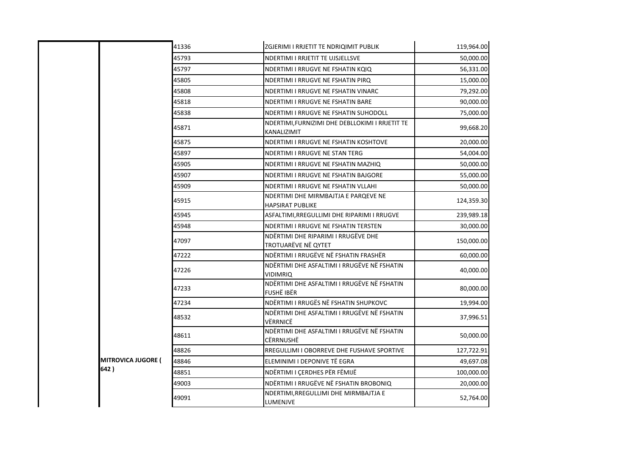|                           | 41336 | ZGJERIMI I RRJETIT TE NDRIQIMIT PUBLIK                         | 119,964.00 |
|---------------------------|-------|----------------------------------------------------------------|------------|
|                           | 45793 | NDERTIMI I RRJETIT TE UJSJELLSVE                               | 50,000.00  |
|                           | 45797 | NDERTIMI I RRUGVE NE FSHATIN KQIQ                              | 56,331.00  |
|                           | 45805 | NDERTIMI I RRUGVE NE FSHATIN PIRQ                              | 15,000.00  |
|                           | 45808 | NDERTIMI I RRUGVE NE FSHATIN VINARC                            | 79,292.00  |
|                           | 45818 | NDERTIMI I RRUGVE NE FSHATIN BARE                              | 90,000.00  |
|                           | 45838 | NDERTIMI I RRUGVE NE FSHATIN SUHODOLL                          | 75,000.00  |
|                           | 45871 | NDERTIMI,FURNIZIMI DHE DEBLLOKIMI I RRJETIT TE<br>KANALIZIMIT  | 99,668.20  |
|                           | 45875 | NDERTIMI I RRUGVE NE FSHATIN KOSHTOVE                          | 20,000.00  |
|                           | 45897 | NDERTIMI I RRUGVE NE STAN TERG                                 | 54,004.00  |
|                           | 45905 | NDERTIMI I RRUGVE NE FSHATIN MAZHIQ                            | 50,000.00  |
|                           | 45907 | NDERTIMI I RRUGVE NE FSHATIN BAJGORE                           | 55,000.00  |
|                           | 45909 | NDERTIMI I RRUGVE NE FSHATIN VLLAHI                            | 50,000.00  |
|                           | 45915 | NDERTIMI DHE MIRMBAJTJA E PARQEVE NE<br>HAPSIRAT PUBLIKE       | 124,359.30 |
|                           | 45945 | ASFALTIMI, RREGULLIMI DHE RIPARIMI I RRUGVE                    | 239,989.18 |
|                           | 45948 | NDERTIMI I RRUGVE NE FSHATIN TERSTEN                           | 30,000.00  |
|                           | 47097 | NDËRTIMI DHE RIPARIMI I RRUGËVE DHE<br>TROTUARËVE NË QYTET     | 150,000.00 |
|                           | 47222 | NDËRTIMI I RRUGËVE NË FSHATIN FRASHËR                          | 60,000.00  |
|                           | 47226 | NDËRTIMI DHE ASFALTIMI I RRUGËVE NË FSHATIN<br><b>VIDIMRIQ</b> | 40,000.00  |
|                           | 47233 | NDËRTIMI DHE ASFALTIMI I RRUGËVE NË FSHATIN<br>FUSHË IBËR      | 80,000.00  |
|                           | 47234 | NDËRTIMI I RRUGËS NË FSHATIN SHUPKOVC                          | 19,994.00  |
|                           | 48532 | NDËRTIMI DHE ASFALTIMI I RRUGËVE NË FSHATIN<br>VËRRNICË        | 37,996.51  |
|                           | 48611 | NDËRTIMI DHE ASFALTIMI I RRUGËVE NË FSHATIN<br>CËRRNUSHË       | 50,000.00  |
| <b>MITROVICA JUGORE (</b> | 48826 | RREGULLIMI I OBORREVE DHE FUSHAVE SPORTIVE                     | 127,722.91 |
|                           | 48846 | ELEMINIMI I DEPONIVE TË EGRA                                   | 49,697.08  |
| 642)                      | 48851 | NDËRTIMI I ÇERDHES PËR FËMIJË                                  | 100,000.00 |
|                           | 49003 | NDËRTIMI I RRUGËVE NË FSHATIN BROBONIQ                         | 20,000.00  |
|                           | 49091 | NDERTIMI, RREGULLIMI DHE MIRMBAJTJA E<br>LUMENJVE              | 52,764.00  |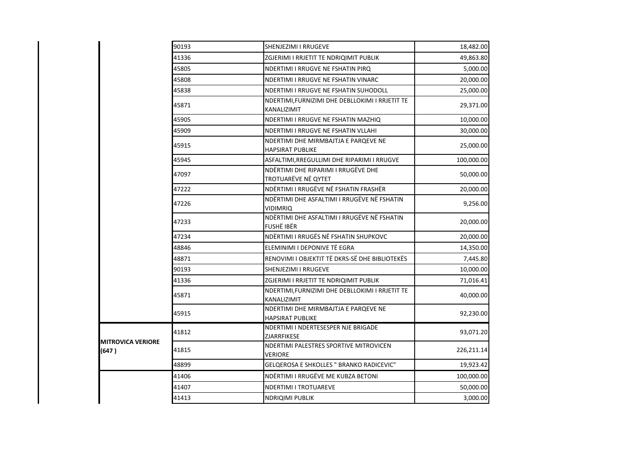|                                   | 90193 | SHENJEZIMI I RRUGEVE                                             | 18,482.00  |
|-----------------------------------|-------|------------------------------------------------------------------|------------|
|                                   | 41336 | ZGJERIMI I RRJETIT TE NDRIQIMIT PUBLIK                           | 49,863.80  |
|                                   | 45805 | NDERTIMI I RRUGVE NE FSHATIN PIRQ                                | 5,000.00   |
|                                   | 45808 | NDERTIMI I RRUGVE NE FSHATIN VINARC                              | 20,000.00  |
|                                   | 45838 | NDERTIMI I RRUGVE NE FSHATIN SUHODOLL                            | 25,000.00  |
|                                   | 45871 | NDERTIMI, FURNIZIMI DHE DEBLLOKIMI I RRJETIT TE<br>KANALIZIMIT   | 29,371.00  |
|                                   | 45905 | NDERTIMI I RRUGVE NE FSHATIN MAZHIQ                              | 10,000.00  |
|                                   | 45909 | NDERTIMI I RRUGVE NE FSHATIN VLLAHI                              | 30,000.00  |
|                                   | 45915 | NDERTIMI DHE MIRMBAJTJA E PARQEVE NE<br><b>HAPSIRAT PUBLIKE</b>  | 25,000.00  |
|                                   | 45945 | ASFALTIMI, RREGULLIMI DHE RIPARIMI I RRUGVE                      | 100,000.00 |
|                                   | 47097 | NDËRTIMI DHE RIPARIMI I RRUGËVE DHE<br>TROTUARËVE NË QYTET       | 50,000.00  |
|                                   | 47222 | NDËRTIMI I RRUGËVE NË FSHATIN FRASHËR                            | 20,000.00  |
|                                   | 47226 | NDËRTIMI DHE ASFALTIMI I RRUGËVE NË FSHATIN<br><b>VIDIMRIQ</b>   | 9,256.00   |
|                                   | 47233 | NDËRTIMI DHE ASFALTIMI I RRUGËVE NË FSHATIN<br><b>FUSHË IBËR</b> | 20,000.00  |
|                                   | 47234 | NDËRTIMI I RRUGËS NË FSHATIN SHUPKOVC                            | 20,000.00  |
|                                   | 48846 | ELEMINIMI I DEPONIVE TË EGRA                                     | 14,350.00  |
|                                   | 48871 | RENOVIMI I OBJEKTIT TË DKRS-SË DHE BIBLIOTEKËS                   | 7,445.80   |
|                                   | 90193 | SHENJEZIMI I RRUGEVE                                             | 10,000.00  |
|                                   | 41336 | ZGJERIMI I RRJETIT TE NDRIQIMIT PUBLIK                           | 71,016.41  |
|                                   | 45871 | NDERTIMI, FURNIZIMI DHE DEBLLOKIMI I RRJETIT TE<br>KANALIZIMIT   | 40,000.00  |
|                                   | 45915 | NDERTIMI DHE MIRMBAJTJA E PARQEVE NE<br><b>HAPSIRAT PUBLIKE</b>  | 92,230.00  |
|                                   | 41812 | NDERTIMI I NDERTESESPER NJE BRIGADE<br>ZJARRFIKESE               | 93,071.20  |
| <b>MITROVICA VERIORE</b><br>(647) | 41815 | NDERTIMI PALESTRES SPORTIVE MITROVICEN<br><b>VERIORE</b>         | 226,211.14 |
|                                   | 48899 | GELQEROSA E SHKOLLES " BRANKO RADICEVIC"                         | 19,923.42  |
|                                   | 41406 | NDËRTIMI I RRUGËVE ME KUBZA BETONI                               | 100,000.00 |
|                                   | 41407 | <b>NDERTIMI I TROTUAREVE</b>                                     | 50,000.00  |
|                                   | 41413 | <b>NDRIQIMI PUBLIK</b>                                           | 3,000.00   |
|                                   |       |                                                                  |            |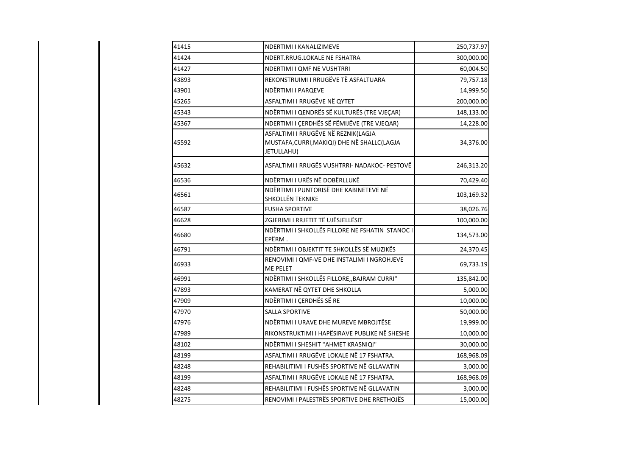| 41415 | NDERTIMI I KANALIZIMEVE                                                                           | 250,737.97 |
|-------|---------------------------------------------------------------------------------------------------|------------|
| 41424 | NDERT.RRUG.LOKALE NE FSHATRA                                                                      | 300,000.00 |
| 41427 | NDERTIMI I QMF NE VUSHTRRI                                                                        | 60,004.50  |
| 43893 | REKONSTRUIMI I RRUGËVE TË ASFALTUARA                                                              | 79,757.18  |
| 43901 | NDËRTIMI I PARQEVE                                                                                | 14,999.50  |
| 45265 | ASFALTIMI I RRUGËVE NË QYTET                                                                      | 200,000.00 |
| 45343 | NDËRTIMI I QENDRËS SË KULTURËS (TRE VJEÇAR)                                                       | 148,133.00 |
| 45367 | NDERTIMI I ÇERDHËS SË FËMIJËVE (TRE VJEQAR)                                                       | 14,228.00  |
| 45592 | ASFALTIMI I RRUGËVE NË REZNIK(LAGJA<br>MUSTAFA, CURRI, MAKIQI) DHE NË SHALLC (LAGJA<br>JETULLAHU) | 34,376.00  |
| 45632 | ASFALTIMI I RRUGËS VUSHTRRI- NADAKOC- PESTOVË                                                     | 246,313.20 |
| 46536 | NDËRTIMI I URËS NË DOBËRLLUKË                                                                     | 70,429.40  |
| 46561 | NDËRTIMI I PUNTORISË DHE KABINETEVE NË<br><b>SHKOLLËN TEKNIKE</b>                                 | 103,169.32 |
| 46587 | <b>FUSHA SPORTIVE</b>                                                                             | 38,026.76  |
| 46628 | ZGJERIMI I RRJETIT TË UJËSJELLËSIT                                                                | 100,000.00 |
| 46680 | NDËRTIMI I SHKOLLËS FILLORE NE FSHATIN STANOC I<br>EPËRM.                                         | 134,573.00 |
| 46791 | NDËRTIMI I OBJEKTIT TE SHKOLLËS SË MUZIKËS                                                        | 24,370.45  |
| 46933 | RENOVIMI I QMF-VE DHE INSTALIMI I NGROHJEVE<br>ME PELET                                           | 69,733.19  |
| 46991 | NDËRTIMI I SHKOLLËS FILLORE,, BAJRAM CURRI"                                                       | 135,842.00 |
| 47893 | KAMERAT NË QYTET DHE SHKOLLA                                                                      | 5,000.00   |
| 47909 | NDËRTIMI I ÇERDHËS SË RE                                                                          | 10,000.00  |
| 47970 | <b>SALLA SPORTIVE</b>                                                                             | 50,000.00  |
| 47976 | NDËRTIMI I URAVE DHE MUREVE MBROJTËSE                                                             | 19,999.00  |
| 47989 | RIKONSTRUKTIMI I HAPËSIRAVE PUBLIKE NË SHESHE                                                     | 10,000.00  |
| 48102 | NDËRTIMI I SHESHIT "AHMET KRASNIQI"                                                               | 30,000.00  |
| 48199 | ASFALTIMI I RRUGËVE LOKALE NË 17 FSHATRA.                                                         | 168,968.09 |
| 48248 | REHABILITIMI I FUSHËS SPORTIVE NË GLLAVATIN                                                       | 3,000.00   |
| 48199 | ASFALTIMI I RRUGËVE LOKALE NË 17 FSHATRA.                                                         | 168,968.09 |
| 48248 | REHABILITIMI I FUSHËS SPORTIVE NË GLLAVATIN                                                       | 3,000.00   |
| 48275 | RENOVIMI I PALESTRËS SPORTIVE DHE RRETHOJËS                                                       | 15,000.00  |
|       |                                                                                                   |            |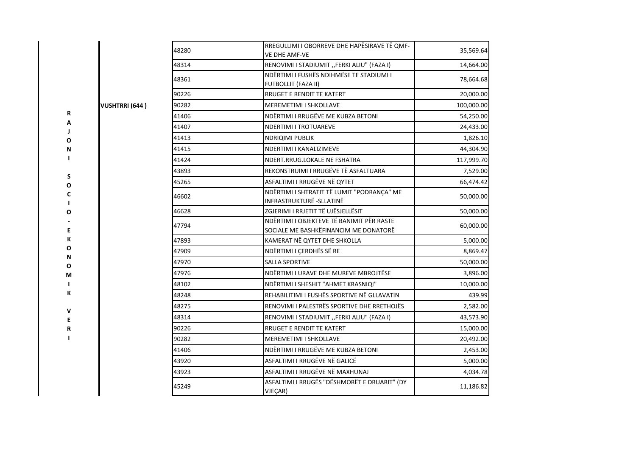|        |                       | 48280 | RREGULLIMI I OBORREVE DHE HAPËSIRAVE TË QMF-<br>VE DHE AMF-VE                      | 35,569.64  |
|--------|-----------------------|-------|------------------------------------------------------------------------------------|------------|
|        |                       | 48314 | RENOVIMI I STADIUMIT "FERKI ALIU" (FAZA I)                                         | 14,664.00  |
|        |                       | 48361 | NDËRTIMI I FUSHËS NDIHMËSE TE STADIUMI I<br><b>FUTBOLLIT (FAZA II)</b>             | 78,664.68  |
|        |                       | 90226 | RRUGET E RENDIT TE KATERT                                                          | 20,000.00  |
|        | <b>VUSHTRRI (644)</b> | 90282 | <b>MEREMETIMI I SHKOLLAVE</b>                                                      | 100,000.00 |
| R      |                       | 41406 | NDËRTIMI I RRUGËVE ME KUBZA BETONI                                                 | 54,250.00  |
| А      |                       | 41407 | <b>NDERTIMI I TROTUAREVE</b>                                                       | 24,433.00  |
| O      |                       | 41413 | <b>NDRIQIMI PUBLIK</b>                                                             | 1,826.10   |
| N      |                       | 41415 | NDERTIMI I KANALIZIMEVE                                                            | 44,304.90  |
|        |                       | 41424 | NDERT.RRUG.LOKALE NE FSHATRA                                                       | 117,999.70 |
|        |                       | 43893 | REKONSTRUIMI I RRUGËVE TË ASFALTUARA                                               | 7,529.00   |
| S<br>O |                       | 45265 | ASFALTIMI I RRUGËVE NË QYTET                                                       | 66,474.42  |
| C      |                       | 46602 | NDËRTIMI I SHTRATIT TË LUMIT "PODRANÇA" ME<br>INFRASTRUKTURË -SLLATINË             | 50,000.00  |
| Ο      |                       | 46628 | ZGJERIMI I RRJETIT TË UJËSJELLËSIT                                                 | 50,000.00  |
| Е      |                       | 47794 | NDËRTIMI I OBJEKTEVE TË BANIMIT PËR RASTE<br>SOCIALE ME BASHKËFINANCIM ME DONATORË | 60,000.00  |
| К      |                       | 47893 | KAMERAT NË QYTET DHE SHKOLLA                                                       | 5,000.00   |
| О      |                       | 47909 | NDËRTIMI I ÇERDHËS SË RE                                                           | 8,869.47   |
| N<br>0 |                       | 47970 | <b>SALLA SPORTIVE</b>                                                              | 50,000.00  |
| М      |                       | 47976 | NDËRTIMI I URAVE DHE MUREVE MBROJTËSE                                              | 3,896.00   |
|        |                       | 48102 | NDËRTIMI I SHESHIT "AHMET KRASNIQI"                                                | 10,000.00  |
| К      |                       | 48248 | REHABILITIMI I FUSHËS SPORTIVE NË GLLAVATIN                                        | 439.99     |
|        |                       | 48275 | RENOVIMI I PALESTRËS SPORTIVE DHE RRETHOJËS                                        | 2,582.00   |
| v<br>Е |                       | 48314 | RENOVIMI I STADIUMIT "FERKI ALIU" (FAZA I)                                         | 43,573.90  |
| R      |                       | 90226 | <b>RRUGET E RENDIT TE KATERT</b>                                                   | 15,000.00  |
|        |                       | 90282 | <b>MEREMETIMI I SHKOLLAVE</b>                                                      | 20,492.00  |
|        |                       | 41406 | NDËRTIMI I RRUGËVE ME KUBZA BETONI                                                 | 2,453.00   |
|        |                       | 43920 | ASFALTIMI I RRUGËVE NË GALICË                                                      | 5,000.00   |
|        |                       | 43923 | ASFALTIMI I RRUGËVE NË MAXHUNAJ                                                    | 4,034.78   |
|        |                       | 45249 | ASFALTIMI I RRUGËS "DËSHMORËT E DRUARIT" (DY<br>VJEÇAR)                            | 11,186.82  |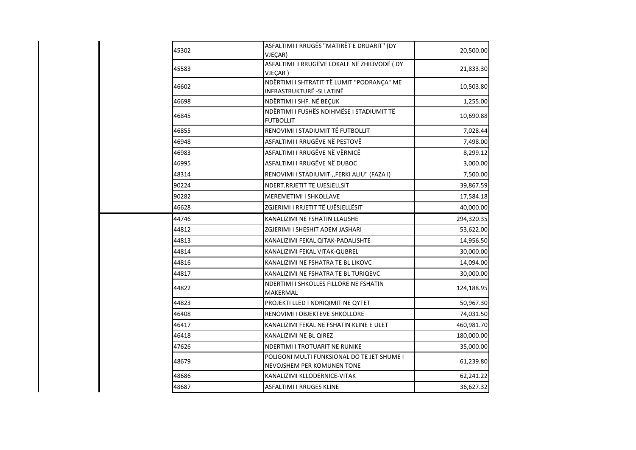| 45302 | ASFALTIMI I RRUGËS "MATIRËT E DRUARIT" (DY<br>VJEÇAR)                         | 20,500.00  |
|-------|-------------------------------------------------------------------------------|------------|
| 45583 | ASFALTIMI I RRUGËVE LOKALE NË ZHILIVODË (DY<br>VJEÇAR)                        | 21,833.30  |
| 46602 | NDËRTIMI I SHTRATIT TË LUMIT "PODRANÇA" ME<br><b>INFRASTRUKTURË -SLLATINË</b> | 10,503.80  |
| 46698 | NDËRTIMI I SHF. NË BEÇUK                                                      | 1,255.00   |
| 46845 | NDËRTIMI I FUSHËS NDIHMËSE I STADIUMIT TË<br><b>FUTBOLLIT</b>                 | 10,690.88  |
| 46855 | RENOVIMI I STADIUMIT TË FUTBOLLIT                                             | 7,028.44   |
| 46948 | ASFALTIMI I RRUGËVE NË PESTOVË                                                | 7,498.00   |
| 46983 | ASFALTIMI I RRUGËVE NË VËRNICË                                                | 8,299.12   |
| 46995 | ASFALTIMI I RRUGËVE NË DUBOC                                                  | 3,000.00   |
| 48314 | RENOVIMI I STADIUMIT "FERKI ALIU" (FAZA I)                                    | 7,500.00   |
| 90224 | NDERT.RRJETIT TE UJESJELLSIT                                                  | 39,867.59  |
| 90282 | MEREMETIMI I SHKOLLAVE                                                        | 17,584.18  |
| 46628 | ZGJERIMI I RRJETIT TË UJËSJELLËSIT                                            | 40,000.00  |
| 44746 | KANALIZIMI NE FSHATIN LLAUSHE                                                 | 294,320.35 |
| 44812 | ZGJERIMI I SHESHIT ADEM JASHARI                                               | 53,622.00  |
| 44813 | KANALIZIMI FEKAL QITAK-PADALISHTE                                             | 14,956.50  |
| 44814 | KANALIZIMI FEKAL VITAK-QUBREL                                                 | 30,000.00  |
| 44816 | KANALIZIMI NE FSHATRA TE BL LIKOVC                                            | 14,094.00  |
| 44817 | KANALIZIMI NE FSHATRA TE BL TURIQEVC                                          | 30,000.00  |
| 44822 | NDERTIMI I SHKOLLES FILLORE NE FSHATIN<br>MAKERMAL                            | 124,188.95 |
| 44823 | PROJEKTI LLED I NDRIQIMIT NE QYTET                                            | 50,967.30  |
| 46408 | RENOVIMI I OBJEKTEVE SHKOLLORE                                                | 74,031.50  |
| 46417 | KANALIZIMI FEKAL NE FSHATIN KLINE E ULET                                      | 460,981.70 |
| 46418 | KANALIZIMI NE BL QIREZ                                                        | 180,000.00 |
| 47626 | NDERTIMI I TROTUARIT NE RUNIKE                                                | 35,000.00  |
| 48679 | POLIGONI MULTI FUNKSIONAL DO TE JET SHUME I<br>NEVOJSHEM PER KOMUNEN TONE     | 61,239.80  |
| 48686 | KANALIZIMI KLLODERNICE-VITAK                                                  | 62,241.22  |
| 48687 | <b>ASFALTIMI I RRUGES KLINE</b>                                               | 36,627.32  |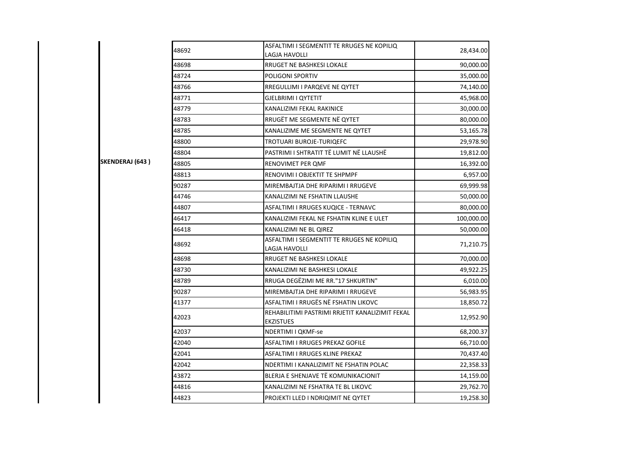|                 | 48692 | ASFALTIMI I SEGMENTIT TE RRUGES NE KOPILIQ<br>LAGJA HAVOLLI         | 28,434.00  |
|-----------------|-------|---------------------------------------------------------------------|------------|
|                 | 48698 | <b>RRUGET NE BASHKESI LOKALE</b>                                    | 90,000.00  |
|                 | 48724 | <b>POLIGONI SPORTIV</b>                                             | 35,000.00  |
|                 | 48766 | <b>RREGULLIMI I PARQEVE NE QYTET</b>                                | 74,140.00  |
|                 | 48771 | GJELBRIMI I QYTETIT                                                 | 45,968.00  |
|                 | 48779 | KANALIZIMI FEKAL RAKINICE                                           | 30,000.00  |
|                 | 48783 | RRUGËT ME SEGMENTE NË QYTET                                         | 80,000.00  |
|                 | 48785 | KANALIZIME ME SEGMENTE NE QYTET                                     | 53,165.78  |
|                 | 48800 | TROTUARI BUROJE-TURIQEFC                                            | 29,978.90  |
|                 | 48804 | PASTRIMI I SHTRATIT TË LUMIT NË LLAUSHË                             | 19,812.00  |
| SKENDERAJ (643) | 48805 | RENOVIMET PER QMF                                                   | 16,392.00  |
|                 | 48813 | RENOVIMI I OBJEKTIT TE SHPMPF                                       | 6,957.00   |
|                 | 90287 | MIREMBAJTJA DHE RIPARIMI I RRUGEVE                                  | 69,999.98  |
|                 | 44746 | KANALIZIMI NE FSHATIN LLAUSHE                                       | 50,000.00  |
|                 | 44807 | ASFALTIMI I RRUGES KUQICE - TERNAVC                                 | 80,000.00  |
|                 | 46417 | KANALIZIMI FEKAL NE FSHATIN KLINE E ULET                            | 100,000.00 |
|                 | 46418 | KANALIZIMI NE BL QIREZ                                              | 50,000.00  |
|                 | 48692 | ASFALTIMI I SEGMENTIT TE RRUGES NE KOPILIQ<br>LAGJA HAVOLLI         | 71,210.75  |
|                 | 48698 | RRUGET NE BASHKESI LOKALE                                           | 70,000.00  |
|                 | 48730 | KANALIZIMI NE BASHKESI LOKALE                                       | 49,922.25  |
|                 | 48789 | RRUGA DEGËZIMI ME RR."17 SHKURTIN"                                  | 6,010.00   |
|                 | 90287 | MIREMBAJTJA DHE RIPARIMI I RRUGEVE                                  | 56,983.95  |
|                 | 41377 | ASFALTIMI I RRUGËS NË FSHATIN LIKOVC                                | 18,850.72  |
|                 | 42023 | REHABILITIMI PASTRIMI RRJETIT KANALIZIMIT FEKAL<br><b>EKZISTUES</b> | 12,952.90  |
|                 | 42037 | NDERTIMI I QKMF-se                                                  | 68,200.37  |
|                 | 42040 | ASFALTIMI I RRUGES PREKAZ GOFILE                                    | 66,710.00  |
|                 | 42041 | ASFALTIMI I RRUGES KLINE PREKAZ                                     | 70,437.40  |
|                 | 42042 | NDERTIMI I KANALIZIMIT NE FSHATIN POLAC                             | 22,358.33  |
|                 | 43872 | BLERJA E SHENJAVE TË KOMUNIKACIONIT                                 | 14,159.00  |
|                 | 44816 | KANALIZIMI NE FSHATRA TE BL LIKOVC                                  | 29,762.70  |
|                 | 44823 | PROJEKTI LLED I NDRIQIMIT NE QYTET                                  | 19,258.30  |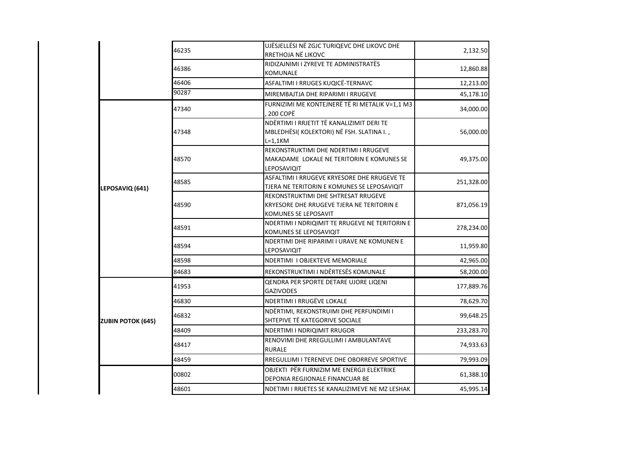|                          | 46235 | UJËSJELLËSI NË ZGJC TURIQEVC DHE LIKOVC DHE<br>RRETHOJA NË LIKOVC                                        | 2,132.50   |
|--------------------------|-------|----------------------------------------------------------------------------------------------------------|------------|
|                          | 46386 | RIDIZAJNIMI I ZYREVE TE ADMINISTRATËS<br>KOMUNALE                                                        | 12,860.88  |
|                          | 46406 | ASFALTIMI I RRUGES KUQICË-TERNAVC                                                                        | 12,213.00  |
|                          | 90287 | MIREMBAJTJA DHE RIPARIMI I RRUGEVE                                                                       | 45,178.10  |
|                          | 47340 | FURNIZIMI ME KONTEJNERË TË RI METALIK V=1,1 M3<br>200 COPË                                               | 34,000.00  |
|                          | 47348 | NDËRTIMI I RRJETIT TË KANALIZIMIT DERI TE<br>MBLEDHËSI(KOLEKTORI) NË FSH. SLATINA I.,<br>L=1,1KM         | 56,000.00  |
|                          | 48570 | REKONSTRUKTIMI DHE NDERTIMI I RRUGEVE<br>MAKADAME LOKALE NE TERITORIN E KOMUNES SE<br>LEPOSAVIQIT        | 49,375.00  |
| LEPOSAVIQ (641)          | 48585 | ASFALTIMI I RRUGEVE KRYESORE DHE RRUGEVE TE<br>TJERA NE TERITORIN E KOMUNES SE LEPOSAVIQIT               | 251,328.00 |
|                          | 48590 | REKONSTRUKTIMI DHE SHTRESAT RRUGEVE<br>KRYESORE DHE RRUGEVE TJERA NE TERITORIN E<br>KOMUNES SE LEPOSAVIT | 871,056.19 |
|                          | 48591 | NDERTIMI I NDRIQIMIT TE RRUGEVE NE TERITORIN E<br>KOMUNES SE LEPOSAVIQIT                                 | 278,234.00 |
|                          | 48594 | NDERTIMI DHE RIPARIMI I URAVE NE KOMUNEN E<br>LEPOSAVIQIT                                                | 11,959.80  |
|                          | 48598 | NDERTIMI I OBJEKTEVE MEMORIALE                                                                           | 42,965.00  |
|                          | 84683 | REKONSTRUKTIMI I NDËRTESËS KOMUNALE                                                                      | 58,200.00  |
|                          | 41953 | QENDRA PER SPORTE DETARE UJORE LIQENI<br><b>GAZIVODES</b>                                                | 177,889.76 |
|                          | 46830 | NDERTIMI I RRUGËVE LOKALE                                                                                | 78,629.70  |
| <b>ZUBIN POTOK (645)</b> | 46832 | NDËRTIMI, REKONSTRUIMI DHE PERFUNDIMI I<br>SHTEPIVE TË KATEGORIVE SOCIALE                                | 99,648.25  |
|                          | 48409 | NDERTIMI I NDRIQIMIT RRUGOR                                                                              | 233,283.70 |
|                          | 48417 | RENOVIMI DHE RREGULLIMI I AMBULANTAVE<br><b>RURALE</b>                                                   | 74,933.63  |
|                          | 48459 | RREGULLIMI I TERENEVE DHE OBORREVE SPORTIVE                                                              | 79,993.09  |
|                          | 00802 | OBJEKTI PËR FURNIZIM ME ENERGJI ELEKTRIKE<br>DEPONIA REGJIONALE FINANCUAR BE                             | 61,388.10  |
|                          | 48601 | NDETIMI I RRJETES SE KANALIZIMEVE NE MZ LESHAK                                                           | 45,995.14  |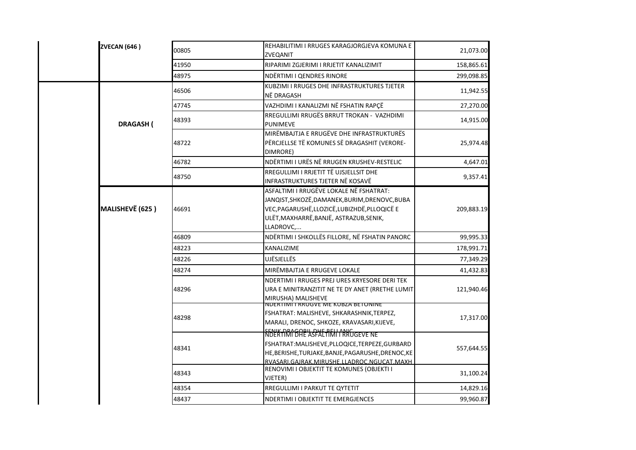| <b>ZVECAN (646)</b> | 00805                     |                                                                                                                                                                                                    | REHABILITIMI I RRUGES KARAGJORGJEVA KOMUNA E<br>ZVEQANIT                                                                                                                                                              | 21,073.00  |
|---------------------|---------------------------|----------------------------------------------------------------------------------------------------------------------------------------------------------------------------------------------------|-----------------------------------------------------------------------------------------------------------------------------------------------------------------------------------------------------------------------|------------|
|                     | 41950                     |                                                                                                                                                                                                    | RIPARIMI ZGJERIMI I RRJETIT KANALIZIMIT                                                                                                                                                                               | 158,865.61 |
|                     | 48975                     |                                                                                                                                                                                                    | NDËRTIMI I QENDRES RINORE                                                                                                                                                                                             | 299,098.85 |
|                     | 46506                     |                                                                                                                                                                                                    | KUBZIMI I RRUGES DHE INFRASTRUKTURES TJETER<br>NË DRAGASH                                                                                                                                                             | 11,942.55  |
|                     | 47745                     |                                                                                                                                                                                                    | VAZHDIMI I KANALIZMI NË FSHATIN RAPÇË                                                                                                                                                                                 | 27,270.00  |
|                     | 48393<br><b>DRAGASH (</b> |                                                                                                                                                                                                    | RREGULLIMI RRUGËS BRRUT TROKAN - VAZHDIMI<br><b>PUNIMEVE</b>                                                                                                                                                          | 14,915.00  |
|                     | 48722                     |                                                                                                                                                                                                    | MIRËMBAJTJA E RRUGËVE DHE INFRASTRUKTURËS<br>PËRCJELLSE TË KOMUNES SË DRAGASHIT (VERORE-<br>DIMRORE)                                                                                                                  | 25,974.48  |
|                     | 46782                     |                                                                                                                                                                                                    | NDËRTIMI I URËS NË RRUGEN KRUSHEV-RESTELIC                                                                                                                                                                            | 4,647.01   |
|                     | 48750                     |                                                                                                                                                                                                    | RREGULLIMI I RRJETIT TË UJSJELLSIT DHE<br>INFRASTRUKTURES TJETER NË KOSAVË                                                                                                                                            | 9,357.41   |
| MALISHEVË (625)     | 46691                     | ASFALTIMI I RRUGËVE LOKALE NË FSHATRAT:<br>JANQIST, SHKOZË, DAMANEK, BURIM, DRENOVC, BUBA<br>VEC, PAGARUSHË, LLOZICË, LUBIZHDË, PLLOQICË E<br>ULËT, MAXHARRË, BANJË, ASTRAZUB, SENIK,<br>LLADROVC, |                                                                                                                                                                                                                       | 209,883.19 |
|                     | 46809                     |                                                                                                                                                                                                    | NDËRTIMI I SHKOLLËS FILLORE, NË FSHATIN PANORC                                                                                                                                                                        | 99,995.33  |
|                     | 48223                     |                                                                                                                                                                                                    | KANALIZIME                                                                                                                                                                                                            | 178,991.71 |
|                     | 48226                     |                                                                                                                                                                                                    | UJËSJELLËS                                                                                                                                                                                                            | 77,349.29  |
|                     | 48274                     |                                                                                                                                                                                                    | MIRËMBAJTJA E RRUGEVE LOKALE                                                                                                                                                                                          | 41,432.83  |
|                     | 48296                     |                                                                                                                                                                                                    | NDERTIMI I RRUGES PREJ URES KRYESORE DERI TEK<br>URA E MINITRANZITIT NE TE DY ANET (RRETHE LUMIT)<br>MIRUSHA) MALISHEVE                                                                                               | 121,940.46 |
|                     | 48298                     |                                                                                                                                                                                                    | NUERTIMI I RRUGVE ME KUBZA BETONINE<br>FSHATRAT: MALISHEVE, SHKARASHNIK, TERPEZ,<br>MARALI, DRENOC, SHKOZE, KRAVASARI, KIJEVE,                                                                                        | 17,317.00  |
|                     | 48341                     |                                                                                                                                                                                                    | SENIK DRAGORIL DHE RELLANIC<br>NDERTIMI DHE ASFALTIMI I RRUGEVE NE<br>FSHATRAT:MALISHEVE,PLLOQICE,TERPEZE,GURBARD<br>HE, BERISHE, TURJAKE, BANJE, PAGARUSHE, DRENOC, KE<br>RVASARI.GAJRAK.MIRUSHE.LLADROC.NGUCAT.MAXH | 557,644.55 |
|                     | 48343                     |                                                                                                                                                                                                    | RENOVIMI I OBJEKTIT TE KOMUNES (OBJEKTI I<br>VJETER)                                                                                                                                                                  | 31,100.24  |
|                     | 48354                     |                                                                                                                                                                                                    | RREGULLIMI I PARKUT TE QYTETIT                                                                                                                                                                                        | 14,829.16  |
|                     | 48437                     |                                                                                                                                                                                                    | NDERTIMI I OBJEKTIT TE EMERGJENCES                                                                                                                                                                                    | 99,960.87  |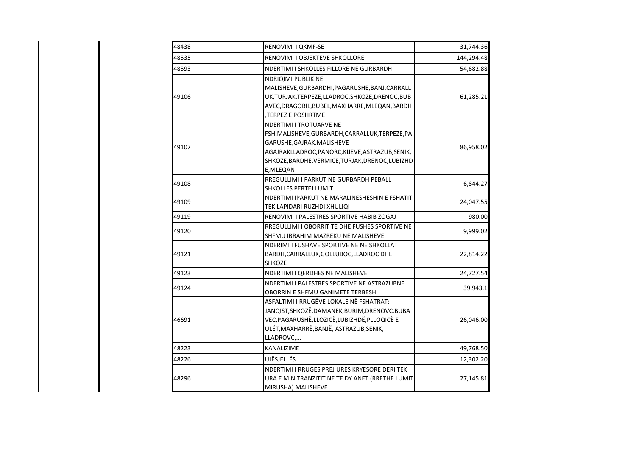| 48438 | RENOVIMI I QKMF-SE                                                                                                                                                                                                             | 31,744.36  |
|-------|--------------------------------------------------------------------------------------------------------------------------------------------------------------------------------------------------------------------------------|------------|
| 48535 | RENOVIMI I OBJEKTEVE SHKOLLORE                                                                                                                                                                                                 | 144,294.48 |
| 48593 | NDERTIMI I SHKOLLES FILLORE NE GURBARDH                                                                                                                                                                                        | 54,682.88  |
| 49106 | NDRIQIMI PUBLIK NE<br>MALISHEVE, GURBARDHI, PAGARUSHE, BANJ, CARRALL<br>UK, TURJAK, TERPEZE, LLADROC, SHKOZE, DRENOC, BUB<br>AVEC, DRAGOBIL, BUBEL, MAXHARRE, MLEQAN, BARDH<br>TERPEZ E POSHRTME                               | 61,285.21  |
| 49107 | NDERTIMI I TROTUARVE NE<br>FSH.MALISHEVE, GURBARDH, CARRALLUK, TERPEZE, PA<br>GARUSHE, GAJRAK, MALISHEVE-<br>AGAJRAKLLADROC, PANORC, KIJEVE, ASTRAZUB, SENIK,<br>SHKOZE, BARDHE, VERMICE, TURJAK, DRENOC, LUBIZHD<br>E, MLEQAN | 86,958.02  |
| 49108 | RREGULLIMI I PARKUT NE GURBARDH PEBALL<br><b>SHKOLLES PERTEJ LUMIT</b>                                                                                                                                                         | 6,844.27   |
| 49109 | NDERTIMI IPARKUT NE MARALINESHESHIN E FSHATIT<br>TEK LAPIDARI RUZHDI XHULIQI                                                                                                                                                   | 24,047.55  |
| 49119 | RENOVIMI I PALESTRES SPORTIVE HABIB ZOGAJ                                                                                                                                                                                      | 980.00     |
| 49120 | RREGULLIMI I OBORRIT TE DHE FUSHES SPORTIVE NE<br>SHFMU IBRAHIM MAZREKU NE MALISHEVE                                                                                                                                           | 9,999.02   |
| 49121 | NDERIMI I FUSHAVE SPORTIVE NE NE SHKOLLAT<br>BARDH, CARRALLUK, GOLLUBOC, LLADROC DHE<br><b>SHKOZE</b>                                                                                                                          | 22,814.22  |
| 49123 | NDERTIMI I QERDHES NE MALISHEVE                                                                                                                                                                                                | 24,727.54  |
| 49124 | NDERTIMI I PALESTRES SPORTIVE NE ASTRAZUBNE<br>OBORRIN E SHFMU GANIMETE TERBESHI                                                                                                                                               | 39,943.1   |
| 46691 | ASFALTIMI I RRUGËVE LOKALE NË FSHATRAT:<br>JANQIST, SHKOZË, DAMANEK, BURIM, DRENOVC, BUBA<br>VEC, PAGARUSHË, LLOZICË, LUBIZHDË, PLLOQICË E<br>ULËT, MAXHARRË, BANJË, ASTRAZUB, SENIK,<br>LLADROVC,                             | 26,046.00  |
| 48223 | <b>KANALIZIME</b>                                                                                                                                                                                                              | 49,768.50  |
| 48226 | <b>UJËSJELLËS</b>                                                                                                                                                                                                              | 12,302.20  |
| 48296 | NDERTIMI I RRUGES PREJ URES KRYESORE DERI TEK<br>URA E MINITRANZITIT NE TE DY ANET (RRETHE LUMIT<br>MIRUSHA) MALISHEVE                                                                                                         | 27,145.81  |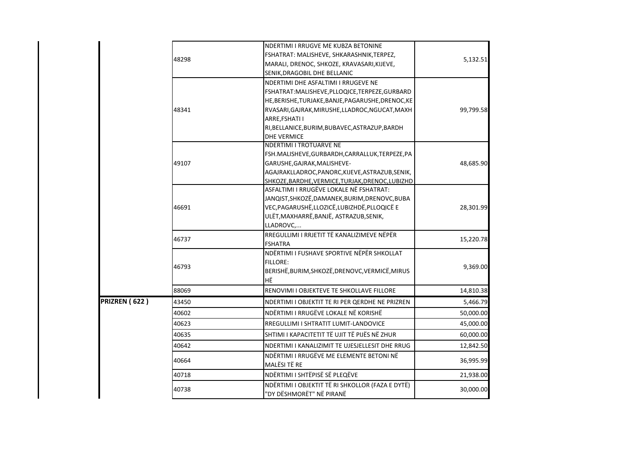|               |       | NDERTIMI I RRUGVE ME KUBZA BETONINE                                                         |                                                 |  |  |
|---------------|-------|---------------------------------------------------------------------------------------------|-------------------------------------------------|--|--|
|               | 48298 | FSHATRAT: MALISHEVE, SHKARASHNIK, TERPEZ,                                                   |                                                 |  |  |
|               |       | MARALI, DRENOC, SHKOZE, KRAVASARI, KIJEVE,                                                  |                                                 |  |  |
|               |       | SENIK, DRAGOBIL DHE BELLANIC                                                                |                                                 |  |  |
|               |       | NDERTIMI DHE ASFALTIMI I RRUGEVE NE                                                         |                                                 |  |  |
|               |       | FSHATRAT:MALISHEVE,PLLOQICE,TERPEZE,GURBARD                                                 |                                                 |  |  |
|               |       | HE, BERISHE, TURJAKE, BANJE, PAGARUSHE, DRENOC, KE                                          |                                                 |  |  |
|               | 48341 | RVASARI, GAJRAK, MIRUSHE, LLADROC, NGUCAT, MAXH                                             |                                                 |  |  |
|               |       | ARRE, FSHATI I                                                                              |                                                 |  |  |
|               |       | RI, BELLANICE, BURIM, BUBAVEC, ASTRAZUP, BARDH                                              |                                                 |  |  |
|               |       | <b>DHE VERMICE</b>                                                                          |                                                 |  |  |
|               |       | NDERTIMI I TROTUARVE NE                                                                     |                                                 |  |  |
|               |       | FSH.MALISHEVE, GURBARDH, CARRALLUK, TERPEZE, PA                                             |                                                 |  |  |
|               | 49107 | GARUSHE, GAJRAK, MALISHEVE-                                                                 |                                                 |  |  |
|               |       | AGAJRAKLLADROC, PANORC, KIJEVE, ASTRAZUB, SENIK,                                            |                                                 |  |  |
|               |       | SHKOZE, BARDHE, VERMICE, TURJAK, DRENOC, LUBIZHD<br>ASFALTIMI I RRUGËVE LOKALE NË FSHATRAT: |                                                 |  |  |
|               |       | JANQIST, SHKOZË, DAMANEK, BURIM, DRENOVC, BUBA                                              |                                                 |  |  |
|               | 46691 | VEC, PAGARUSHË, LLOZICË, LUBIZHDË, PLLOQICË E                                               |                                                 |  |  |
|               |       | ULËT, MAXHARRË, BANJË, ASTRAZUB, SENIK,                                                     | 5,132.51<br>99,799.58<br>48,685.90<br>28,301.99 |  |  |
|               |       | LLADROVC,                                                                                   |                                                 |  |  |
|               |       | RREGULLIMI I RRJETIT TË KANALIZIMEVE NËPËR                                                  |                                                 |  |  |
|               | 46737 | <b>FSHATRA</b>                                                                              | 15,220.78                                       |  |  |
|               |       | NDËRTIMI I FUSHAVE SPORTIVE NËPËR SHKOLLAT                                                  |                                                 |  |  |
|               |       | <b>FILLORE:</b>                                                                             |                                                 |  |  |
|               | 46793 | BERISHË, BURIM, SHKOZË, DRENOVC, VERMICË, MIRUS                                             | 9,369.00                                        |  |  |
|               |       | HË                                                                                          |                                                 |  |  |
|               | 88069 | RENOVIMI I OBJEKTEVE TE SHKOLLAVE FILLORE                                                   | 14,810.38                                       |  |  |
| PRIZREN (622) | 43450 | NDERTIMI I OBJEKTIT TE RI PER QERDHE NE PRIZREN                                             | 5,466.79                                        |  |  |
|               | 40602 | NDËRTIMI I RRUGËVE LOKALE NË KORISHË                                                        | 50,000.00                                       |  |  |
|               | 40623 | RREGULLIMI I SHTRATIT LUMIT-LANDOVICE                                                       | 45,000.00                                       |  |  |
|               | 40635 | SHTIMI I KAPACITETIT TË UJIT TË PIJËS NË ZHUR                                               | 60,000.00                                       |  |  |
|               | 40642 | NDERTIMI I KANALIZIMIT TE UJESJELLESIT DHE RRUG                                             | 12,842.50                                       |  |  |
|               | 40664 | NDËRTIMI I RRUGËVE ME ELEMENTE BETONI NË<br>MALËSI TË RE                                    | 36,995.99                                       |  |  |
|               | 40718 | NDËRTIMI I SHTËPISË SË PLEQËVE                                                              | 21,938.00                                       |  |  |
|               | 40738 | NDËRTIMI I OBJEKTIT TË RI SHKOLLOR (FAZA E DYTË)                                            | 30,000.00                                       |  |  |
|               |       | "DY DËSHMORËT" NË PIRANË                                                                    |                                                 |  |  |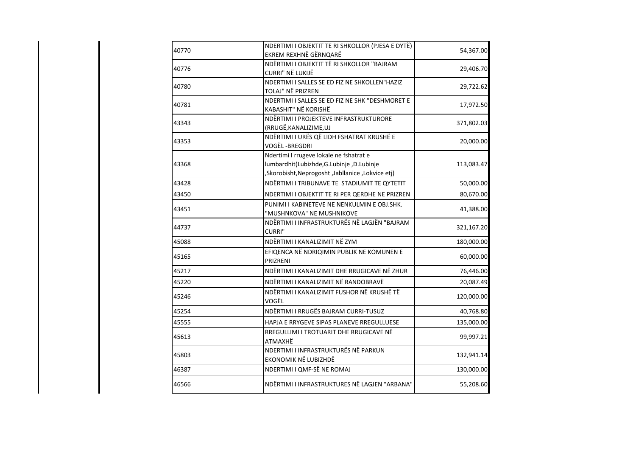| 40770 | NDERTIMI I OBJEKTIT TE RI SHKOLLOR (PJESA E DYTË)<br>EKREM REXHNË GËRNQARË                                                              | 54,367.00  |
|-------|-----------------------------------------------------------------------------------------------------------------------------------------|------------|
| 40776 | NDËRTIMI I OBJEKTIT TË RI SHKOLLOR "BAJRAM<br>CURRI" NË LUKIJË                                                                          | 29,406.70  |
| 40780 | NDERTIMI I SALLES SE ED FIZ NE SHKOLLEN"HAZIZ<br>TOLAJ" NË PRIZREN                                                                      | 29,722.62  |
| 40781 | NDERTIMI I SALLES SE ED FIZ NE SHK "DESHMORET E<br>KABASHIT" NË KORISHË                                                                 | 17,972.50  |
| 43343 | NDËRTIMI I PROJEKTEVE INFRASTRUKTURORE<br>(RRUGË, KANALIZIME, UJ                                                                        | 371,802.03 |
| 43353 | NDËRTIMI I URËS QË LIDH FSHATRAT KRUSHË E<br>VOGËL-BREGDRI                                                                              | 20,000.00  |
| 43368 | Ndertimi I rrugeve lokale ne fshatrat e<br>lumbardhit(Lubizhde,G.Lubinje,D.Lubinje<br>(Skorobisht, Neprogosht, Jabllanice, Lokvice etj, | 113,083.47 |
| 43428 | NDËRTIMI I TRIBUNAVE TE STADIUMIT TE QYTETIT                                                                                            | 50,000.00  |
| 43450 | NDERTIMI I OBJEKTIT TE RI PER QERDHE NE PRIZREN                                                                                         | 80,670.00  |
| 43451 | PUNIMI I KABINETEVE NE NENKULMIN E OBJ.SHK.<br>"MUSHNKOVA" NE MUSHNIKOVE                                                                | 41,388.00  |
| 44737 | NDËRTIMI I INFRASTRUKTURËS NË LAGJËN "BAJRAM<br><b>CURRI"</b>                                                                           | 321,167.20 |
| 45088 | NDËRTIMI I KANALIZIMIT NË ZYM                                                                                                           | 180,000.00 |
| 45165 | EFIQENCA NË NDRIQIMIN PUBLIK NE KOMUNEN E<br>PRIZRENI                                                                                   | 60,000.00  |
| 45217 | NDËRTIMI I KANALIZIMIT DHE RRUGICAVE NË ZHUR                                                                                            | 76,446.00  |
| 45220 | NDËRTIMI I KANALIZIMIT NË RANDOBRAVË                                                                                                    | 20,087.49  |
| 45246 | NDËRTIMI I KANALIZIMIT FUSHOR NË KRUSHË TË<br>VOGËL                                                                                     | 120,000.00 |
| 45254 | NDËRTIMI I RRUGËS BAJRAM CURRI-TUSUZ                                                                                                    | 40,768.80  |
| 45555 | HAPJA E RRYGEVE SIPAS PLANEVE RREGULLUESE                                                                                               | 135,000.00 |
| 45613 | RREGULLIMI I TROTUARIT DHE RRUGICAVE NË<br>ATMAXHË                                                                                      | 99,997.21  |
| 45803 | NDERTIMI I INFRASTRUKTURËS NË PARKUN<br>EKONOMIK NË LUBIZHDË                                                                            | 132,941.14 |
| 46387 | NDERTIMI I QMF-SË NE ROMAJ                                                                                                              | 130,000.00 |
| 46566 | NDËRTIMI I INFRASTRUKTURES NË LAGJEN "ARBANA"                                                                                           | 55,208.60  |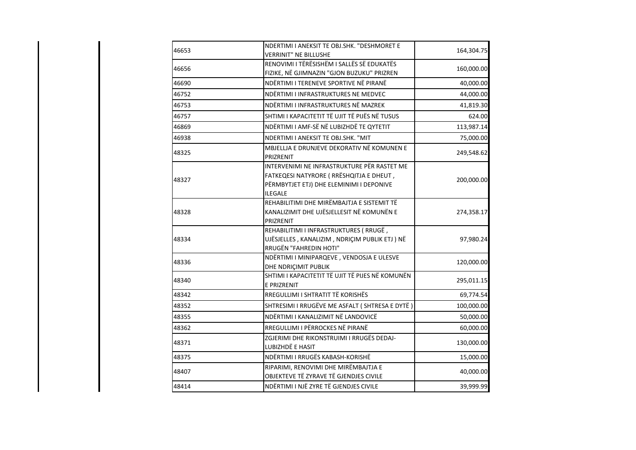| 46653 | NDERTIMI I ANEKSIT TE OBJ.SHK. "DESHMORET E<br><b>VERRINIT" NE BILLUSHE</b>                                                                           | 164,304.75 |
|-------|-------------------------------------------------------------------------------------------------------------------------------------------------------|------------|
| 46656 | RENOVIMI I TËRËSISHËM I SALLËS SË EDUKATËS<br>FIZIKE, NË GJIMNAZIN "GJON BUZUKU" PRIZREN                                                              | 160,000.00 |
| 46690 | NDËRTIMI I TERENEVE SPORTIVE NË PIRANË                                                                                                                | 40,000.00  |
| 46752 | NDËRTIMI I INFRASTRUKTURES NE MEDVEC                                                                                                                  | 44,000.00  |
| 46753 | NDËRTIMI I INFRASTRUKTURES NË MAZREK                                                                                                                  | 41,819.30  |
| 46757 | SHTIMI I KAPACITETIT TË UJIT TË PIJËS NË TUSUS                                                                                                        | 624.00     |
| 46869 | NDËRTIMI I AMF-SË NË LUBIZHDË TE QYTETIT                                                                                                              | 113,987.14 |
| 46938 | NDERTIMI I ANEKSIT TE OBJ.SHK. "MIT                                                                                                                   | 75,000.00  |
| 48325 | MBJELLJA E DRUNJEVE DEKORATIV NË KOMUNEN E<br>PRIZRENIT                                                                                               | 249,548.62 |
| 48327 | INTERVENIMI NE INFRASTRUKTURE PËR RASTET ME<br>FATKEQESI NATYRORE ( RRËSHQITJA E DHEUT,<br>PËRMBYTJET ETJ) DHE ELEMINIMI I DEPONIVE<br><b>ILEGALE</b> | 200,000.00 |
| 48328 | REHABILITIMI DHE MIRËMBAJTJA E SISTEMIT TË<br>KANALIZIMIT DHE UJËSJELLESIT NË KOMUNËN E<br>PRIZRENIT                                                  | 274,358.17 |
| 48334 | REHABILITIMI I INFRASTRUKTURES (RRUGË,<br>UJËSJELLES, KANALIZIM, NDRIÇIM PUBLIK ETJ) NË<br>RRUGËN "FAHREDIN HOTI"                                     | 97,980.24  |
| 48336 | NDËRTIMI I MINIPARQEVE, VENDOSJA E ULESVE<br>DHE NDRIÇIMIT PUBLIK                                                                                     | 120,000.00 |
| 48340 | SHTIMI I KAPACITETIT TË UJIT TË PIJES NË KOMUNËN<br>E PRIZRENIT                                                                                       | 295,011.15 |
| 48342 | RREGULLIMI I SHTRATIT TË KORISHËS                                                                                                                     | 69,774.54  |
| 48352 | SHTRESIMI I RRUGËVE ME ASFALT (SHTRESA E DYTË)                                                                                                        | 100,000.00 |
| 48355 | NDËRTIMI I KANALIZIMIT NË LANDOVICË                                                                                                                   | 50,000.00  |
| 48362 | RREGULLIMI I PËRROCKES NË PIRANË                                                                                                                      | 60,000.00  |
| 48371 | ZGJERIMI DHE RIKONSTRUIMI I RRUGËS DEDAJ-<br>LUBIZHDË E HASIT                                                                                         | 130,000.00 |
| 48375 | NDËRTIMI I RRUGËS KABASH-KORISHË                                                                                                                      | 15,000.00  |
| 48407 | RIPARIMI, RENOVIMI DHE MIRËMBAJTJA E<br>OBJEKTEVE TË ZYRAVE TË GJENDJES CIVILE                                                                        | 40,000.00  |
| 48414 | NDËRTIMI I NJË ZYRE TË GJENDJES CIVILE                                                                                                                | 39,999.99  |
|       |                                                                                                                                                       |            |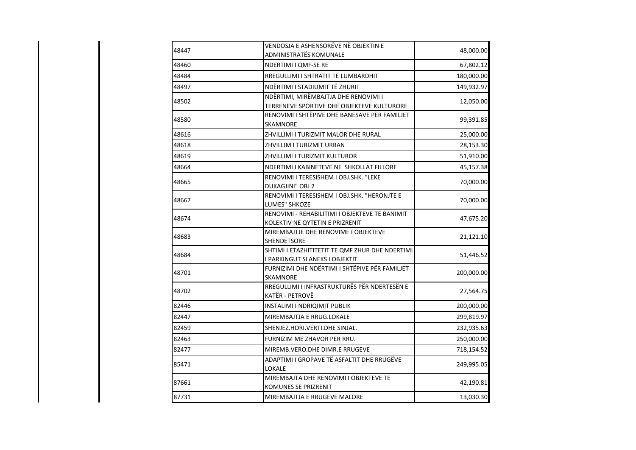| 48447 | VENDOSJA E ASHENSORËVE NË OBJEKTIN E<br>ADMINISTRATËS KOMUNALE                     | 48,000.00  |
|-------|------------------------------------------------------------------------------------|------------|
| 48460 | NDERTIMI I QMF-SE RE                                                               | 67,802.12  |
| 48484 | RREGULLIMI I SHTRATIT TE LUMBARDHIT                                                | 180,000.00 |
| 48497 | NDËRTIMI I STADIUMIT TË ZHURIT                                                     | 149,932.97 |
| 48502 | NDËRTIMI, MIRËMBAJTJA DHE RENOVIMI I<br>TERRENEVE SPORTIVE DHE OBJEKTEVE KULTURORE | 12,050.00  |
| 48580 | RENOVIMI I SHTËPIVE DHE BANESAVE PËR FAMILJET<br>SKAMNORE                          | 99,391.85  |
| 48616 | ZHVILLIMI I TURIZMIT MALOR DHE RURAL                                               | 25,000.00  |
| 48618 | ZHVILLIM I TURIZMIT URBAN                                                          | 28,153.30  |
| 48619 | ZHVILLIMI I TURIZMIT KULTUROR                                                      | 51,910.00  |
| 48664 | NDERTIMI I KABINETEVE NE SHKOLLAT FILLORE                                          | 45,157.38  |
| 48665 | RENOVIMI I TERESISHEM I OBJ.SHK. "LEKE<br>DUKAGJINI" OBJ 2                         | 70,000.00  |
| 48667 | RENOVIMI I TERESISHEM I OBJ.SHK. "HERONJTE E<br>LUMES" SHKOZE                      | 70,000.00  |
| 48674 | RENOVIMI - REHABILITIMI I OBJEKTEVE TE BANIMIT<br>KOLEKTIV NE QYTETIN E PRIZRENIT  | 47,675.20  |
| 48683 | MIREMBAJTJE DHE RENOVIME I OBJEKTEVE<br>SHENDETSORE                                | 21,121.10  |
| 48684 | SHTIMI I ETAZHITITETIT TE QMF ZHUR DHE NDERTIMI<br>I PARKINGUT SI ANEKS I OBJEKTIT | 51,446.52  |
| 48701 | FURNIZIMI DHE NDËRTIMI I SHTËPIVE PËR FAMILJET<br>SKAMNORE                         | 200,000.00 |
| 48702 | RREGULLIMI I INFRASTRUKTURËS PËR NDERTESËN E<br>KATËR - PETROVË                    | 27,564.75  |
| 82446 | INSTALIMI I NDRIQIMIT PUBLIK                                                       | 200,000.00 |
| 82447 | MIREMBAJTJA E RRUG.LOKALE                                                          | 299,819.97 |
| 82459 | SHENJEZ.HORI.VERTI.DHE SINJAL.                                                     | 232,935.63 |
| 82463 | FURNIZIM ME ZHAVOR PER RRU.                                                        | 250,000.00 |
| 82477 | MIREMB.VERO.DHE DIMR.E RRUGEVE                                                     | 718,154.52 |
| 85471 | ADAPTIMI I GROPAVE TË ASFALTIT DHE RRUGËVE<br>LOKALE                               | 249,995.05 |
| 87661 | MIREMBAJTA DHE RENOVIMI I OBJEKTEVE TE<br>KOMUNES SE PRIZRENIT                     | 42,190.81  |
| 87731 | MIREMBAJTJA E RRUGEVE MALORE                                                       | 13,030.30  |

 $\overline{\phantom{a}}$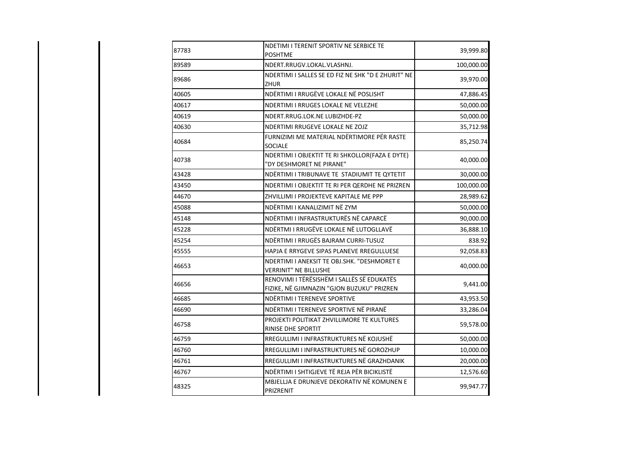| 87783 | NDETIMI I TERENIT SPORTIV NE SERBICE TE<br><b>POSHTME</b>                                | 39,999.80  |
|-------|------------------------------------------------------------------------------------------|------------|
| 89589 | NDERT.RRUGV.LOKAL.VLASHNJ.                                                               | 100,000.00 |
| 89686 | NDERTIMI I SALLES SE ED FIZ NE SHK "D E ZHURIT" NE<br>ZHUR                               | 39,970.00  |
| 40605 | NDËRTIMI I RRUGËVE LOKALE NË POSLISHT                                                    | 47,886.45  |
| 40617 | NDERTIMI I RRUGES LOKALE NE VELEZHE                                                      | 50,000.00  |
| 40619 | NDERT.RRUG.LOK.NE LUBIZHDE-PZ                                                            | 50,000.00  |
| 40630 | NDERTIMI RRUGEVE LOKALE NE ZOJZ                                                          | 35,712.98  |
| 40684 | FURNIZIMI ME MATERIAL NDËRTIMORE PËR RASTE<br><b>SOCIALE</b>                             | 85,250.74  |
| 40738 | NDERTIMI I OBJEKTIT TE RI SHKOLLOR(FAZA E DYTE)<br>"DY DESHMORET NE PIRANE"              | 40,000.00  |
| 43428 | NDËRTIMI I TRIBUNAVE TE STADIUMIT TE QYTETIT                                             | 30,000.00  |
| 43450 | NDERTIMI I OBJEKTIT TE RI PER QERDHE NE PRIZREN                                          | 100,000.00 |
| 44670 | ZHVILLIMI I PROJEKTEVE KAPITALE ME PPP                                                   | 28,989.62  |
| 45088 | NDËRTIMI I KANALIZIMIT NË ZYM                                                            | 50,000.00  |
| 45148 | NDËRTIMI I INFRASTRUKTURËS NË CAPARCË                                                    | 90,000.00  |
| 45228 | NDËRTMI I RRUGËVE LOKALE NË LUTOGLLAVË                                                   | 36,888.10  |
| 45254 | NDËRTIMI I RRUGËS BAJRAM CURRI-TUSUZ                                                     | 838.92     |
| 45555 | HAPJA E RRYGEVE SIPAS PLANEVE RREGULLUESE                                                | 92,058.83  |
| 46653 | NDERTIMI I ANEKSIT TE OBJ.SHK. "DESHMORET E<br><b>VERRINIT" NE BILLUSHE</b>              | 40,000.00  |
| 46656 | RENOVIMI I TËRËSISHËM I SALLËS SË EDUKATËS<br>FIZIKE, NË GJIMNAZIN "GJON BUZUKU" PRIZREN | 9,441.00   |
| 46685 | NDËRTIMI I TERENEVE SPORTIVE                                                             | 43,953.50  |
| 46690 | NDËRTIMI I TERENEVE SPORTIVE NË PIRANË                                                   | 33,286.04  |
| 46758 | PROJEKTI POLITIKAT ZHVILLIMORE TE KULTURES<br>RINISE DHE SPORTIT                         | 59,578.00  |
| 46759 | RREGULLIMI I INFRASTRUKTURES NË KOJUSHË                                                  | 50,000.00  |
| 46760 | RREGULLIMI I INFRASTRUKTURES NË GOROZHUP                                                 | 10,000.00  |
| 46761 | RREGULLIMI I INFRASTRUKTURES NË GRAZHDANIK                                               | 20,000.00  |
| 46767 | NDËRTIMI I SHTIGJEVE TË REJA PËR BICIKLISTË                                              | 12,576.60  |
| 48325 | MBJELLJA E DRUNJEVE DEKORATIV NË KOMUNEN E<br>PRIZRENIT                                  | 99,947.77  |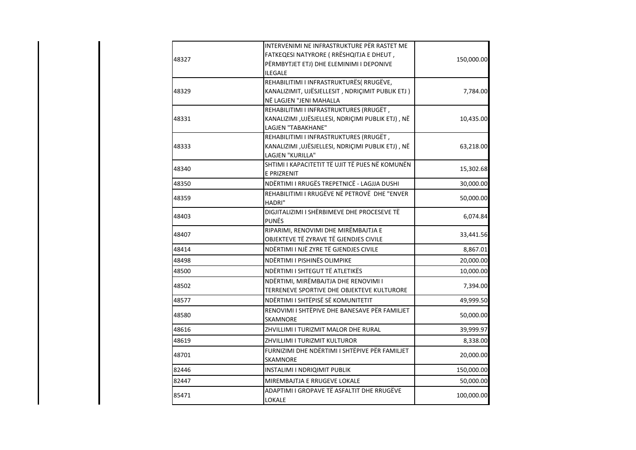| 150,000.00 | INTERVENIMI NE INFRASTRUKTURE PËR RASTET ME<br>FATKEQESI NATYRORE (RRËSHQITJA E DHEUT,<br>PËRMBYTJET ETJ) DHE ELEMINIMI I DEPONIVE<br><b>ILEGALE</b> | 48327 |
|------------|------------------------------------------------------------------------------------------------------------------------------------------------------|-------|
| 7,784.00   | REHABILITIMI I INFRASTRUKTURËS( RRUGËVE,<br>KANALIZIMIT, UJËSJELLESIT, NDRIÇIMIT PUBLIK ETJ)<br>NË LAGJEN "JENI MAHALLA                              | 48329 |
| 10,435.00  | REHABILITIMI I INFRASTRUKTURES (RRUGËT,<br>KANALIZIMI , UJËSJELLESI, NDRIÇIMI PUBLIK ETJ), NË<br>LAGJEN "TABAKHANE"                                  | 48331 |
| 63,218.00  | REHABILITIMI I INFRASTRUKTURES (RRUGËT,<br>KANALIZIMI , UJËSJELLESI, NDRIÇIMI PUBLIK ETJ), NË<br>LAGJEN "KURILLA"                                    | 48333 |
| 15,302.68  | SHTIMI I KAPACITETIT TË UJIT TË PIJES NË KOMUNËN<br><b>E PRIZRENIT</b>                                                                               | 48340 |
| 30,000.00  | NDËRTIMI I RRUGËS TREPETNICË - LAGJJA DUSHI                                                                                                          | 48350 |
| 50,000.00  | REHABILITIMI I RRUGËVE NË PETROVË DHE "ENVER<br>HADRI"                                                                                               | 48359 |
| 6,074.84   | DIGJITALIZIMI I SHËRBIMEVE DHE PROCESEVE TË<br><b>PUNËS</b>                                                                                          | 48403 |
| 33,441.56  | RIPARIMI, RENOVIMI DHE MIRËMBAJTJA E<br>OBJEKTEVE TË ZYRAVE TË GJENDJES CIVILE                                                                       | 48407 |
| 8,867.01   | NDËRTIMI I NJË ZYRE TË GJENDJES CIVILE                                                                                                               | 48414 |
| 20,000.00  | NDËRTIMI I PISHINËS OLIMPIKE                                                                                                                         | 48498 |
| 10,000.00  | NDËRTIMI I SHTEGUT TË ATLETIKËS                                                                                                                      | 48500 |
| 7,394.00   | NDËRTIMI, MIRËMBAJTJA DHE RENOVIMI I<br>TERRENEVE SPORTIVE DHE OBJEKTEVE KULTURORE                                                                   | 48502 |
| 49,999.50  | NDËRTIMI I SHTËPISË SË KOMUNITETIT                                                                                                                   | 48577 |
| 50,000.00  | RENOVIMI I SHTËPIVE DHE BANESAVE PËR FAMILJET<br><b>SKAMNORE</b>                                                                                     | 48580 |
| 39,999.97  | ZHVILLIMI I TURIZMIT MALOR DHE RURAL                                                                                                                 | 48616 |
| 8,338.00   | ZHVILLIMI I TURIZMIT KULTUROR                                                                                                                        | 48619 |
| 20,000.00  | FURNIZIMI DHE NDËRTIMI I SHTËPIVE PËR FAMILJET<br><b>SKAMNORE</b>                                                                                    | 48701 |
| 150,000.00 | INSTALIMI I NDRIQIMIT PUBLIK                                                                                                                         | 82446 |
| 50,000.00  | MIREMBAJTJA E RRUGEVE LOKALE                                                                                                                         | 82447 |
| 100,000.00 | ADAPTIMI I GROPAVE TË ASFALTIT DHE RRUGËVE<br>LOKALE                                                                                                 | 85471 |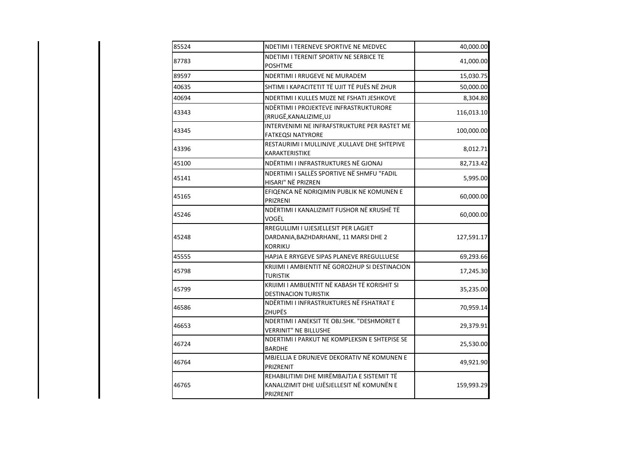| 85524 | NDETIMI I TERENEVE SPORTIVE NE MEDVEC                                                                | 40,000.00  |
|-------|------------------------------------------------------------------------------------------------------|------------|
| 87783 | NDETIMI I TERENIT SPORTIV NE SERBICE TE<br><b>POSHTME</b>                                            | 41,000.00  |
| 89597 | NDERTIMI I RRUGEVE NE MURADEM                                                                        | 15,030.75  |
| 40635 | SHTIMI I KAPACITETIT TË UJIT TË PIJËS NË ZHUR                                                        | 50,000.00  |
| 40694 | NDERTIMI I KULLES MUZE NE FSHATI JESHKOVE                                                            | 8,304.80   |
| 43343 | NDËRTIMI I PROJEKTEVE INFRASTRUKTURORE<br>(RRUGË, KANALIZIME, UJ                                     | 116,013.10 |
| 43345 | INTERVENIMI NE INFRAFSTRUKTURE PER RASTET ME<br><b>FATKEQSI NATYRORE</b>                             | 100,000.00 |
| 43396 | RESTAURIMI I MULLINJVE, KULLAVE DHE SHTEPIVE<br>KARAKTERISTIKE                                       | 8,012.71   |
| 45100 | NDËRTIMI I INFRASTRUKTURES NË GJONAJ                                                                 | 82,713.42  |
| 45141 | NDERTIMI I SALLËS SPORTIVE NË SHMFU "FADIL<br>HISARI" NË PRIZREN                                     | 5,995.00   |
| 45165 | EFIQENCA NË NDRIQIMIN PUBLIK NE KOMUNEN E<br>PRIZRENI                                                | 60,000.00  |
| 45246 | NDËRTIMI I KANALIZIMIT FUSHOR NË KRUSHË TË<br>VOGËL                                                  | 60,000.00  |
| 45248 | RREGULLIMI I UJESJELLESIT PER LAGJET<br>DARDANIA, BAZHDARHANE, 11 MARSI DHE 2<br><b>KORRIKU</b>      | 127,591.17 |
| 45555 | HAPJA E RRYGEVE SIPAS PLANEVE RREGULLUESE                                                            | 69,293.66  |
| 45798 | KRIJIMI I AMBIENTIT NË GOROZHUP SI DESTINACION<br><b>TURISTIK</b>                                    | 17,245.30  |
| 45799 | KRIJIMI I AMBIJENTIT NË KABASH TË KORISHIT SI<br><b>DESTINACION TURISTIK</b>                         | 35,235.00  |
| 46586 | NDËRTIMI I INFRASTRUKTURES NË FSHATRAT E<br><b>ZHUPËS</b>                                            | 70,959.14  |
| 46653 | NDERTIMI I ANEKSIT TE OBJ.SHK. "DESHMORET E<br><b>VERRINIT" NE BILLUSHE</b>                          | 29,379.91  |
| 46724 | NDERTIMI I PARKUT NE KOMPLEKSIN E SHTEPISE SE<br><b>BARDHE</b>                                       | 25,530.00  |
| 46764 | MBJELLJA E DRUNJEVE DEKORATIV NË KOMUNEN E<br>PRIZRENIT                                              | 49,921.90  |
| 46765 | REHABILITIMI DHE MIRËMBAJTJA E SISTEMIT TË<br>KANALIZIMIT DHE UJËSJELLESIT NË KOMUNËN E<br>PRIZRENIT | 159,993.29 |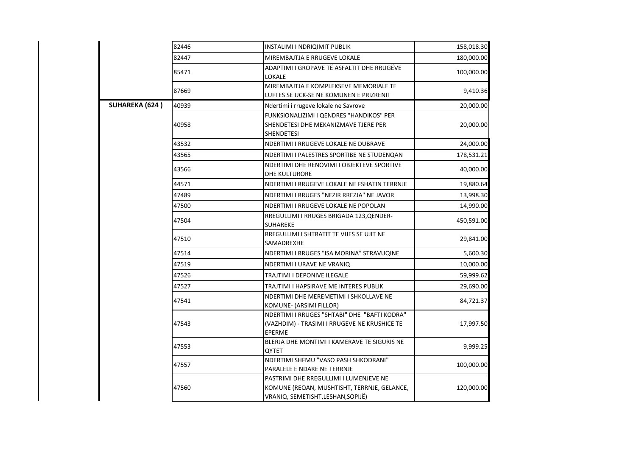|                       | 82446 | INSTALIMI I NDRIQIMIT PUBLIK                                                                                              | 158,018.30 |
|-----------------------|-------|---------------------------------------------------------------------------------------------------------------------------|------------|
|                       | 82447 | MIREMBAJTJA E RRUGEVE LOKALE                                                                                              | 180,000.00 |
|                       | 85471 | ADAPTIMI I GROPAVE TË ASFALTIT DHE RRUGËVE<br>LOKALE                                                                      | 100,000.00 |
|                       | 87669 | MIREMBAJTJA E KOMPLEKSEVE MEMORIALE TE<br>LUFTES SE UCK-SE NE KOMUNEN E PRIZRENIT                                         | 9,410.36   |
| <b>SUHAREKA (624)</b> | 40939 | Ndertimi i rrugeve lokale ne Savrove                                                                                      | 20,000.00  |
|                       | 40958 | FUNKSIONALIZIMI I QENDRES "HANDIKOS" PER<br>SHENDETESI DHE MEKANIZMAVE TJERE PER<br>SHENDETESI                            | 20,000.00  |
|                       | 43532 | NDERTIMI I RRUGEVE LOKALE NE DUBRAVE                                                                                      | 24,000.00  |
|                       | 43565 | NDERTIMI I PALESTRES SPORTIBE NE STUDENQAN                                                                                | 178,531.21 |
|                       | 43566 | NDERTIMI DHE RENOVIMI I OBJEKTEVE SPORTIVE<br><b>DHE KULTURORE</b>                                                        | 40,000.00  |
|                       | 44571 | NDERTIMI I RRUGEVE LOKALE NE FSHATIN TERRNJE                                                                              | 19,880.64  |
|                       | 47489 | NDERTIMI I RRUGES "NEZIR RREZJA" NE JAVOR                                                                                 | 13,998.30  |
|                       | 47500 | NDERTIMI I RRUGEVE LOKALE NE POPOLAN                                                                                      | 14,990.00  |
|                       | 47504 | RREGULLIMI I RRUGES BRIGADA 123, QENDER-<br><b>SUHAREKE</b>                                                               | 450,591.00 |
|                       | 47510 | RREGULLIMI I SHTRATIT TE VIJES SE UJIT NE<br>SAMADREXHE                                                                   | 29,841.00  |
|                       | 47514 | NDERTIMI I RRUGES "ISA MORINA" STRAVUQINE                                                                                 | 5,600.30   |
|                       | 47519 | NDERTIMI I URAVE NE VRANIQ                                                                                                | 10,000.00  |
|                       | 47526 | TRAJTIMI I DEPONIVE ILEGALE                                                                                               | 59,999.62  |
|                       | 47527 | TRAJTIMI I HAPSIRAVE ME INTERES PUBLIK                                                                                    | 29,690.00  |
|                       | 47541 | NDERTIMI DHE MEREMETIMI I SHKOLLAVE NE<br>KOMUNE- (ARSIMI FILLOR)                                                         | 84,721.37  |
|                       | 47543 | NDERTIMI I RRUGES "SHTABI" DHE "BAFTI KODRA"<br>(VAZHDIM) - TRASIMI I RRUGEVE NE KRUSHICE TE<br>EPERME                    | 17,997.50  |
|                       | 47553 | BLERJA DHE MONTIMI I KAMERAVE TE SIGURIS NE<br><b>OYTET</b>                                                               | 9,999.25   |
|                       | 47557 | NDERTIMI SHFMU "VASO PASH SHKODRANI"<br>PARALELE E NDARE NE TERRNJE                                                       | 100,000.00 |
|                       | 47560 | PASTRIMI DHE RREGULLIMI I LUMENJEVE NE<br>KOMUNE (REQAN, MUSHTISHT, TERRNJE, GELANCE,<br>VRANIQ, SEMETISHT,LESHAN,SOPIJË) | 120,000.00 |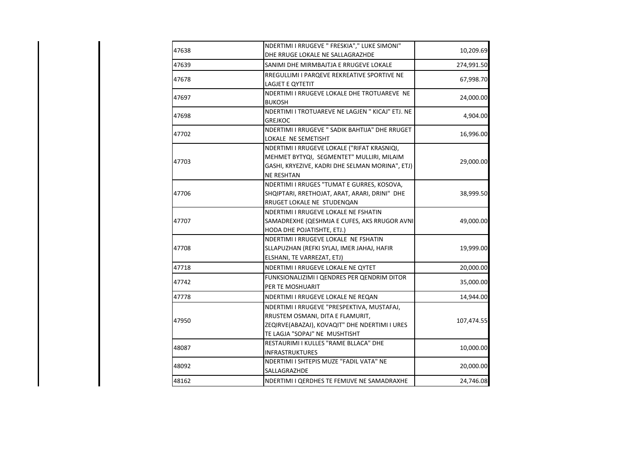| 10,209.69  | NDERTIMI I RRUGEVE " FRESKIA"," LUKE SIMONI"<br>DHE RRUGE LOKALE NE SALLAGRAZHDE                                                                                 | 47638 |
|------------|------------------------------------------------------------------------------------------------------------------------------------------------------------------|-------|
| 274,991.50 | SANIMI DHE MIRMBAJTJA E RRUGEVE LOKALE                                                                                                                           | 47639 |
| 67,998.70  | RREGULLIMI I PARQEVE REKREATIVE SPORTIVE NE<br>LAGJET E QYTETIT                                                                                                  | 47678 |
| 24,000.00  | NDERTIMI I RRUGEVE LOKALE DHE TROTUAREVE NE<br><b>BUKOSH</b>                                                                                                     | 47697 |
| 4,904.00   | NDERTIMI I TROTUAREVE NE LAGJEN " KICAJ" ETJ. NE<br><b>GREJKOC</b>                                                                                               | 47698 |
| 16,996.00  | NDERTIMI I RRUGEVE " SADIK BAHTIJA" DHE RRUGET<br>LOKALE NE SEMETISHT                                                                                            | 47702 |
| 29,000.00  | NDERTIMI I RRUGEVE LOKALE ("RIFAT KRASNIQI,<br>MEHMET BYTYQI, SEGMENTET" MULLIRI, MILAIM<br>GASHI, KRYEZIVE, KADRI DHE SELMAN MORINA", ETJ)<br><b>NE RESHTAN</b> | 47703 |
| 38,999.50  | NDERTIMI I RRUGES "TUMAT E GURRES, KOSOVA,<br>SHQIPTARI, RRETHOJAT, ARAT, ARARI, DRINI" DHE<br>RRUGET LOKALE NE STUDENQAN                                        | 47706 |
| 49,000.00  | NDERTIMI I RRUGEVE LOKALE NE FSHATIN<br>SAMADREXHE (QESHMJA E CUFES, AKS RRUGOR AVNI)<br>HODA DHE POJATISHTE, ETJ.)                                              | 47707 |
| 19,999.00  | NDERTIMI I RRUGEVE LOKALE NE FSHATIN<br>SLLAPUZHAN (REFKI SYLAJ, IMER JAHAJ, HAFIR<br>ELSHANI, TE VARREZAT, ETJ)                                                 | 47708 |
| 20,000.00  | NDERTIMI I RRUGEVE LOKALE NE QYTET                                                                                                                               | 47718 |
| 35,000.00  | FUNKSIONALIZIMI I QENDRES PER QENDRIM DITOR<br>PER TE MOSHUARIT                                                                                                  | 47742 |
| 14,944.00  | NDERTIMI I RRUGEVE LOKALE NE REQAN                                                                                                                               | 47778 |
| 107,474.55 | NDERTIMI I RRUGEVE "PRESPEKTIVA, MUSTAFAJ,<br>RRUSTEM OSMANI, DITA E FLAMURIT,<br>ZEQIRVE(ABAZAJ), KOVAQIT" DHE NDERTIMI I URES<br>TE LAGJA "SOPAJ" NE MUSHTISHT | 47950 |
| 10,000.00  | RESTAURIMI I KULLES "RAME BLLACA" DHE<br><b>INFRASTRUKTURES</b>                                                                                                  | 48087 |
| 20,000.00  | NDERTIMI I SHTEPIS MUZE "FADIL VATA" NE<br>SALLAGRAZHDE                                                                                                          | 48092 |
| 24,746.08  | NDERTIMI I QERDHES TE FEMIJVE NE SAMADRAXHE                                                                                                                      | 48162 |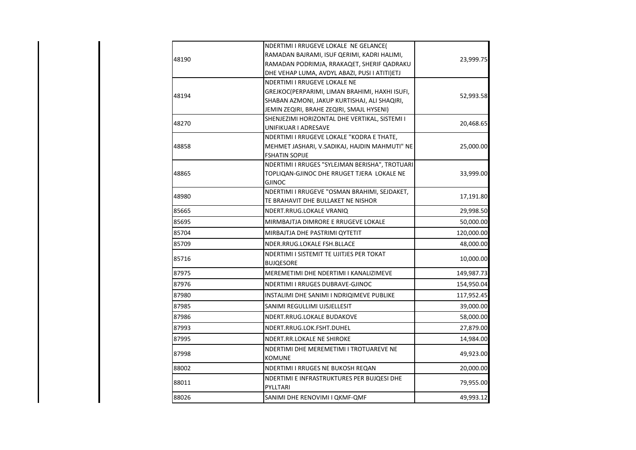| 48190 | NDERTIMI I RRUGEVE LOKALE NE GELANCE(<br>RAMADAN BAJRAMI, ISUF QERIMI, KADRI HALIMI,<br>RAMADAN PODRIMJA, RRAKAQET, SHERIF QADRAKU<br>DHE VEHAP LUMA, AVDYL ABAZI, PUSI I ATITI)ETJ | 23,999.75  |
|-------|-------------------------------------------------------------------------------------------------------------------------------------------------------------------------------------|------------|
| 48194 | NDERTIMI I RRUGEVE LOKALE NE<br>GREJKOC(PERPARIMI, LIMAN BRAHIMI, HAXHI ISUFI,<br>SHABAN AZMONI, JAKUP KURTISHAJ, ALI SHAQIRI,<br>JEMIN ZEQIRI, BRAHE ZEQIRI, SMAJL HYSENI)         | 52,993.58  |
| 48270 | SHENJEZIMI HORIZONTAL DHE VERTIKAL, SISTEMI I<br>UNIFIKUAR I ADRESAVE                                                                                                               | 20,468.65  |
| 48858 | NDERTIMI I RRUGEVE LOKALE "KODRA E THATE,<br>MEHMET JASHARI, V.SADIKAJ, HAJDIN MAHMUTI" NE<br><b>FSHATIN SOPIJE</b>                                                                 | 25,000.00  |
| 48865 | NDERTIMI I RRUGES "SYLEJMAN BERISHA", TROTUARI<br>TOPLIQAN-GJINOC DHE RRUGET TJERA LOKALE NE<br><b>GJINOC</b>                                                                       | 33,999.00  |
| 48980 | NDERTIMI I RRUGEVE "OSMAN BRAHIMI, SEJDAKET,<br>TE BRAHAVIT DHE BULLAKET NE NISHOR                                                                                                  | 17,191.80  |
| 85665 | NDERT.RRUG.LOKALE VRANIQ                                                                                                                                                            | 29,998.50  |
| 85695 | MIRMBAJTJA DIMRORE E RRUGEVE LOKALE                                                                                                                                                 | 50,000.00  |
| 85704 | MIRBAJTJA DHE PASTRIMI QYTETIT                                                                                                                                                      | 120,000.00 |
| 85709 | NDER.RRUG.LOKALE FSH.BLLACE                                                                                                                                                         | 48,000.00  |
| 85716 | NDERTIMI I SISTEMIT TE UJITJES PER TOKAT<br><b>BUJQESORE</b>                                                                                                                        | 10,000.00  |
| 87975 | MEREMETIMI DHE NDERTIMI I KANALIZIMEVE                                                                                                                                              | 149,987.73 |
| 87976 | NDERTIMI I RRUGES DUBRAVE-GJINOC                                                                                                                                                    | 154,950.04 |
| 87980 | INSTALIMI DHE SANIMI I NDRIQIMEVE PUBLIKE                                                                                                                                           | 117,952.45 |
| 87985 | SANIMI REGULLIMI UJSJELLESIT                                                                                                                                                        | 39,000.00  |
| 87986 | NDERT.RRUG.LOKALE BUDAKOVE                                                                                                                                                          | 58,000.00  |
| 87993 | NDERT.RRUG.LOK.FSHT.DUHEL                                                                                                                                                           | 27,879.00  |
| 87995 | NDERT.RR.LOKALE NE SHIROKE                                                                                                                                                          | 14,984.00  |
| 87998 | NDERTIMI DHE MEREMETIMI I TROTUAREVE NE<br><b>KOMUNE</b>                                                                                                                            | 49,923.00  |
| 88002 | NDERTIMI I RRUGES NE BUKOSH REQAN                                                                                                                                                   | 20,000.00  |
| 88011 | NDERTIMI E INFRASTRUKTURES PER BUJQESI DHE<br>PYLLTARI                                                                                                                              | 79,955.00  |
| 88026 | SANIMI DHE RENOVIMI I QKMF-QMF                                                                                                                                                      | 49,993.12  |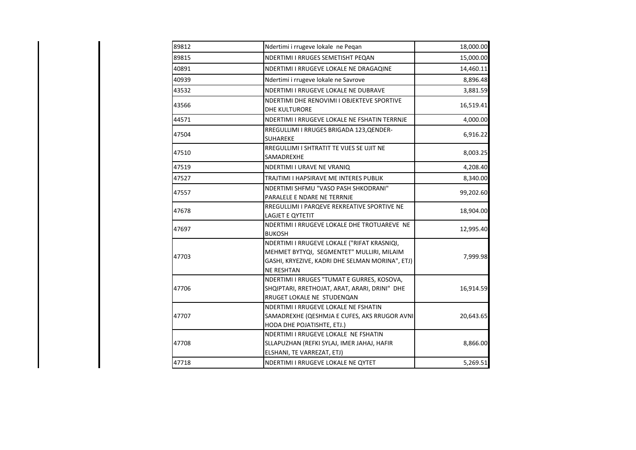| 89812 | Ndertimi i rrugeve lokale ne Peqan                                                                                                                               | 18,000.00 |
|-------|------------------------------------------------------------------------------------------------------------------------------------------------------------------|-----------|
| 89815 | NDERTIMI I RRUGES SEMETISHT PEQAN                                                                                                                                | 15,000.00 |
| 40891 | NDERTIMI I RRUGEVE LOKALE NE DRAGAQINE                                                                                                                           | 14,460.11 |
| 40939 | Ndertimi i rrugeve lokale ne Savrove                                                                                                                             | 8,896.48  |
| 43532 | NDERTIMI I RRUGEVE LOKALE NE DUBRAVE                                                                                                                             | 3,881.59  |
| 43566 | NDERTIMI DHE RENOVIMI I OBJEKTEVE SPORTIVE<br><b>DHE KULTURORE</b>                                                                                               | 16,519.41 |
| 44571 | NDERTIMI I RRUGEVE LOKALE NE FSHATIN TERRNJE                                                                                                                     | 4,000.00  |
| 47504 | RREGULLIMI I RRUGES BRIGADA 123, QENDER-<br><b>SUHAREKE</b>                                                                                                      | 6,916.22  |
| 47510 | RREGULLIMI I SHTRATIT TE VIJES SE UJIT NE<br>SAMADREXHE                                                                                                          | 8,003.25  |
| 47519 | NDERTIMI I URAVE NE VRANIQ                                                                                                                                       | 4,208.40  |
| 47527 | TRAJTIMI I HAPSIRAVE ME INTERES PUBLIK                                                                                                                           | 8,340.00  |
| 47557 | NDERTIMI SHFMU "VASO PASH SHKODRANI"<br>PARALELE E NDARE NE TERRNJE                                                                                              | 99,202.60 |
| 47678 | RREGULLIMI I PARQEVE REKREATIVE SPORTIVE NE<br>LAGJET E QYTETIT                                                                                                  | 18,904.00 |
| 47697 | NDERTIMI I RRUGEVE LOKALE DHE TROTUAREVE NE<br><b>BUKOSH</b>                                                                                                     | 12,995.40 |
| 47703 | NDERTIMI I RRUGEVE LOKALE ("RIFAT KRASNIQI,<br>MEHMET BYTYQI, SEGMENTET" MULLIRI, MILAIM<br>GASHI, KRYEZIVE, KADRI DHE SELMAN MORINA", ETJ)<br><b>NE RESHTAN</b> | 7,999.98  |
| 47706 | NDERTIMI I RRUGES "TUMAT E GURRES, KOSOVA,<br>SHQIPTARI, RRETHOJAT, ARAT, ARARI, DRINI" DHE<br>RRUGET LOKALE NE STUDENQAN                                        | 16,914.59 |
| 47707 | NDERTIMI I RRUGEVE LOKALE NE FSHATIN<br>SAMADREXHE (QESHMJA E CUFES, AKS RRUGOR AVNI<br>HODA DHE POJATISHTE, ETJ.)                                               | 20,643.65 |
| 47708 | NDERTIMI I RRUGEVE LOKALE NE FSHATIN<br>SLLAPUZHAN (REFKI SYLAJ, IMER JAHAJ, HAFIR<br>ELSHANI, TE VARREZAT, ETJ)                                                 | 8,866.00  |
| 47718 | NDERTIMI I RRUGEVE LOKALE NE QYTET                                                                                                                               | 5,269.51  |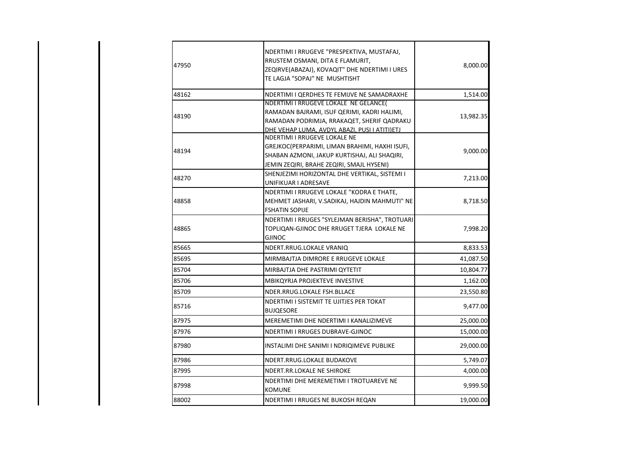| 47950 | NDERTIMI I RRUGEVE "PRESPEKTIVA, MUSTAFAJ,<br>RRUSTEM OSMANI, DITA E FLAMURIT,<br>ZEQIRVE(ABAZAJ), KOVAQIT" DHE NDERTIMI I URES<br>TE LAGJA "SOPAJ" NE MUSHTISHT                    | 8,000.00  |
|-------|-------------------------------------------------------------------------------------------------------------------------------------------------------------------------------------|-----------|
| 48162 | NDERTIMI I QERDHES TE FEMIJVE NE SAMADRAXHE                                                                                                                                         | 1,514.00  |
| 48190 | NDERTIMI I RRUGEVE LOKALE NE GELANCE(<br>RAMADAN BAJRAMI, ISUF QERIMI, KADRI HALIMI,<br>RAMADAN PODRIMJA, RRAKAQET, SHERIF QADRAKU<br>DHE VEHAP LUMA. AVDYL ABAZI. PUSI I ATITI)ETJ | 13,982.35 |
| 48194 | NDERTIMI I RRUGEVE LOKALE NE<br>GREJKOC(PERPARIMI, LIMAN BRAHIMI, HAXHI ISUFI,<br>SHABAN AZMONI, JAKUP KURTISHAJ, ALI SHAQIRI,<br>JEMIN ZEQIRI, BRAHE ZEQIRI, SMAJL HYSENI)         | 9,000.00  |
| 48270 | SHENJEZIMI HORIZONTAL DHE VERTIKAL, SISTEMI I<br>UNIFIKUAR I ADRESAVE                                                                                                               | 7,213.00  |
| 48858 | NDERTIMI I RRUGEVE LOKALE "KODRA E THATE,<br>MEHMET JASHARI, V.SADIKAJ, HAJDIN MAHMUTI" NE<br><b>FSHATIN SOPIJE</b>                                                                 | 8,718.50  |
| 48865 | NDERTIMI I RRUGES "SYLEJMAN BERISHA", TROTUARI<br>TOPLIQAN-GJINOC DHE RRUGET TJERA LOKALE NE<br><b>GJINOC</b>                                                                       | 7,998.20  |
| 85665 | NDERT.RRUG.LOKALE VRANIQ                                                                                                                                                            | 8,833.53  |
| 85695 | MIRMBAJTJA DIMRORE E RRUGEVE LOKALE                                                                                                                                                 | 41,087.50 |
| 85704 | MIRBAJTJA DHE PASTRIMI QYTETIT                                                                                                                                                      | 10,804.77 |
| 85706 | MBIKQYRJA PROJEKTEVE INVESTIVE                                                                                                                                                      | 1,162.00  |
| 85709 | NDER.RRUG.LOKALE FSH.BLLACE                                                                                                                                                         | 23,550.80 |
| 85716 | NDERTIMI I SISTEMIT TE UJITJES PER TOKAT<br><b>BUJQESORE</b>                                                                                                                        | 9,477.00  |
| 87975 | MEREMETIMI DHE NDERTIMI I KANALIZIMEVE                                                                                                                                              | 25,000.00 |
| 87976 | NDERTIMI I RRUGES DUBRAVE-GJINOC                                                                                                                                                    | 15,000.00 |
| 87980 | INSTALIMI DHE SANIMI I NDRIQIMEVE PUBLIKE                                                                                                                                           | 29,000.00 |
| 87986 | NDERT.RRUG.LOKALE BUDAKOVE                                                                                                                                                          | 5,749.07  |
| 87995 | NDERT.RR.LOKALE NE SHIROKE                                                                                                                                                          | 4,000.00  |
| 87998 | NDERTIMI DHE MEREMETIMI I TROTUAREVE NE<br><b>KOMUNE</b>                                                                                                                            | 9,999.50  |
| 88002 | NDERTIMI I RRUGES NE BUKOSH REQAN                                                                                                                                                   | 19,000.00 |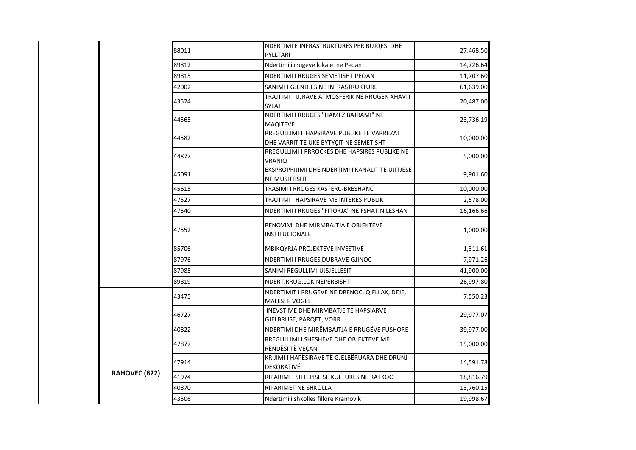|               | 88011 | NDERTIMI E INFRASTRUKTURES PER BUJQESI DHE<br>PYLLTARI                               | 27,468.50 |
|---------------|-------|--------------------------------------------------------------------------------------|-----------|
|               | 89812 | Ndertimi i rrugeve lokale ne Peqan                                                   | 14,726.64 |
|               | 89815 | NDERTIMI I RRUGES SEMETISHT PEQAN                                                    | 11,707.60 |
|               | 42002 | SANIMI I GJENDJES NE INFRASTRUKTURE                                                  | 61,639.00 |
|               | 43524 | TRAJTIMI I UJRAVE ATMOSFERIK NE RRUGEN XHAVIT<br><b>SYLAJ</b>                        | 20,487.00 |
|               | 44565 | NDERTIMI I RRUGES "HAMEZ BAJRAMI" NE<br><b>MAQITEVE</b>                              | 23,736.19 |
|               | 44582 | RREGULLIMI I HAPSIRAVE PUBLIKE TE VARREZAT<br>DHE VARRIT TE UKE BYTYÇIT NE SEMETISHT | 10,000.00 |
|               | 44877 | RREGULLIMI I PRROCKES DHE HAPSIRES PUBLIKE NE<br><b>VRANIQ</b>                       | 5,000.00  |
|               | 45091 | EKSPROPRIJIMI DHE NDERTIMI I KANALIT TE UJITJESE<br><b>NE MUSHTISHT</b>              | 9,901.60  |
|               | 45615 | TRASIMI I RRUGES KASTERC-BRESHANC                                                    | 10,000.00 |
|               | 47527 | TRAJTIMI I HAPSIRAVE ME INTERES PUBLIK                                               | 2,578.00  |
|               | 47540 | NDERTIMI I RRUGES "FITORJA" NE FSHATIN LESHAN                                        | 16,166.66 |
|               | 47552 | RENOVIMI DHE MIRMBAJTJA E OBJEKTEVE<br>INSTITUCIONALE                                | 1,000.00  |
|               | 85706 | MBIKQYRJA PROJEKTEVE INVESTIVE                                                       | 1,311.61  |
|               | 87976 | NDERTIMI I RRUGES DUBRAVE-GJINOC                                                     | 7,971.26  |
|               | 87985 | SANIMI REGULLIMI UJSJELLESIT                                                         | 41,900.00 |
|               | 89819 | NDERT.RRUG.LOK.NEPERBISHT                                                            | 26,997.80 |
|               | 43475 | NDERTIMIT I RRUGEVE NE DRENOC, QIFLLAK, DEJE,<br><b>MALESI E VOGEL</b>               | 7,550.23  |
|               | 46727 | INEVSTIME DHE MIRMBATJE TE HAPSIARVE<br>GJELBRUSE, PARQET, VORR                      | 29,977.07 |
|               | 40822 | NDERTIMI DHE MIRËMBAJTJA E RRUGËVE FUSHORE                                           | 39,977.00 |
|               | 47877 | RREGULLIMI I SHESHEVE DHE OBJEKTEVE ME<br>RËNDËSI TË VEÇAN                           | 15,000.00 |
|               | 47914 | KRIJIMI I HAPËSIRAVE TË GJELBËRUARA DHE DRUNJ<br>DEKORATIVË                          | 14,591.78 |
| RAHOVEC (622) | 41974 | RIPARIMI I SHTEPISE SE KULTURES NE RATKOC                                            | 18,816.79 |
|               | 40870 | RIPARIMET NE SHKOLLA                                                                 | 13,760.15 |
|               | 43506 | Ndertimi i shkolles fillore Kramovik                                                 | 19,998.67 |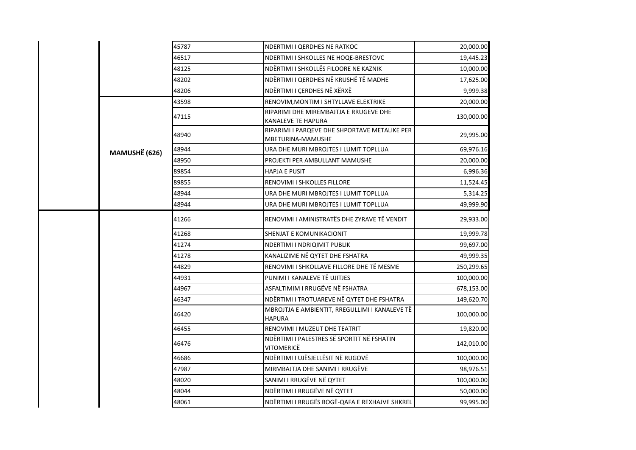|  |               | 45787                                        | NDERTIMI I QERDHES NE RATKOC                                       | 20,000.00  |
|--|---------------|----------------------------------------------|--------------------------------------------------------------------|------------|
|  |               | 46517                                        | NDERTIMI I SHKOLLES NE HOQE-BRESTOVC                               | 19,445.23  |
|  |               | 48125                                        | NDËRTIMI I SHKOLLËS FILOORE NE KAZNIK                              | 10,000.00  |
|  |               | 48202                                        | NDËRTIMI I QERDHES NË KRUSHË TË MADHE                              | 17,625.00  |
|  |               | 48206                                        | NDËRTIMI I ÇERDHES NË XËRXË                                        | 9,999.38   |
|  |               | 43598                                        | RENOVIM, MONTIM I SHTYLLAVE ELEKTRIKE                              | 20,000.00  |
|  |               | 47115                                        | RIPARIMI DHE MIREMBAJTJA E RRUGEVE DHE<br>KANALEVE TE HAPURA       | 130,000.00 |
|  |               | 48940                                        | RIPARIMI I PARQEVE DHE SHPORTAVE METALIKE PER<br>MBETURINA-MAMUSHE | 29,995.00  |
|  | MAMUSHË (626) | 48944                                        | URA DHE MURI MBROJTES I LUMIT TOPLLUA                              | 69,976.16  |
|  |               | 48950                                        | PROJEKTI PER AMBULLANT MAMUSHE                                     | 20,000.00  |
|  |               | 89854                                        | <b>HAPJA E PUSIT</b>                                               | 6,996.36   |
|  |               | 89855                                        | RENOVIMI I SHKOLLES FILLORE                                        | 11,524.45  |
|  |               | 48944                                        | URA DHE MURI MBROJTES I LUMIT TOPLLUA                              | 5,314.25   |
|  |               | 48944                                        | URA DHE MURI MBROJTES I LUMIT TOPLLUA                              | 49,999.90  |
|  | 41266         | RENOVIMI I AMINISTRATËS DHE ZYRAVE TË VENDIT | 29,933.00                                                          |            |
|  |               | 41268                                        | SHENJAT E KOMUNIKACIONIT                                           | 19,999.78  |
|  |               | 41274                                        | NDERTIMI I NDRIQIMIT PUBLIK                                        | 99,697.00  |
|  |               | 41278                                        | KANALIZIME NË QYTET DHE FSHATRA                                    | 49,999.35  |
|  |               | 44829                                        | RENOVIMI I SHKOLLAVE FILLORE DHE TË MESME                          | 250,299.65 |
|  |               | 44931                                        | PUNIMI I KANALEVE TË UJITJES                                       | 100,000.00 |
|  |               | 44967                                        | ASFALTIMIM I RRUGËVE NË FSHATRA                                    | 678,153.00 |
|  |               | 46347                                        | NDËRTIMI I TROTUAREVE NË QYTET DHE FSHATRA                         | 149,620.70 |
|  |               | 46420                                        | MBROJTJA E AMBIENTIT, RREGULLIMI I KANALEVE TË<br><b>HAPURA</b>    | 100,000.00 |
|  |               | 46455                                        | RENOVIMI I MUZEUT DHE TEATRIT                                      | 19,820.00  |
|  |               | 46476                                        | NDËRTIMI I PALESTRES SË SPORTIT NË FSHATIN<br>VITOMERICË           | 142,010.00 |
|  |               | 46686                                        | NDËRTIMI I UJËSJELLËSIT NË RUGOVË                                  | 100,000.00 |
|  |               | 47987                                        | MIRMBAJTJA DHE SANIMI I RRUGËVE                                    | 98,976.51  |
|  |               | 48020                                        | SANIMI I RRUGËVE NË QYTET                                          | 100,000.00 |
|  |               | 48044                                        | NDËRTIMI I RRUGËVE NË QYTET                                        | 50,000.00  |
|  |               | 48061                                        | NDËRTIMI I RRUGËS BOGË-QAFA E REXHAJVE SHKREL                      | 99,995.00  |
|  |               |                                              |                                                                    |            |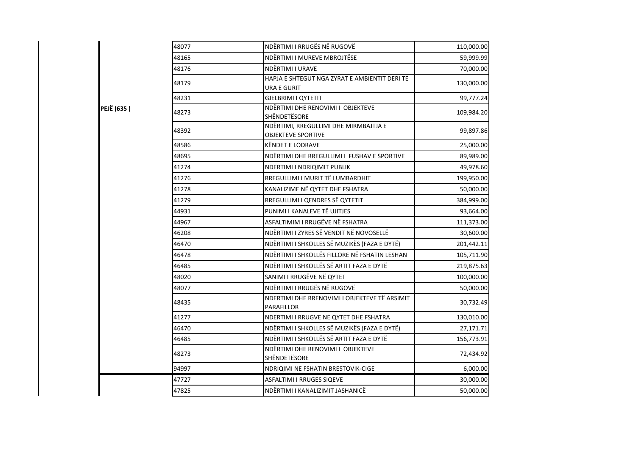|            | 48077 | NDËRTIMI I RRUGËS NË RUGOVË                                        | 110,000.00 |
|------------|-------|--------------------------------------------------------------------|------------|
|            | 48165 | NDËRTIMI I MUREVE MBROJTËSE                                        | 59,999.99  |
|            | 48176 | NDËRTIMI I URAVE                                                   | 70,000.00  |
|            | 48179 | HAPJA E SHTEGUT NGA ZYRAT E AMBIENTIT DERI TE<br>URA E GURIT       | 130,000.00 |
|            | 48231 | GJELBRIMI I QYTETIT                                                | 99,777.24  |
| PEJË (635) | 48273 | NDËRTIMI DHE RENOVIMI I OBJEKTEVE<br><b>SHËNDETËSORE</b>           | 109,984.20 |
|            | 48392 | NDËRTIMI, RREGULLIMI DHE MIRMBAJTJA E<br><b>OBJEKTEVE SPORTIVE</b> | 99,897.86  |
|            | 48586 | <b>KËNDET E LODRAVE</b>                                            | 25,000.00  |
|            | 48695 | NDËRTIMI DHE RREGULLIMI I FUSHAV E SPORTIVE                        | 89,989.00  |
|            | 41274 | <b>NDERTIMI I NDRIQIMIT PUBLIK</b>                                 | 49,978.60  |
|            | 41276 | RREGULLIMI I MURIT TË LUMBARDHIT                                   | 199,950.00 |
|            | 41278 | KANALIZIME NË QYTET DHE FSHATRA                                    | 50,000.00  |
|            | 41279 | RREGULLIMI I QENDRES SË QYTETIT                                    | 384,999.00 |
|            | 44931 | PUNIMI I KANALEVE TË UJITJES                                       | 93,664.00  |
|            | 44967 | ASFALTIMIM I RRUGËVE NË FSHATRA                                    | 111,373.00 |
|            | 46208 | NDËRTIMI I ZYRES SË VENDIT NË NOVOSELLË                            | 30,600.00  |
|            | 46470 | NDËRTIMI I SHKOLLES SË MUZIKËS (FAZA E DYTË)                       | 201,442.11 |
|            | 46478 | NDËRTIMI I SHKOLLËS FILLORE NË FSHATIN LESHAN                      | 105,711.90 |
|            | 46485 | NDËRTIMI I SHKOLLËS SË ARTIT FAZA E DYTË                           | 219,875.63 |
|            | 48020 | SANIMI I RRUGËVE NË QYTET                                          | 100,000.00 |
|            | 48077 | NDËRTIMI I RRUGËS NË RUGOVË                                        | 50,000.00  |
|            | 48435 | NDERTIMI DHE RRENOVIMI I OBJEKTEVE TË ARSIMIT<br>PARAFILLOR        | 30,732.49  |
|            | 41277 | NDERTIMI I RRUGVE NE QYTET DHE FSHATRA                             | 130,010.00 |
|            | 46470 | NDËRTIMI I SHKOLLES SË MUZIKËS (FAZA E DYTË)                       | 27,171.71  |
|            | 46485 | NDËRTIMI I SHKOLLËS SË ARTIT FAZA E DYTË                           | 156,773.91 |
|            | 48273 | NDËRTIMI DHE RENOVIMI I OBJEKTEVE<br><b>SHËNDETËSORE</b>           | 72,434.92  |
|            | 94997 | NDRIQIMI NE FSHATIN BRESTOVIK-CIGE                                 | 6,000.00   |
|            | 47727 | <b>ASFALTIMI I RRUGES SIQEVE</b>                                   | 30,000.00  |
|            | 47825 | NDËRTIMI I KANALIZIMIT JASHANICË                                   | 50,000.00  |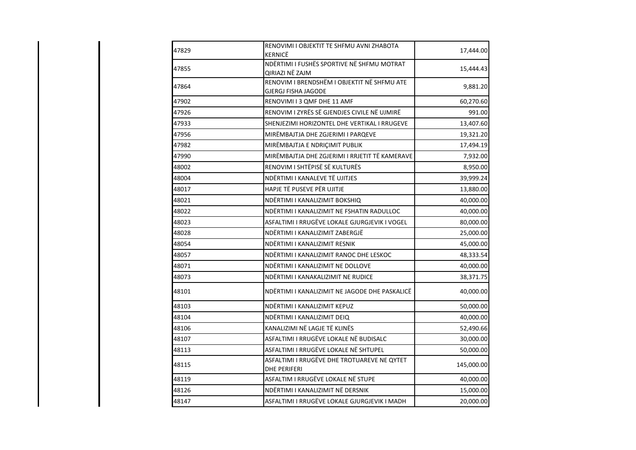| 47829 | RENOVIMI I OBJEKTIT TE SHFMU AVNI ZHABOTA<br>KERNICË               | 17,444.00  |
|-------|--------------------------------------------------------------------|------------|
| 47855 | NDËRTIMI I FUSHËS SPORTIVE NË SHFMU MOTRAT<br>QIRIAZI NË ZAJM      | 15,444.43  |
| 47864 | RENOVIM I BRENDSHËM I OBJEKTIT NË SHFMU ATE<br>GJERGJ FISHA JAGODE | 9,881.20   |
| 47902 | RENOVIMI I 3 QMF DHE 11 AMF                                        | 60,270.60  |
| 47926 | RENOVIM I ZYRËS SË GJENDJES CIVILE NË UJMIRË                       | 991.00     |
| 47933 | SHENJEZIMI HORIZONTEL DHE VERTIKAL I RRUGEVE                       | 13,407.60  |
| 47956 | MIRËMBAJTJA DHE ZGJERIMI I PARQEVE                                 | 19,321.20  |
| 47982 | MIRËMBAJTJA E NDRIÇIMIT PUBLIK                                     | 17,494.19  |
| 47990 | MIRËMBAJTJA DHE ZGJERIMI I RRJETIT TË KAMERAVE                     | 7,932.00   |
| 48002 | RENOVIM I SHTËPISË SË KULTURËS                                     | 8,950.00   |
| 48004 | NDËRTIMI I KANALEVE TË UJITJES                                     | 39,999.24  |
| 48017 | HAPJE TË PUSEVE PËR UJITJE                                         | 13,880.00  |
| 48021 | NDËRTIMI I KANALIZIMIT BOKSHIQ                                     | 40,000.00  |
| 48022 | NDËRTIMI I KANALIZIMIT NE FSHATIN RADULLOC                         | 40,000.00  |
| 48023 | ASFALTIMI I RRUGËVE LOKALE GJURGJEVIK I VOGEL                      | 80,000.00  |
| 48028 | NDËRTIMI I KANALIZIMIT ZABERGJË                                    | 25,000.00  |
| 48054 | NDËRTIMI I KANALIZIMIT RESNIK                                      | 45,000.00  |
| 48057 | NDËRTIMI I KANALIZIMIT RANOC DHE LESKOC                            | 48,333.54  |
| 48071 | NDËRTIMI I KANALIZIMIT NE DOLLOVE                                  | 40,000.00  |
| 48073 | NDËRTIMI I KANAKALIZIMIT NE RUDICE                                 | 38,371.75  |
| 48101 | NDËRTIMI I KANALIZIMIT NE JAGODE DHE PASKALICË                     | 40,000.00  |
| 48103 | NDËRTIMI I KANALIZIMIT KEPUZ                                       | 50,000.00  |
| 48104 | NDËRTIMI I KANALIZIMIT DEIQ                                        | 40,000.00  |
| 48106 | KANALIZIMI NË LAGJE TË KLINËS                                      | 52,490.66  |
| 48107 | ASFALTIMI I RRUGËVE LOKALE NË BUDISALC                             | 30,000.00  |
| 48113 | ASFALTIMI I RRUGËVE LOKALE NË SHTUPEL                              | 50,000.00  |
| 48115 | ASFALTIMI I RRUGËVE DHE TROTUAREVE NE QYTET<br>DHE PERIFERI        | 145,000.00 |
| 48119 | ASFALTIM I RRUGËVE LOKALE NË STUPE                                 | 40,000.00  |
| 48126 | NDËRTIMI I KANALIZIMIT NË DERSNIK                                  | 15,000.00  |
| 48147 | ASFALTIMI I RRUGËVE LOKALE GJURGJEVIK I MADH                       | 20,000.00  |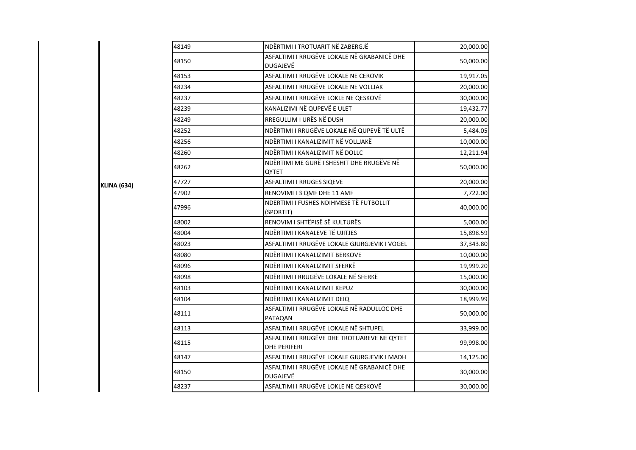| 48149 | NDËRTIMI I TROTUARIT NË ZABERGJË                                   | 20,000.00 |
|-------|--------------------------------------------------------------------|-----------|
| 48150 | ASFALTIMI I RRUGËVE LOKALE NË GRABANICË DHE<br><b>DUGAJEVË</b>     | 50,000.00 |
| 48153 | ASFALTIMI I RRUGËVE LOKALE NE CEROVIK                              | 19,917.05 |
| 48234 | ASFALTIMI I RRUGËVE LOKALE NE VOLLJAK                              | 20,000.00 |
| 48237 | ASFALTIMI I RRUGËVE LOKLE NE QESKOVË                               | 30,000.00 |
| 48239 | KANALIZIMI NË QUPEVË E ULET                                        | 19,432.77 |
| 48249 | RREGULLIM I URËS NË DUSH                                           | 20,000.00 |
| 48252 | NDËRTIMI I RRUGËVE LOKALE NË QUPEVË TË ULTË                        | 5,484.05  |
| 48256 | NDËRTIMI I KANALIZIMIT NË VOLLJAKË                                 | 10,000.00 |
| 48260 | NDËRTIMI I KANALIZIMIT NË DOLLC                                    | 12,211.94 |
| 48262 | NDËRTIMI ME GURË I SHESHIT DHE RRUGËVE NË<br>QYTET                 | 50,000.00 |
| 47727 | ASFALTIMI I RRUGES SIQEVE                                          | 20,000.00 |
| 47902 | RENOVIMI I 3 QMF DHE 11 AMF                                        | 7,722.00  |
| 47996 | NDERTIMI I FUSHES NDIHMESE TË FUTBOLLIT<br>(SPORTIT)               | 40,000.00 |
| 48002 | RENOVIM I SHTËPISË SË KULTURËS                                     | 5,000.00  |
| 48004 | NDËRTIMI I KANALEVE TË UJITJES                                     | 15,898.59 |
| 48023 | ASFALTIMI I RRUGËVE LOKALE GJURGJEVIK I VOGEL                      | 37,343.80 |
| 48080 | NDËRTIMI I KANALIZIMIT BERKOVE                                     | 10,000.00 |
| 48096 | NDËRTIMI I KANALIZIMIT SFERKË                                      | 19,999.20 |
| 48098 | NDËRTIMI I RRUGËVE LOKALE NË SFERKË                                | 15,000.00 |
| 48103 | NDËRTIMI I KANALIZIMIT KEPUZ                                       | 30,000.00 |
| 48104 | NDËRTIMI I KANALIZIMIT DEIQ                                        | 18,999.99 |
| 48111 | ASFALTIMI I RRUGËVE LOKALE NË RADULLOC DHE<br>PATAQAN              | 50,000.00 |
| 48113 | ASFALTIMI I RRUGËVE LOKALE NË SHTUPEL                              | 33,999.00 |
| 48115 | ASFALTIMI I RRUGËVE DHE TROTUAREVE NE QYTET<br><b>DHE PERIFERI</b> | 99,998.00 |
| 48147 | ASFALTIMI I RRUGËVE LOKALE GJURGJEVIK I MADH                       | 14,125.00 |
| 48150 | ASFALTIMI I RRUGËVE LOKALE NË GRABANICË DHE<br><b>DUGAJEVË</b>     | 30,000.00 |
| 48237 | ASFALTIMI I RRUGËVE LOKLE NE QESKOVË                               | 30,000.00 |

**KLINA (634)**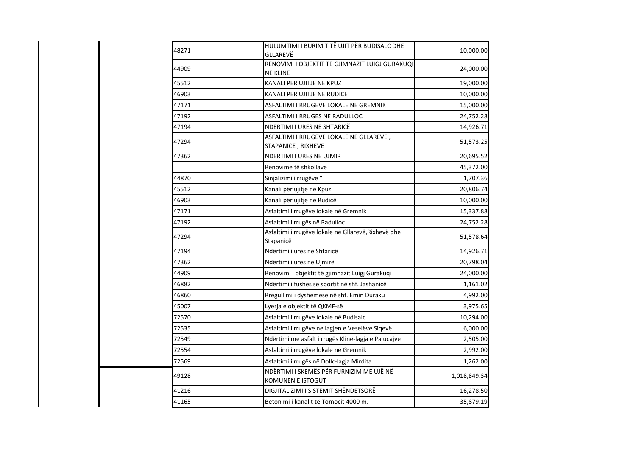| 48271 | HULUMTIMI I BURIMIT TË UJIT PËR BUDISALC DHE<br>GLLAREVË           | 10,000.00    |
|-------|--------------------------------------------------------------------|--------------|
| 44909 | RENOVIMI I OBJEKTIT TE GJIMNAZIT LUIGJ GURAKUQI<br><b>NE KLINE</b> | 24,000.00    |
| 45512 | KANALI PER UJITJE NE KPUZ                                          | 19,000.00    |
| 46903 | KANALI PER UJITJE NE RUDICE                                        | 10,000.00    |
| 47171 | ASFALTIMI I RRUGEVE LOKALE NE GREMNIK                              | 15,000.00    |
| 47192 | ASFALTIMI I RRUGES NE RADULLOC                                     | 24,752.28    |
| 47194 | NDERTIMI I URES NE SHTARICË                                        | 14,926.71    |
| 47294 | ASFALTIMI I RRUGEVE LOKALE NE GLLAREVE,<br>STAPANICE, RIXHEVE      | 51,573.25    |
| 47362 | NDERTIMI I URES NE UJMIR                                           | 20,695.52    |
|       | Renovime të shkollave                                              | 45,372.00    |
| 44870 | Sinjalizimi i rrugëve "                                            | 1,707.36     |
| 45512 | Kanali për ujitje në Kpuz                                          | 20,806.74    |
| 46903 | Kanali për ujitje në Rudicë                                        | 10,000.00    |
| 47171 | Asfaltimi i rrugëve lokale në Gremnik                              | 15,337.88    |
| 47192 | Asfaltimi i rrugës në Radulloc                                     | 24,752.28    |
| 47294 | Asfaltimi i rrugëve lokale në Gllarevë, Rixhevë dhe<br>Stapanicë   | 51,578.64    |
| 47194 | Ndërtimi i urës në Shtaricë                                        | 14,926.71    |
| 47362 | Ndërtimi i urës në Ujmirë                                          | 20,798.04    |
| 44909 | Renovimi i objektit të gjimnazit Luigj Gurakuqi                    | 24,000.00    |
| 46882 | Ndërtimi i fushës së sportit në shf. Jashanicë                     | 1,161.02     |
| 46860 | Rregullimi i dyshemesë në shf. Emin Duraku                         | 4,992.00     |
| 45007 | Lyerja e objektit të QKMF-së                                       | 3,975.65     |
| 72570 | Asfaltimi i rrugëve lokale në Budisalc                             | 10,294.00    |
| 72535 | Asfaltimi i rrugëve ne lagjen e Veselëve Siqevë                    | 6,000.00     |
| 72549 | Ndërtimi me asfalt i rrugës Klinë-lagja e Palucajve                | 2,505.00     |
| 72554 | Asfaltimi i rrugëve lokale në Gremnik                              | 2,992.00     |
| 72569 | Asfaltimi i rrugës në Dollc-lagja Mirdita                          | 1,262.00     |
| 49128 | NDËRTIMI I SKEMËS PËR FURNIZIM ME UJË NË<br>KOMUNEN E ISTOGUT      | 1,018,849.34 |
| 41216 | DIGJITALIZIMI I SISTEMIT SHËNDETSORË                               | 16,278.50    |
| 41165 | Betonimi i kanalit të Tomocit 4000 m.                              | 35,879.19    |
|       |                                                                    |              |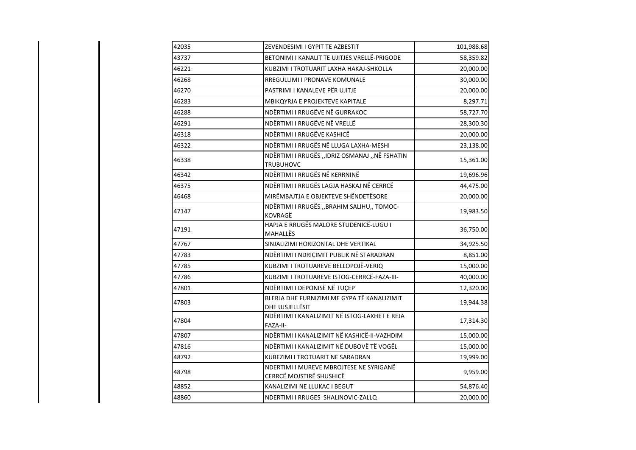| 42035 | ZEVENDESIMI I GYPIT TE AZBESTIT                                     | 101,988.68 |
|-------|---------------------------------------------------------------------|------------|
| 43737 | BETONIMI I KANALIT TE UJITJES VRELLË-PRIGODE                        | 58,359.82  |
| 46221 | KUBZIMI I TROTUARIT LAXHA HAKAJ-SHKOLLA                             | 20,000.00  |
| 46268 | RREGULLIMI I PRONAVE KOMUNALE                                       | 30,000.00  |
| 46270 | PASTRIMI I KANALEVE PËR UJITJE                                      | 20,000.00  |
| 46283 | MBIKQYRJA E PROJEKTEVE KAPITALE                                     | 8,297.71   |
| 46288 | NDËRTIMI I RRUGËVE NË GURRAKOC                                      | 58,727.70  |
| 46291 | NDËRTIMI I RRUGËVE NË VRELLË                                        | 28,300.30  |
| 46318 | NDËRTIMI I RRUGËVE KASHICË                                          | 20,000.00  |
| 46322 | NDËRTIMI I RRUGËS NË LLUGA LAXHA-MESHI                              | 23,138.00  |
| 46338 | NDËRTIMI I RRUGËS ,,IDRIZ OSMANAJ ,,NË FSHATIN<br>TRUBUHOVC         | 15,361.00  |
| 46342 | NDËRTIMI I RRUGËS NË KERRNINË                                       | 19,696.96  |
| 46375 | NDËRTIMI I RRUGËS LAGJA HASKAJ NË CERRCË                            | 44,475.00  |
| 46468 | MIRËMBAJTJA E OBJEKTEVE SHËNDETËSORE                                | 20,000.00  |
| 47147 | NDËRTIMI I RRUGËS "BRAHIM SALIHU" TOMOC-<br>KOVRAGË                 | 19,983.50  |
| 47191 | HAPJA E RRUGËS MALORE STUDENICË-LUGU I<br>MAHALLËS                  | 36,750.00  |
| 47767 | SINJALIZIMI HORIZONTAL DHE VERTIKAL                                 | 34,925.50  |
| 47783 | NDËRTIMI I NDRIÇIMIT PUBLIK NË STARADRAN                            | 8,851.00   |
| 47785 | KUBZIMI I TROTUAREVE BELLOPOJË-VERIQ                                | 15,000.00  |
| 47786 | KUBZIMI I TROTUAREVE ISTOG-CERRCË-FAZA-III-                         | 40,000.00  |
| 47801 | NDËRTIMI I DEPONISË NË TUÇEP                                        | 12,320.00  |
| 47803 | BLERJA DHE FURNIZIMI ME GYPA TË KANALIZIMIT<br>DHE UJSJELLËSIT      | 19,944.38  |
| 47804 | NDËRTIMI I KANALIZIMIT NË ISTOG-LAXHET E REJA<br>FAZA-II-           | 17,314.30  |
| 47807 | NDËRTIMI I KANALIZIMIT NË KASHICË-II-VAZHDIM                        | 15,000.00  |
| 47816 | NDËRTIMI I KANALIZIMIT NË DUBOVË TË VOGËL                           | 15,000.00  |
| 48792 | KUBEZIMI I TROTUARIT NE SARADRAN                                    | 19,999.00  |
| 48798 | NDERTIMI I MUREVE MBROJTESE NE SYRIGANË<br>CERRCË MOJSTIRË SHUSHICË | 9,959.00   |
| 48852 | KANALIZIMI NE LLUKAC I BEGUT                                        | 54,876.40  |
| 48860 | NDERTIMI I RRUGES SHALINOVIC-ZALLQ                                  | 20,000.00  |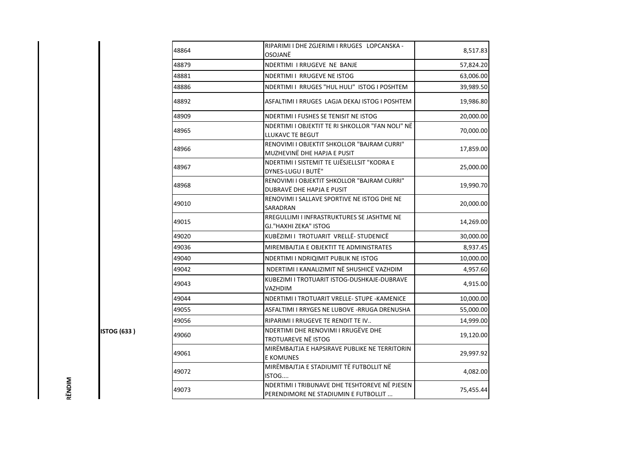| 48864 | RIPARIMI I DHE ZGJERIMI I RRUGES LOPCANSKA -<br>OSOJANË                               | 8,517.83  |
|-------|---------------------------------------------------------------------------------------|-----------|
| 48879 | NDERTIMI I RRUGEVE NE BANJE                                                           | 57,824.20 |
| 48881 | NDERTIMI I RRUGEVE NE ISTOG                                                           | 63,006.00 |
| 48886 | NDERTIMI I RRUGES "HUL HULI" ISTOG I POSHTEM                                          | 39,989.50 |
| 48892 | ASFALTIMI I RRUGES LAGJA DEKAJ ISTOG I POSHTEM                                        | 19,986.80 |
| 48909 | NDERTIMI I FUSHES SE TENISIT NE ISTOG                                                 | 20,000.00 |
| 48965 | NDERTIMI I OBJEKTIT TE RI SHKOLLOR "FAN NOLI" NË<br>LLUKAVC TE BEGUT                  | 70,000.00 |
| 48966 | RENOVIMI I OBJEKTIT SHKOLLOR "BAJRAM CURRI"<br>MUZHEVINË DHE HAPJA E PUSIT            | 17,859.00 |
| 48967 | NDERTIMI I SISTEMIT TE UJËSJELLSIT "KODRA E<br>DYNES-LUGU I BUTË"                     | 25,000.00 |
| 48968 | RENOVIMI I OBJEKTIT SHKOLLOR "BAJRAM CURRI"<br>DUBRAVË DHE HAPJA E PUSIT              | 19,990.70 |
| 49010 | RENOVIMI I SALLAVE SPORTIVE NE ISTOG DHE NE<br>SARADRAN                               | 20,000.00 |
| 49015 | RREGULLIMI I INFRASTRUKTURES SE JASHTME NE<br>GJ."HAXHI ZEKA" ISTOG                   | 14,269.00 |
| 49020 | KUBËZIMI I TROTUARIT VRELLË- STUDENICË                                                | 30,000.00 |
| 49036 | MIREMBAJTJA E OBJEKTIT TE ADMINISTRATES                                               | 8,937.45  |
| 49040 | NDERTIMI I NDRIQIMIT PUBLIK NE ISTOG                                                  | 10,000.00 |
| 49042 | NDERTIMI I KANALIZIMIT NË SHUSHICË VAZHDIM                                            | 4,957.60  |
| 49043 | KUBEZIMI I TROTUARIT ISTOG-DUSHKAJE-DUBRAVE<br>VAZHDIM                                | 4,915.00  |
| 49044 | NDERTIMI I TROTUARIT VRELLE- STUPE - KAMENICE                                         | 10,000.00 |
| 49055 | ASFALTIMI I RRYGES NE LUBOVE - RRUGA DRENUSHA                                         | 55,000.00 |
| 49056 | RIPARIMI I RRUGEVE TE RENDIT TE IV                                                    | 14,999.00 |
| 49060 | NDERTIMI DHE RENOVIMI I RRUGËVE DHE<br>TROTUAREVE NË ISTOG                            | 19,120.00 |
| 49061 | MIRËMBAJTJA E HAPSIRAVE PUBLIKE NE TERRITORIN<br>E KOMUNES                            | 29,997.92 |
| 49072 | MIRËMBAJTJA E STADIUMIT TË FUTBOLLIT NË<br>ISTOG                                      | 4,082.00  |
| 49073 | NDERTIMI I TRIBUNAVE DHE TESHTOREVE NË PJESEN<br>PERENDIMORE NE STADIUMIN E FUTBOLLIT | 75,455.44 |

**ISTOG (633)** 

RËNDIM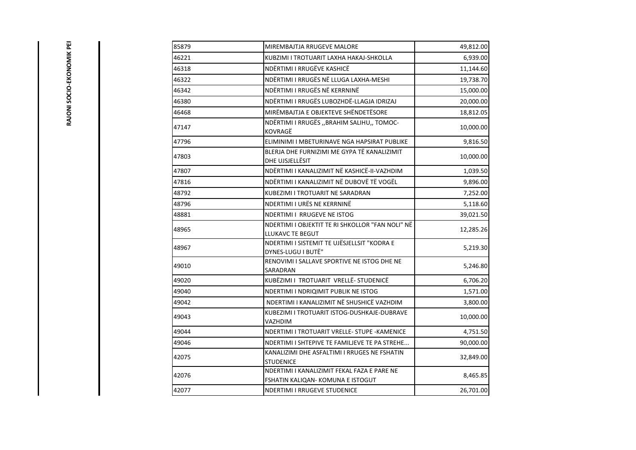| i      |  |
|--------|--|
| Ξ      |  |
| Ī      |  |
|        |  |
| Ī.     |  |
|        |  |
| ś      |  |
|        |  |
|        |  |
|        |  |
|        |  |
| ت<br>ئ |  |
|        |  |
| Ē      |  |
|        |  |
|        |  |
|        |  |
|        |  |

| 85879 | MIREMBAJTJA RRUGEVE MALORE                                                       | 49,812.00 |
|-------|----------------------------------------------------------------------------------|-----------|
| 46221 | KUBZIMI I TROTUARIT LAXHA HAKAJ-SHKOLLA                                          | 6,939.00  |
| 46318 | NDËRTIMI I RRUGËVE KASHICË                                                       | 11,144.60 |
| 46322 | NDËRTIMI I RRUGËS NË LLUGA LAXHA-MESHI                                           | 19,738.70 |
| 46342 | NDËRTIMI I RRUGËS NË KERRNINË                                                    | 15,000.00 |
| 46380 | NDËRTIMI I RRUGËS LUBOZHDË-LLAGJA IDRIZAJ                                        | 20,000.00 |
| 46468 | MIRËMBAJTJA E OBJEKTEVE SHËNDETËSORE                                             | 18,812.05 |
| 47147 | NDËRTIMI I RRUGËS ,, BRAHIM SALIHU,, TOMOC-<br>KOVRAGË                           | 10,000.00 |
| 47796 | ELIMINIMI I MBETURINAVE NGA HAPSIRAT PUBLIKE                                     | 9,816.50  |
| 47803 | BLERJA DHE FURNIZIMI ME GYPA TË KANALIZIMIT<br>DHE UJSJELLËSIT                   | 10,000.00 |
| 47807 | NDËRTIMI I KANALIZIMIT NË KASHICË-II-VAZHDIM                                     | 1,039.50  |
| 47816 | NDËRTIMI I KANALIZIMIT NË DUBOVË TË VOGËL                                        | 9,896.00  |
| 48792 | KUBEZIMI I TROTUARIT NE SARADRAN                                                 | 7,252.00  |
| 48796 | NDERTIMI I URËS NE KERRNINË                                                      | 5,118.60  |
| 48881 | NDERTIMI I RRUGEVE NE ISTOG                                                      | 39,021.50 |
| 48965 | NDERTIMI I OBJEKTIT TE RI SHKOLLOR "FAN NOLI" NË<br>LLUKAVC TE BEGUT             | 12,285.26 |
| 48967 | NDERTIMI I SISTEMIT TE UJËSJELLSIT "KODRA E<br>DYNES-LUGU I BUTË"                | 5,219.30  |
| 49010 | RENOVIMI I SALLAVE SPORTIVE NE ISTOG DHE NE<br>SARADRAN                          | 5,246.80  |
| 49020 | KUBËZIMI I TROTUARIT VRELLË- STUDENICË                                           | 6,706.20  |
| 49040 | NDERTIMI I NDRIQIMIT PUBLIK NE ISTOG                                             | 1,571.00  |
| 49042 | NDERTIMI I KANALIZIMIT NË SHUSHICË VAZHDIM                                       | 3,800.00  |
| 49043 | KUBEZIMI I TROTUARIT ISTOG-DUSHKAJE-DUBRAVE<br>VAZHDIM                           | 10,000.00 |
| 49044 | NDERTIMI I TROTUARIT VRELLE- STUPE -KAMENICE                                     | 4,751.50  |
| 49046 | NDERTIMI I SHTEPIVE TE FAMILJEVE TE PA STREHE                                    | 90,000.00 |
| 42075 | KANALIZIMI DHE ASFALTIMI I RRUGES NE FSHATIN<br><b>STUDENICE</b>                 | 32,849.00 |
| 42076 | NDERTIMI I KANALIZIMIT FEKAL FAZA E PARE NE<br>FSHATIN KALIQAN- KOMUNA E ISTOGUT | 8,465.85  |
| 42077 | NDERTIMI I RRUGEVE STUDENICE                                                     | 26,701.00 |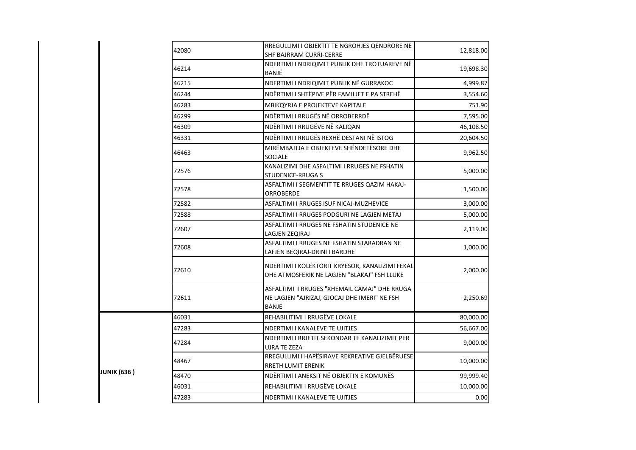|                    | 42080 | RREGULLIMI I OBJEKTIT TE NGROHJES QENDRORE NE<br>SHF BAJRRAM CURRI-CERRE                                     | 12,818.00 |
|--------------------|-------|--------------------------------------------------------------------------------------------------------------|-----------|
|                    | 46214 | NDERTIMI I NDRIQIMIT PUBLIK DHE TROTUAREVE NË<br>BANJË                                                       | 19,698.30 |
|                    | 46215 | NDERTIMI I NDRIQIMIT PUBLIK NË GURRAKOC                                                                      | 4,999.87  |
|                    | 46244 | NDËRTIMI I SHTËPIVE PËR FAMILJET E PA STREHË                                                                 | 3,554.60  |
|                    | 46283 | MBIKOYRJA E PROJEKTEVE KAPITALE                                                                              | 751.90    |
|                    | 46299 | NDËRTIMI I RRUGËS NË ORROBERRDË                                                                              | 7,595.00  |
|                    | 46309 | NDËRTIMI I RRUGËVE NË KALIQAN                                                                                | 46,108.50 |
|                    | 46331 | NDËRTIMI I RRUGËS REXHË DESTANI NË ISTOG                                                                     | 20,604.50 |
|                    | 46463 | MIRËMBAJTJA E OBJEKTEVE SHËNDETËSORE DHE<br><b>SOCIALE</b>                                                   | 9,962.50  |
|                    | 72576 | KANALIZIMI DHE ASFALTIMI I RRUGES NE FSHATIN<br>STUDENICE-RRUGA S                                            | 5,000.00  |
|                    | 72578 | ASFALTIMI I SEGMENTIT TE RRUGES QAZIM HAKAJ-<br><b>ORROBERDE</b>                                             | 1,500.00  |
|                    | 72582 | ASFALTIMI I RRUGES ISUF NICAJ-MUZHEVICE                                                                      | 3,000.00  |
|                    | 72588 | ASFALTIMI I RRUGES PODGURI NE LAGJEN METAJ                                                                   | 5,000.00  |
|                    | 72607 | ASFALTIMI I RRUGES NE FSHATIN STUDENICE NE<br>LAGJEN ZEQIRAJ                                                 | 2,119.00  |
|                    | 72608 | ASFALTIMI I RRUGES NE FSHATIN STARADRAN NE<br>LAFJEN BEQIRAJ-DRINI I BARDHE                                  | 1,000.00  |
|                    | 72610 | NDERTIMI I KOLEKTORIT KRYESOR, KANALIZIMI FEKAL<br>DHE ATMOSFERIK NE LAGJEN "BLAKAJ" FSH LLUKE               | 2,000.00  |
|                    | 72611 | ASFALTIMI I RRUGES "XHEMAIL CAMAJ" DHE RRUGA<br>NE LAGJEN "AJRIZAJ, GJOCAJ DHE IMERI" NE FSH<br><b>BANJE</b> | 2,250.69  |
|                    | 46031 | REHABILITIMI I RRUGËVE LOKALE                                                                                | 80,000.00 |
|                    | 47283 | NDERTIMI I KANALEVE TE UJITJES                                                                               | 56,667.00 |
|                    | 47284 | NDERTIMI I RRJETIT SEKONDAR TE KANALIZIMIT PER<br>UJRA TE ZEZA                                               | 9,000.00  |
|                    | 48467 | RREGULLIMI I HAPËSIRAVE REKREATIVE GJELBËRUESE<br>RRETH LUMIT ERENIK                                         | 10,000.00 |
| <b>JUNIK (636)</b> | 48470 | NDËRTIMI I ANEKSIT NË OBJEKTIN E KOMUNËS                                                                     | 99,999.40 |
|                    | 46031 | REHABILITIMI I RRUGËVE LOKALE                                                                                | 10,000.00 |
|                    | 47283 | NDERTIMI I KANALEVE TE UJITJES                                                                               | 0.00      |
|                    |       |                                                                                                              |           |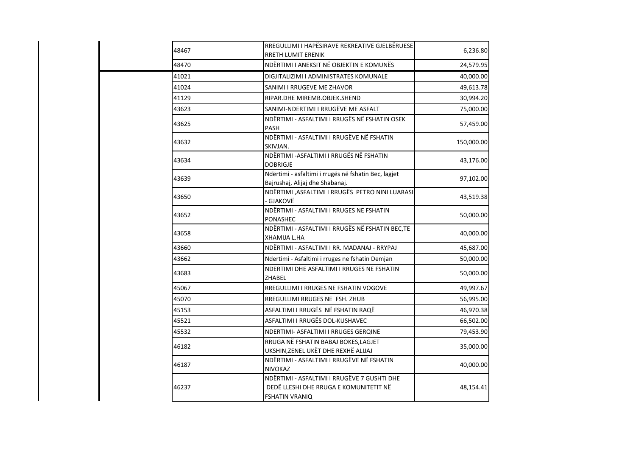| 48467 | RREGULLIMI I HAPËSIRAVE REKREATIVE GJELBËRUESE<br>RRETH LUMIT ERENIK                                    | 6,236.80   |
|-------|---------------------------------------------------------------------------------------------------------|------------|
| 48470 | NDËRTIMI I ANEKSIT NË OBJEKTIN E KOMUNËS                                                                | 24,579.95  |
| 41021 | DIGJITALIZIMI I ADMINISTRATES KOMUNALE                                                                  | 40,000.00  |
| 41024 | SANIMI I RRUGEVE ME ZHAVOR                                                                              | 49,613.78  |
| 41129 | RIPAR.DHE MIREMB.OBJEK.SHEND                                                                            | 30,994.20  |
| 43623 | SANIMI-NDERTIMI I RRUGËVE ME ASFALT                                                                     | 75,000.00  |
| 43625 | NDËRTIMI - ASFALTIMI I RRUGËS NË FSHATIN OSEK<br>PASH                                                   | 57,459.00  |
| 43632 | NDËRTIMI - ASFALTIMI I RRUGËVE NË FSHATIN<br>SKIVJAN.                                                   | 150,000.00 |
| 43634 | NDËRTIMI - ASFALTIMI I RRUGËS NË FSHATIN<br>DOBRIGJE                                                    | 43,176.00  |
| 43639 | Ndërtimi - asfaltimi i rrugës në fshatin Bec, lagjet<br>Bajrushaj, Alijaj dhe Shabanaj.                 | 97,102.00  |
| 43650 | NDËRTIMI ,ASFALTIMI I RRUGËS PETRO NINI LUARASI<br>GJAKOVË                                              | 43,519.38  |
| 43652 | NDËRTIMI - ASFALTIMI I RRUGES NE FSHATIN<br>PONASHEC                                                    | 50,000.00  |
| 43658 | NDËRTIMI - ASFALTIMI I RRUGËS NË FSHATIN BEC,TE<br>XHAMIJA L.HA                                         | 40,000.00  |
| 43660 | NDËRTIMI - ASFALTIMI I RR. MADANAJ - RRYPAJ                                                             | 45,687.00  |
| 43662 | Ndertimi - Asfaltimi i rruges ne fshatin Demjan                                                         | 50,000.00  |
| 43683 | NDERTIMI DHE ASFALTIMI I RRUGES NE FSHATIN<br>ZHABEL                                                    | 50,000.00  |
| 45067 | RREGULLIMI I RRUGES NE FSHATIN VOGOVE                                                                   | 49,997.67  |
| 45070 | RREGULLIMI RRUGES NE FSH. ZHUB                                                                          | 56,995.00  |
| 45153 | ASFALTIMI I RRUGËS NË FSHATIN RAQË                                                                      | 46,970.38  |
| 45521 | ASFALTIMI I RRUGËS DOL-KUSHAVEC                                                                         | 66,502.00  |
| 45532 | NDERTIMI- ASFALTIMI I RRUGES GERQINE                                                                    | 79,453.90  |
| 46182 | RRUGA NË FSHATIN BABAJ BOKES, LAGJET<br>UKSHIN, ZENEL UKËT DHE REXHË ALIJAJ                             | 35,000.00  |
| 46187 | NDËRTIMI - ASFALTIMI I RRUGËVE NË FSHATIN<br>NIVOKAZ                                                    | 40,000.00  |
| 46237 | NDËRTIMI - ASFALTIMI I RRUGËVE 7 GUSHTI DHE<br>DEDË LLESHI DHE RRUGA E KOMUNITETIT NË<br>FSHATIN VRANIQ | 48,154.41  |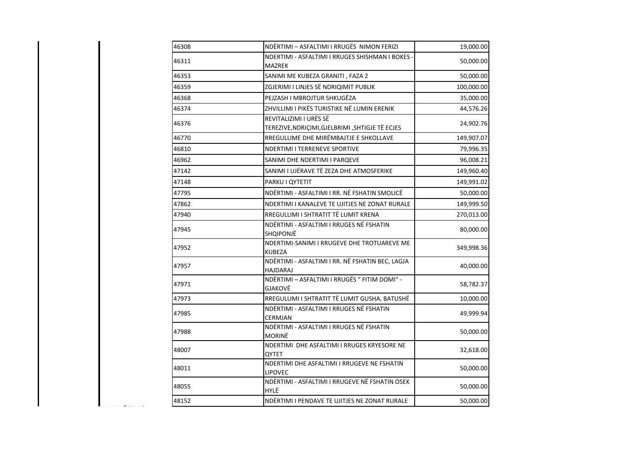| 46308 | NDËRTIMI - ASFALTIMI I RRUGËS NIMON FERIZI                                | 19,000.00  |
|-------|---------------------------------------------------------------------------|------------|
| 46311 | NDERTIMI - ASFALTIMI I RRUGES SHISHMAN I BOKES -<br>MAZREK                | 50,000.00  |
| 46353 | SANIMI ME KUBEZA GRANITI, FAZA 2                                          | 50,000.00  |
| 46359 | ZGJERIMI I LINJES SË NDRIQIMIT PUBLIK                                     | 100,000.00 |
| 46368 | PEJZASH I MBROJTUR SHKUGËZA                                               | 35,000.00  |
| 46374 | ZHVILLIMI I PIKËS TURISTIKE NË LUMIN ERENIK                               | 44,576.26  |
| 46376 | REVITALIZIMI I URËS SË<br>TEREZIVE, NDRIÇIMI, GJELBRIMI, SHTIGJE TË ECJES | 24,902.76  |
| 46770 | RREGULLIME DHE MIRËMBAJTJE E SHKOLLAVE                                    | 149,907.07 |
| 46810 | NDERTIMI I TERRENEVE SPORTIVE                                             | 79,996.35  |
| 46962 | SANIMI DHE NDERTIMI I PARQEVE                                             | 96,008.21  |
| 47142 | SANIMI I UJËRAVE TË ZEZA DHE ATMOSFERIKE                                  | 149,960.40 |
| 47148 | PARKU I QYTETIT                                                           | 149,991.02 |
| 47795 | NDËRTIMI - ASFALTIMI I RR. NË FSHATIN SMOLICË                             | 50,000.00  |
| 47862 | NDERTIMI I KANALEVE TE UJITJES NE ZONAT RURALE                            | 149,999.50 |
| 47940 | RREGULLIMI I SHTRATIT TË LUMIT KRENA                                      | 270,013.00 |
| 47945 | NDËRTIMI - ASFALTIMI I RRUGES NË FSHATIN<br>SHQIPONJË                     | 80,000.00  |
| 47952 | NDERTIMI-SANIMI I RRUGEVE DHE TROTUAREVE ME<br>KUBEZA                     | 349,998.36 |
| 47957 | NDËRTIMI - ASFALTIMI I RR. NË FSHATIN BEC, LAGJA<br>HAJDARAJ              | 40,000.00  |
| 47971 | NDËRTIMI - ASFALTIMI I RRUGËS " FITIM DOMI" -<br>GJAKOVË                  | 58,782.37  |
| 47973 | RREGULLIMI I SHTRATIT TË LUMIT GUSHA, BATUSHË                             | 10,000.00  |
| 47985 | NDËRTIMI - ASFALTIMI I RRUGES NË FSHATIN<br>CERMJAN                       | 49,999.94  |
| 47988 | NDËRTIMI - ASFALTIMI I RRUGES NË FSHATIN<br>MORINË                        | 50,000.00  |
| 48007 | NDERTIMI DHE ASFALTIMI I RRUGES KRYESORE NE<br>QYTET                      | 32,618.00  |
| 48011 | NDERTIMI DHE ASFALTIMI I RRUGEVE NE FSHATIN<br>LIPOVEC                    | 50,000.00  |
| 48055 | NDËRTIMI - ASFALTIMI I RRUGEVE NË FSHATIN OSEK<br>HYLË                    | 50,000.00  |
| 48152 | NDËRTIMI I PENDAVE TE UJITJES NE ZONAT RURALE                             | 50,000.00  |
|       |                                                                           |            |

**GJAKOVË (632 )**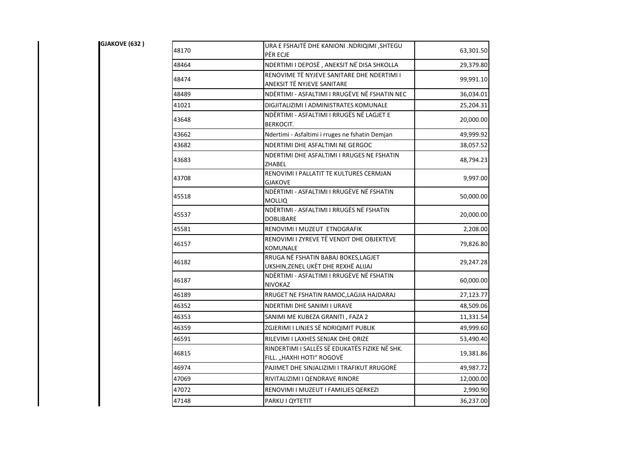| GJAKOVE (632) | 48170 | URA E FSHAJTË DHE KANIONI .NDRIQIMI ,SHTEGU<br>PËR ECJE                     | 63,301.50 |
|---------------|-------|-----------------------------------------------------------------------------|-----------|
|               | 48464 | NDERTIMI I DEPOSË, ANEKSIT NË DISA SHKOLLA                                  | 29,379.80 |
|               | 48474 | RENOVIME TË NYJEVE SANITARE DHE NDERTIMI I<br>ANEKSIT TË NYJEVE SANITARE    | 99,991.10 |
|               | 48489 | NDËRTIMI - ASFALTIMI I RRUGËVE NË FSHATIN NEC                               | 36,034.01 |
|               | 41021 | DIGJITALIZIMI I ADMINISTRATES KOMUNALE                                      | 25,204.31 |
|               | 43648 | NDËRTIMI - ASFALTIMI I RRUGËS NË LAGJET E<br><b>BERKOCIT.</b>               | 20,000.00 |
|               | 43662 | Ndertimi - Asfaltimi i rruges ne fshatin Demjan                             | 49,999.92 |
|               | 43682 | NDERTIMI DHE ASFALTIMI NE GERGOC                                            | 38,057.52 |
|               | 43683 | NDERTIMI DHE ASFALTIMI I RRUGES NE FSHATIN<br>ZHABEL                        | 48,794.23 |
|               | 43708 | RENOVIMI I PALLATIT TE KULTURES CERMJAN<br><b>GJAKOVE</b>                   | 9,997.00  |
|               | 45518 | NDËRTIMI - ASFALTIMI I RRUGËVE NË FSHATIN<br><b>MOLLIQ</b>                  | 50,000.00 |
|               | 45537 | NDËRTIMI - ASFALTIMI I RRUGËS NË FSHATIN<br><b>DOBLIBARE</b>                | 20,000.00 |
|               | 45581 | RENOVIMI I MUZEUT ETNOGRAFIK                                                | 2,208.00  |
|               | 46157 | RENOVIMI I ZYREVE TË VENDIT DHE OBJEKTEVE<br>KOMUNALE                       | 79,826.80 |
|               | 46182 | RRUGA NË FSHATIN BABAJ BOKES, LAGJET<br>UKSHIN, ZENEL UKËT DHE REXHË ALIJAJ | 29,247.28 |
|               | 46187 | NDËRTIMI - ASFALTIMI I RRUGËVE NË FSHATIN<br><b>NIVOKAZ</b>                 | 60,000.00 |
|               | 46189 | RRUGET NE FSHATIN RAMOC, LAGJIA HAJDARAJ                                    | 27,123.77 |
|               | 46352 | NDERTIMI DHE SANIMI I URAVE                                                 | 48,509.06 |
|               | 46353 | SANIMI ME KUBEZA GRANITI, FAZA 2                                            | 11,331.54 |
|               | 46359 | ZGJERIMI I LINJES SË NDRIQIMIT PUBLIK                                       | 49,999.60 |
|               | 46591 | RILEVIMI I LAXHES SENJAK DHE ORIZE                                          | 53,490.40 |
|               | 46815 | RINDERTIMI I SALLËS SË EDUKATËS FIZIKE NË SHK.<br>FILL. "HAXHI HOTI" ROGOVË | 19,381.86 |
|               | 46974 | PAJIMET DHE SINJALIZIMI I TRAFIKUT RRUGORË                                  | 49,987.72 |
|               | 47069 | RIVITALIZIMI I QENDRAVE RINORE                                              | 12,000.00 |
|               | 47072 | RENOVIMI I MUZEUT I FAMILJES QERKEZI                                        | 2,990.90  |
|               | 47148 | PARKU I QYTETIT                                                             | 36,237.00 |
|               |       |                                                                             |           |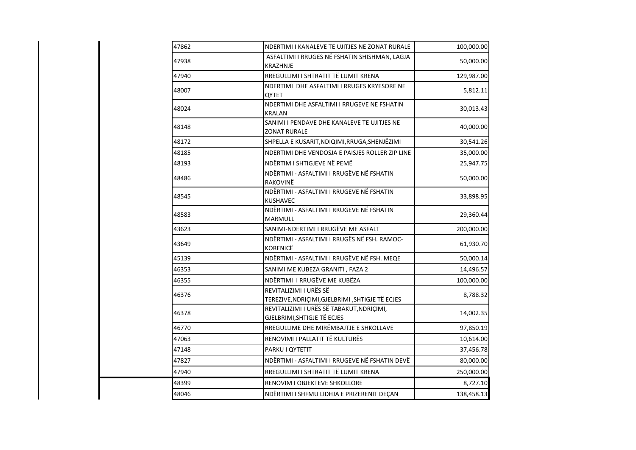| 47862 | NDERTIMI I KANALEVE TE UJITJES NE ZONAT RURALE                            | 100,000.00 |
|-------|---------------------------------------------------------------------------|------------|
| 47938 | ASFALTIMI I RRUGES NË FSHATIN SHISHMAN, LAGJA<br><b>KRAZHNJE</b>          | 50,000.00  |
| 47940 | RREGULLIMI I SHTRATIT TË LUMIT KRENA                                      | 129,987.00 |
| 48007 | NDERTIMI DHE ASFALTIMI I RRUGES KRYESORE NE<br><b>OYTET</b>               | 5,812.11   |
| 48024 | NDERTIMI DHE ASFALTIMI I RRUGEVE NE FSHATIN<br>KRALAN                     | 30,013.43  |
| 48148 | SANIMI I PENDAVE DHE KANALEVE TE UJITJES NE<br>ZONAT RURALE               | 40,000.00  |
| 48172 | SHPELLA E KUSARIT, NDIQIMI, RRUGA, SHENJËZIMI                             | 30,541.26  |
| 48185 | NDERTIMI DHE VENDOSJA E PAISJES ROLLER ZIP LINE                           | 35,000.00  |
| 48193 | NDËRTIM I SHTIGJEVE NË PEMË                                               | 25,947.75  |
| 48486 | NDËRTIMI - ASFALTIMI I RRUGËVE NË FSHATIN<br>RAKOVINË                     | 50,000.00  |
| 48545 | NDËRTIMI - ASFALTIMI I RRUGEVE NË FSHATIN<br><b>KUSHAVEC</b>              | 33,898.95  |
| 48583 | NDËRTIMI - ASFALTIMI I RRUGEVE NË FSHATIN<br><b>MARMULL</b>               | 29,360.44  |
| 43623 | SANIMI-NDERTIMI I RRUGËVE ME ASFALT                                       | 200,000.00 |
| 43649 | NDËRTIMI - ASFALTIMI I RRUGËS NË FSH. RAMOC-<br>KORENICË                  | 61,930.70  |
| 45139 | NDËRTIMI - ASFALTIMI I RRUGËVE NË FSH. MEQE                               | 50,000.14  |
| 46353 | SANIMI ME KUBEZA GRANITI, FAZA 2                                          | 14,496.57  |
| 46355 | NDËRTIMI I RRUGËVE ME KUBËZA                                              | 100,000.00 |
| 46376 | REVITALIZIMI I URËS SË<br>TEREZIVE, NDRIÇIMI, GJELBRIMI, SHTIGJE TË ECJES | 8,788.32   |
| 46378 | REVITALIZIMI I URËS SË TABAKUT, NDRIÇIMI,<br>GJELBRIMI, SHTIGJE TË ECJES  | 14,002.35  |
| 46770 | RREGULLIME DHE MIRËMBAJTJE E SHKOLLAVE                                    | 97,850.19  |
| 47063 | RENOVIMI I PALLATIT TË KULTURËS                                           | 10,614.00  |
| 47148 | PARKU I QYTETIT                                                           | 37,456.78  |
| 47827 | NDËRTIMI - ASFALTIMI I RRUGEVE NË FSHATIN DEVË                            | 80,000.00  |
| 47940 | RREGULLIMI I SHTRATIT TË LUMIT KRENA                                      | 250,000.00 |
| 48399 | RENOVIM I OBJEKTEVE SHKOLLORE                                             | 8,727.10   |
| 48046 | NDËRTIMI I SHFMU LIDHJA E PRIZERENIT DEÇAN                                | 138,458.13 |
|       |                                                                           |            |